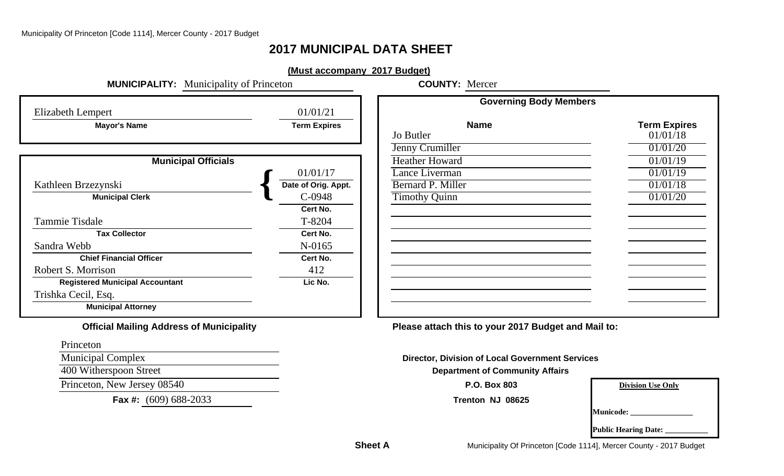# **2017 MUNICIPAL DATA SHEET**

## **(Must accompany 2017 Budget)**

**MUNICIPALITY:** Municipality of Princeton **COUNTY:** Mercer

|                                                 |                     | <b>Governing Body Members</b>                       |                   |  |  |  |
|-------------------------------------------------|---------------------|-----------------------------------------------------|-------------------|--|--|--|
| <b>Elizabeth Lempert</b>                        | 01/01/21            |                                                     |                   |  |  |  |
| <b>Mayor's Name</b>                             | <b>Term Expires</b> | <b>Name</b>                                         | <b>Term Expir</b> |  |  |  |
|                                                 |                     | Jo Butler                                           | 01/01/18          |  |  |  |
|                                                 |                     | Jenny Crumiller                                     | 01/01/20          |  |  |  |
| <b>Municipal Officials</b>                      |                     | <b>Heather Howard</b>                               | 01/01/19          |  |  |  |
|                                                 | 01/01/17            | Lance Liverman                                      | 01/01/19          |  |  |  |
| Kathleen Brzezynski                             | Date of Orig. Appt. | <b>Bernard P. Miller</b>                            | 01/01/18          |  |  |  |
| <b>Municipal Clerk</b>                          | $C-0948$            | <b>Timothy Quinn</b>                                | 01/01/20          |  |  |  |
|                                                 | Cert No.            |                                                     |                   |  |  |  |
| Tammie Tisdale                                  | T-8204              |                                                     |                   |  |  |  |
| <b>Tax Collector</b>                            | Cert No.            |                                                     |                   |  |  |  |
| Sandra Webb                                     | N-0165              |                                                     |                   |  |  |  |
| <b>Chief Financial Officer</b>                  | Cert No.            |                                                     |                   |  |  |  |
| Robert S. Morrison                              | 412                 |                                                     |                   |  |  |  |
| <b>Registered Municipal Accountant</b>          | Lic No.             |                                                     |                   |  |  |  |
| Trishka Cecil, Esq.                             |                     |                                                     |                   |  |  |  |
| <b>Municipal Attorney</b>                       |                     |                                                     |                   |  |  |  |
| <b>Official Mailing Address of Municipality</b> |                     | Please attach this to your 2017 Budget and Mail to: |                   |  |  |  |

| <i>ipert</i>               | 01/01/21            |                       |                     |
|----------------------------|---------------------|-----------------------|---------------------|
| <b>Mayor's Name</b>        | <b>Term Expires</b> | <b>Name</b>           | <b>Term Expires</b> |
|                            |                     | Jo Butler             | 01/01/18            |
|                            |                     | Jenny Crumiller       | 01/01/20            |
| <b>Municipal Officials</b> |                     | <b>Heather Howard</b> | 01/01/19            |
|                            | 01/01/17            | Lance Liverman        | 01/01/19            |
| zynski                     | Date of Orig. Appt. | Bernard P. Miller     | 01/01/18            |
| <b>Municipal Clerk</b>     | C-0948              | <b>Timothy Quinn</b>  | 01/01/20            |
|                            | Cert No.            |                       |                     |
| ıle                        | T-8204              |                       |                     |
| <b>Tax Collector</b>       | Cert No.            |                       |                     |
|                            | N-0165              |                       |                     |
| ef Financial Officer       | Cert No.            |                       |                     |
| rison                      | 412                 |                       |                     |
| d Municipal Accountant     | Lic No.             |                       |                     |
| Esq.                       |                     |                       |                     |
| unicipal Attorney          |                     |                       |                     |

# Municipal Complex **Director, Division of Local Government Services** 400 Witherspoon Street **Department of Community Affairs**

|                  | <b>Division Use Only</b> |  |
|------------------|--------------------------|--|
|                  |                          |  |
| <b>Municode:</b> |                          |  |

**Public Hearing Date:** 

Municipality Of Princeton [Code 1114], Mercer County - 2017 Budget

Princeton

**Princeton, New Jersey 08540 P.O. Box 803** 

**Fax #:** (609) 688-2033 **Trenton NJ 08625**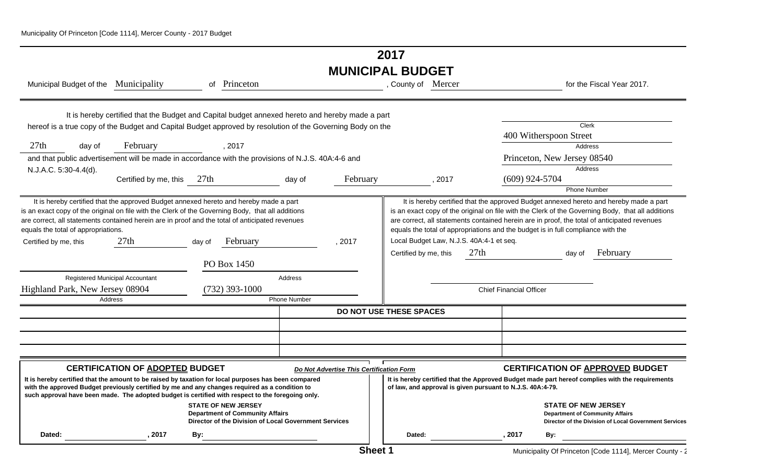# **2017 MUNICIPAL BUDGET**

| Municipal Budget of the Municipality                         |                                                                                                                                                                                                                                                                                                             |        | of Princeton                                                                                                                  |                     |                                          | , County of Mercer                                         |        |                                          |                                |                                                                                  | for the Fiscal Year 2017.                                                                                                                                                                                                                                                                  |
|--------------------------------------------------------------|-------------------------------------------------------------------------------------------------------------------------------------------------------------------------------------------------------------------------------------------------------------------------------------------------------------|--------|-------------------------------------------------------------------------------------------------------------------------------|---------------------|------------------------------------------|------------------------------------------------------------|--------|------------------------------------------|--------------------------------|----------------------------------------------------------------------------------|--------------------------------------------------------------------------------------------------------------------------------------------------------------------------------------------------------------------------------------------------------------------------------------------|
|                                                              | It is hereby certified that the Budget and Capital budget annexed hereto and hereby made a part                                                                                                                                                                                                             |        |                                                                                                                               |                     |                                          |                                                            |        |                                          |                                |                                                                                  |                                                                                                                                                                                                                                                                                            |
|                                                              | hereof is a true copy of the Budget and Capital Budget approved by resolution of the Governing Body on the                                                                                                                                                                                                  |        |                                                                                                                               |                     |                                          |                                                            |        |                                          |                                | Clerk<br>400 Witherspoon Street                                                  |                                                                                                                                                                                                                                                                                            |
| 27th<br>day of                                               | February                                                                                                                                                                                                                                                                                                    |        | , 2017                                                                                                                        |                     |                                          |                                                            |        |                                          |                                | Address                                                                          |                                                                                                                                                                                                                                                                                            |
|                                                              | and that public advertisement will be made in accordance with the provisions of N.J.S. 40A:4-6 and                                                                                                                                                                                                          |        |                                                                                                                               |                     |                                          |                                                            |        |                                          |                                | Princeton, New Jersey 08540                                                      |                                                                                                                                                                                                                                                                                            |
| N.J.A.C. 5:30-4.4(d).                                        |                                                                                                                                                                                                                                                                                                             |        |                                                                                                                               |                     |                                          |                                                            |        |                                          |                                | <b>Address</b>                                                                   |                                                                                                                                                                                                                                                                                            |
|                                                              | Certified by me, this 27th                                                                                                                                                                                                                                                                                  |        |                                                                                                                               | day of              | February                                 |                                                            | , 2017 |                                          | $(609)$ 924-5704               |                                                                                  |                                                                                                                                                                                                                                                                                            |
|                                                              |                                                                                                                                                                                                                                                                                                             |        |                                                                                                                               |                     |                                          |                                                            |        |                                          |                                | <b>Phone Number</b>                                                              |                                                                                                                                                                                                                                                                                            |
| equals the total of appropriations.<br>Certified by me, this | It is hereby certified that the approved Budget annexed hereto and hereby made a part<br>is an exact copy of the original on file with the Clerk of the Governing Body, that all additions<br>are correct, all statements contained herein are in proof and the total of anticipated revenues<br>27th       | day of | February                                                                                                                      |                     | .2017                                    |                                                            |        | Local Budget Law, N.J.S. 40A:4-1 et seq. |                                | equals the total of appropriations and the budget is in full compliance with the | It is hereby certified that the approved Budget annexed hereto and hereby made a part<br>is an exact copy of the original on file with the Clerk of the Governing Body, that all additions<br>are correct, all statements contained herein are in proof, the total of anticipated revenues |
|                                                              |                                                                                                                                                                                                                                                                                                             |        |                                                                                                                               |                     |                                          | Certified by me, this                                      |        | 27th                                     |                                | day of                                                                           | February                                                                                                                                                                                                                                                                                   |
|                                                              |                                                                                                                                                                                                                                                                                                             |        | PO Box 1450                                                                                                                   |                     |                                          |                                                            |        |                                          |                                |                                                                                  |                                                                                                                                                                                                                                                                                            |
|                                                              | Registered Municipal Accountant                                                                                                                                                                                                                                                                             |        |                                                                                                                               | Address             |                                          |                                                            |        |                                          |                                |                                                                                  |                                                                                                                                                                                                                                                                                            |
| Highland Park, New Jersey 08904                              |                                                                                                                                                                                                                                                                                                             |        | $(732)$ 393-1000                                                                                                              |                     |                                          |                                                            |        |                                          | <b>Chief Financial Officer</b> |                                                                                  |                                                                                                                                                                                                                                                                                            |
|                                                              | Address                                                                                                                                                                                                                                                                                                     |        |                                                                                                                               | <b>Phone Number</b> |                                          |                                                            |        |                                          |                                |                                                                                  |                                                                                                                                                                                                                                                                                            |
|                                                              |                                                                                                                                                                                                                                                                                                             |        |                                                                                                                               |                     | <b>DO NOT USE THESE SPACES</b>           |                                                            |        |                                          |                                |                                                                                  |                                                                                                                                                                                                                                                                                            |
|                                                              |                                                                                                                                                                                                                                                                                                             |        |                                                                                                                               |                     |                                          |                                                            |        |                                          |                                |                                                                                  |                                                                                                                                                                                                                                                                                            |
|                                                              |                                                                                                                                                                                                                                                                                                             |        |                                                                                                                               |                     |                                          |                                                            |        |                                          |                                |                                                                                  |                                                                                                                                                                                                                                                                                            |
|                                                              |                                                                                                                                                                                                                                                                                                             |        |                                                                                                                               |                     |                                          |                                                            |        |                                          |                                |                                                                                  |                                                                                                                                                                                                                                                                                            |
|                                                              | <b>CERTIFICATION OF ADOPTED BUDGET</b>                                                                                                                                                                                                                                                                      |        |                                                                                                                               |                     | Do Not Advertise This Certification Form |                                                            |        |                                          |                                |                                                                                  | <b>CERTIFICATION OF APPROVED BUDGET</b>                                                                                                                                                                                                                                                    |
|                                                              | It is hereby certified that the amount to be raised by taxation for local purposes has been compared<br>with the approved Budget previously certified by me and any changes required as a condition to<br>such approval have been made. The adopted budget is certified with respect to the foregoing only. |        |                                                                                                                               |                     |                                          | of law, and approval is given pursuant to N.J.S. 40A:4-79. |        |                                          |                                |                                                                                  | It is hereby certified that the Approved Budget made part hereof complies with the requirements                                                                                                                                                                                            |
|                                                              |                                                                                                                                                                                                                                                                                                             |        | <b>STATE OF NEW JERSEY</b><br><b>Department of Community Affairs</b><br>Director of the Division of Local Government Services |                     |                                          |                                                            |        |                                          |                                | <b>STATE OF NEW JERSEY</b><br><b>Department of Community Affairs</b>             | Director of the Division of Local Government Services                                                                                                                                                                                                                                      |
| Dated:                                                       | 2017                                                                                                                                                                                                                                                                                                        | By:    |                                                                                                                               |                     |                                          | Dated:                                                     |        |                                          | , 2017                         | By:                                                                              |                                                                                                                                                                                                                                                                                            |
|                                                              |                                                                                                                                                                                                                                                                                                             |        |                                                                                                                               |                     |                                          |                                                            |        |                                          |                                |                                                                                  |                                                                                                                                                                                                                                                                                            |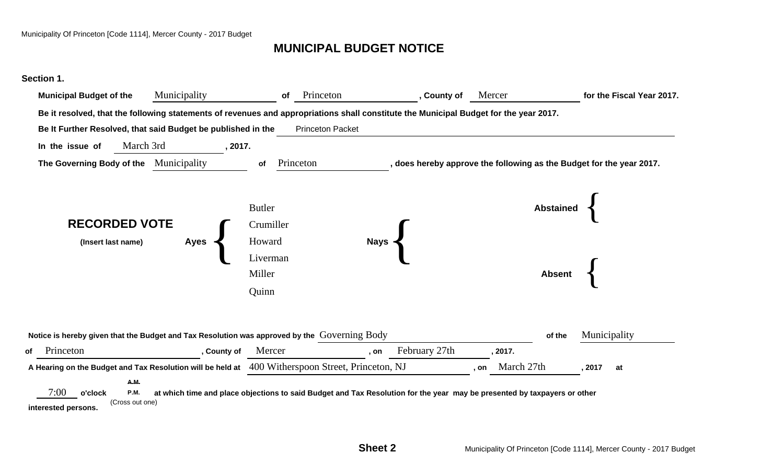# **MUNICIPAL BUDGET NOTICE**



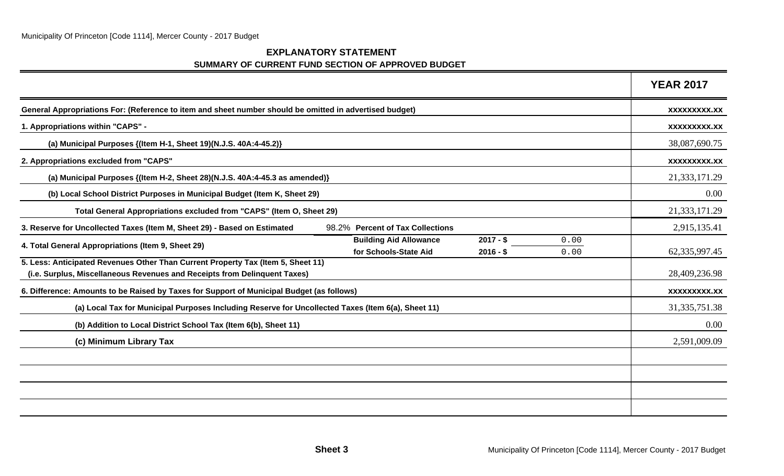## **EXPLANATORY STATEMENT SUMMARY OF CURRENT FUND SECTION OF APPROVED BUDGET**

|                                                                                                                                                               | <b>YEAR 2017</b>    |
|---------------------------------------------------------------------------------------------------------------------------------------------------------------|---------------------|
| General Appropriations For: (Reference to item and sheet number should be omitted in advertised budget)                                                       | XXXXXXXXX.XX        |
| 1. Appropriations within "CAPS" -                                                                                                                             | <b>XXXXXXXXX.XX</b> |
| (a) Municipal Purposes {(Item H-1, Sheet 19)(N.J.S. 40A:4-45.2)}                                                                                              | 38,087,690.75       |
| 2. Appropriations excluded from "CAPS"                                                                                                                        | <b>XXXXXXXXX.XX</b> |
| (a) Municipal Purposes {(Item H-2, Sheet 28)(N.J.S. 40A:4-45.3 as amended)}                                                                                   | 21,333,171.29       |
| (b) Local School District Purposes in Municipal Budget (Item K, Sheet 29)                                                                                     | 0.00                |
| Total General Appropriations excluded from "CAPS" (Item O, Sheet 29)                                                                                          | 21,333,171.29       |
| 3. Reserve for Uncollected Taxes (Item M, Sheet 29) - Based on Estimated<br>98.2% Percent of Tax Collections                                                  | 2,915,135.41        |
| <b>Building Aid Allowance</b><br>$2017 - $$<br>0.00<br>4. Total General Appropriations (Item 9, Sheet 29)<br>for Schools-State Aid<br>$2016 - $$<br>0.00      | 62,335,997.45       |
| 5. Less: Anticipated Revenues Other Than Current Property Tax (Item 5, Sheet 11)<br>(i.e. Surplus, Miscellaneous Revenues and Receipts from Delinquent Taxes) | 28,409,236.98       |
| 6. Difference: Amounts to be Raised by Taxes for Support of Municipal Budget (as follows)                                                                     | <b>XXXXXXXXX.XX</b> |
| (a) Local Tax for Municipal Purposes Including Reserve for Uncollected Taxes (Item 6(a), Sheet 11)                                                            | 31, 335, 751. 38    |
| (b) Addition to Local District School Tax (Item 6(b), Sheet 11)                                                                                               | 0.00                |
| (c) Minimum Library Tax                                                                                                                                       | 2,591,009.09        |
|                                                                                                                                                               |                     |
|                                                                                                                                                               |                     |
|                                                                                                                                                               |                     |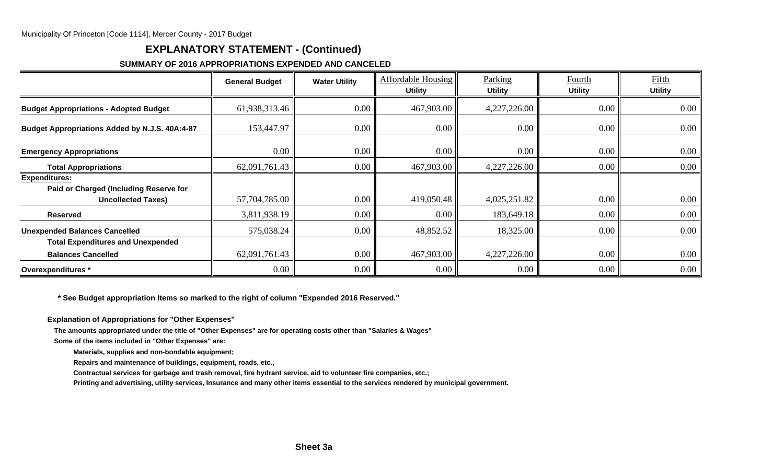# **EXPLANATORY STATEMENT - (Continued)**

## **SUMMARY OF 2016 APPROPRIATIONS EXPENDED AND CANCELED**

|                                                                                             | <b>General Budget</b> | <b>Water Utility</b> | <b>Affordable Housing</b><br><b>Utility</b> | Parking<br><b>Utility</b> | Fourth<br><b>Utility</b> | Fifth<br><b>Utility</b> |
|---------------------------------------------------------------------------------------------|-----------------------|----------------------|---------------------------------------------|---------------------------|--------------------------|-------------------------|
| <b>Budget Appropriations - Adopted Budget</b>                                               | 61,938,313.46         | 0.00                 | 467,903.00                                  | 4,227,226.00              | 0.00                     | $0.00\,$                |
| Budget Appropriations Added by N.J.S. 40A:4-87                                              | 153,447.97            | 0.00 <sub>1</sub>    | 0.00                                        | 0.00 <sub>1</sub>         | 0.00                     | 0.00                    |
| <b>Emergency Appropriations</b>                                                             | 0.00                  | 0.00                 | 0.00                                        | 0.00                      | 0.00                     | 0.00                    |
| <b>Total Appropriations</b>                                                                 | 62,091,761.43         | 0.00                 | 467,903.00                                  | 4,227,226.00              | 0.00                     | $0.00\,$                |
| <b>Expenditures:</b><br>Paid or Charged (Including Reserve for<br><b>Uncollected Taxes)</b> | 57,704,785.00         | 0.00 <sub>1</sub>    | 419,050.48                                  | 4,025,251.82              | 0.00                     | 0.00                    |
| <b>Reserved</b>                                                                             | 3,811,938.19          | 0.00                 | $0.00\,$                                    | 183,649.18                | 0.00                     | 0.00                    |
| <b>Unexpended Balances Cancelled</b>                                                        | 575,038.24            | 0.00                 | 48,852.52                                   | 18,325.00                 | 0.00                     | $0.00\,$                |
| <b>Total Expenditures and Unexpended</b>                                                    |                       |                      |                                             |                           |                          |                         |
| <b>Balances Cancelled</b>                                                                   | 62,091,761.43         | 0.00                 | 467,903.00                                  | 4,227,226.00              | 0.00                     | 0.00                    |
| Overexpenditures *                                                                          | $0.00\degree$         | $0.00\,$             | $0.00\,$                                    | 0.00 <sub>l</sub>         | 0.00                     | 0.00                    |

 **\* See Budget appropriation Items so marked to the right of column "Expended 2016 Reserved."**

**Explanation of Appropriations for "Other Expenses"**

**The amounts appropriated under the title of "Other Expenses" are for operating costs other than "Salaries & Wages"**

**Some of the items included in "Other Expenses" are:**

**Materials, supplies and non-bondable equipment;**

**Repairs and maintenance of buildings, equipment, roads, etc.,**

**Contractual services for garbage and trash removal, fire hydrant service, aid to volunteer fire companies, etc.;**

**Printing and advertising, utility services, Insurance and many other items essential to the services rendered by municipal government.**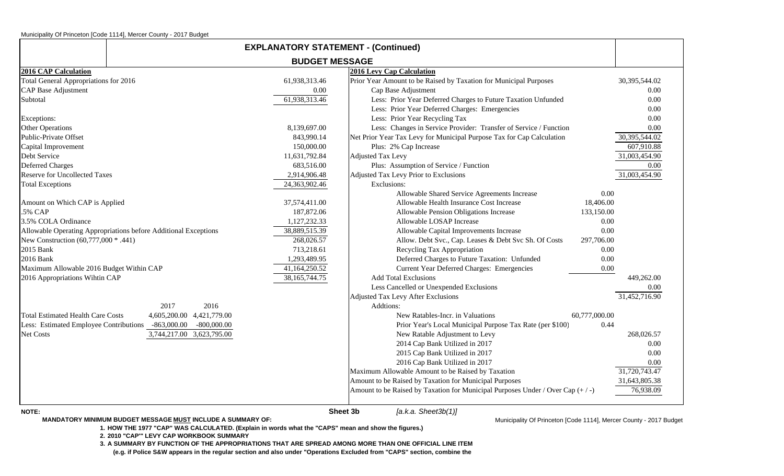| <b>EXPLANATORY STATEMENT - (Continued)</b> |                                                                 |                       |                                                                               |               |
|--------------------------------------------|-----------------------------------------------------------------|-----------------------|-------------------------------------------------------------------------------|---------------|
|                                            |                                                                 | <b>BUDGET MESSAGE</b> |                                                                               |               |
| <b>2016 CAP Calculation</b>                |                                                                 |                       | 2016 Levy Cap Calculation                                                     |               |
| Total General Appropriations for 2016      |                                                                 | 61,938,313.46         | Prior Year Amount to be Raised by Taxation for Municipal Purposes             | 30,395,544.02 |
| <b>CAP</b> Base Adjustment                 |                                                                 | 0.00                  | Cap Base Adjustment                                                           | 0.00          |
| Subtotal                                   |                                                                 | 61,938,313.46         | Less: Prior Year Deferred Charges to Future Taxation Unfunded                 | 0.00          |
|                                            |                                                                 |                       | Less: Prior Year Deferred Charges: Emergencies                                | 0.00          |
| Exceptions:                                |                                                                 |                       | Less: Prior Year Recycling Tax                                                | 0.00          |
| <b>Other Operations</b>                    |                                                                 | 8,139,697.00          | Less: Changes in Service Provider: Transfer of Service / Function             | 0.00          |
| Public-Private Offset                      |                                                                 | 843,990.14            | Net Prior Year Tax Levy for Municipal Purpose Tax for Cap Calculation         | 30,395,544.02 |
| Capital Improvement                        |                                                                 | 150,000.00            | Plus: 2% Cap Increase                                                         | 607,910.88    |
| Debt Service                               |                                                                 | 11,631,792.84         | <b>Adjusted Tax Levy</b>                                                      | 31,003,454.90 |
| <b>Deferred Charges</b>                    |                                                                 | 683,516.00            | Plus: Assumption of Service / Function                                        | 0.00          |
| <b>Reserve for Uncollected Taxes</b>       |                                                                 | 2,914,906.48          | Adjusted Tax Levy Prior to Exclusions                                         | 31,003,454.90 |
| <b>Total Exceptions</b>                    |                                                                 | 24,363,902.46         | Exclusions:                                                                   |               |
|                                            |                                                                 |                       | Allowable Shared Service Agreements Increase                                  | 0.00          |
| Amount on Which CAP is Applied             |                                                                 | 37,574,411.00         | Allowable Health Insurance Cost Increase                                      | 18,406.00     |
| .5% CAP                                    |                                                                 | 187,872.06            | Allowable Pension Obligations Increase                                        | 133,150.00    |
| 3.5% COLA Ordinance                        |                                                                 | 1,127,232.33          | Allowable LOSAP Increase                                                      | 0.00          |
|                                            | Allowable Operating Appropriations before Additional Exceptions | 38,889,515.39         | Allowable Capital Improvements Increase                                       | 0.00          |
| New Construction (60,777,000 * .441)       |                                                                 | 268,026.57            | Allow. Debt Svc., Cap. Leases & Debt Svc Sh. Of Costs                         | 297,706.00    |
| 2015 Bank                                  |                                                                 | 713,218.61            | Recycling Tax Appropriation                                                   | 0.00          |
| 2016 Bank                                  |                                                                 | 1,293,489.95          | Deferred Charges to Future Taxation: Unfunded                                 | 0.00          |
| Maximum Allowable 2016 Budget Within CAP   |                                                                 | 41,164,250.52         | Current Year Deferred Charges: Emergencies                                    | 0.00          |
| 2016 Appropriations Wihtin CAP             |                                                                 | 38, 165, 744. 75      | <b>Add Total Exclusions</b>                                                   | 449,262.00    |
|                                            |                                                                 |                       | Less Cancelled or Unexpended Exclusions                                       | 0.00          |
|                                            |                                                                 |                       | <b>Adjusted Tax Levy After Exclusions</b>                                     | 31,452,716.90 |
|                                            | 2017<br>2016                                                    |                       | Addtions:                                                                     |               |
| <b>Total Estimated Health Care Costs</b>   | 4,605,200.00 4,421,779.00                                       |                       | New Ratables-Incr. in Valuations                                              | 60,777,000.00 |
| Less: Estimated Employee Contributions     | $-863,000.00$<br>$-800,000.00$                                  |                       | Prior Year's Local Municipal Purpose Tax Rate (per \$100)                     | 0.44          |
| Net Costs                                  | 3,744,217.00 3,623,795.00                                       |                       | New Ratable Adjustment to Levy                                                | 268,026.57    |
|                                            |                                                                 |                       | 2014 Cap Bank Utilized in 2017                                                | 0.00          |
|                                            |                                                                 |                       | 2015 Cap Bank Utilized in 2017                                                | 0.00          |
|                                            |                                                                 |                       | 2016 Cap Bank Utilized in 2017                                                | 0.00          |
|                                            |                                                                 |                       | Maximum Allowable Amount to be Raised by Taxation                             | 31,720,743.47 |
|                                            |                                                                 |                       | Amount to be Raised by Taxation for Municipal Purposes                        | 31,643,805.38 |
|                                            |                                                                 |                       | Amount to be Raised by Taxation for Municipal Purposes Under / Over Cap (+/-) | 76,938.09     |
|                                            |                                                                 |                       |                                                                               |               |

**NOTE:**

 **Sheet 3bMANDATORY MINIMUM BUDGET MESSAGE MUST INCLUDE A SUMMARY OF:**

*[a.k.a. Sheet3b(1)]*

Municipality Of Princeton [Code 1114], Mercer County - 2017 Budget

**1. HOW THE 1977 "CAP" WAS CALCULATED. (Explain in words what the "CAPS" mean and show the figures.)**

**2. 2010 "CAP'" LEVY CAP WORKBOOK SUMMARY**

**3. A SUMMARY BY FUNCTION OF THE APPROPRIATIONS THAT ARE SPREAD AMONG MORE THAN ONE OFFICIAL LINE ITEM**

**(e.g. if Police S&W appears in the regular section and also under "Operations Excluded from "CAPS" section, combine the**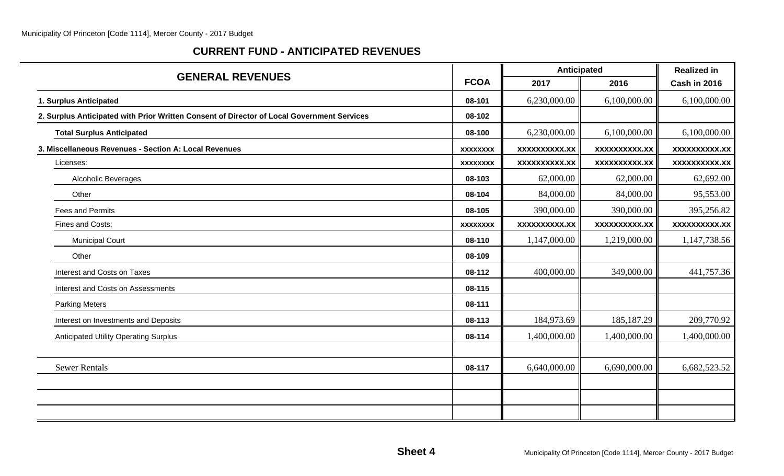# **CURRENT FUND - ANTICIPATED REVENUES**

| <b>GENERAL REVENUES</b>                                                                    |                 | <b>Anticipated</b>   | <b>Realized in</b>   |                     |  |
|--------------------------------------------------------------------------------------------|-----------------|----------------------|----------------------|---------------------|--|
|                                                                                            | <b>FCOA</b>     | 2017                 | 2016                 | Cash in 2016        |  |
| 1. Surplus Anticipated                                                                     | 08-101          | 6,230,000.00         | 6,100,000.00         | 6,100,000.00        |  |
| 2. Surplus Anticipated with Prior Written Consent of Director of Local Government Services | 08-102          |                      |                      |                     |  |
| <b>Total Surplus Anticipated</b>                                                           | 08-100          | 6,230,000.00         | 6,100,000.00         | 6,100,000.00        |  |
| 3. Miscellaneous Revenues - Section A: Local Revenues                                      | <b>XXXXXXXX</b> | XXXXXXXXXX.XX        | <b>XXXXXXXXXX.XX</b> | <b>XXXXXXXXX.XX</b> |  |
| Licenses:                                                                                  | <b>XXXXXXXX</b> | <b>XXXXXXXXXX.XX</b> | <b>XXXXXXXXXX.XX</b> | xxxxxxxxxx.xx       |  |
| Alcoholic Beverages                                                                        | 08-103          | 62,000.00            | 62,000.00            | 62,692.00           |  |
| Other                                                                                      | 08-104          | 84,000.00            | 84,000.00            | 95,553.00           |  |
| <b>Fees and Permits</b>                                                                    | 08-105          | 390,000.00           | 390,000.00           | 395,256.82          |  |
| Fines and Costs:                                                                           | <b>XXXXXXXX</b> | <b>XXXXXXXXXX.XX</b> | XXXXXXXXXX.XX        | <b>XXXXXXXXX.XX</b> |  |
| <b>Municipal Court</b>                                                                     | 08-110          | 1,147,000.00         | 1,219,000.00         | 1,147,738.56        |  |
| Other                                                                                      | 08-109          |                      |                      |                     |  |
| Interest and Costs on Taxes                                                                | 08-112          | 400,000.00           | 349,000.00           | 441,757.36          |  |
| Interest and Costs on Assessments                                                          | 08-115          |                      |                      |                     |  |
| <b>Parking Meters</b>                                                                      | 08-111          |                      |                      |                     |  |
| Interest on Investments and Deposits                                                       | 08-113          | 184,973.69           | 185, 187. 29         | 209,770.92          |  |
| <b>Anticipated Utility Operating Surplus</b>                                               | 08-114          | 1,400,000.00         | 1,400,000.00         | 1,400,000.00        |  |
|                                                                                            |                 |                      |                      |                     |  |
| <b>Sewer Rentals</b>                                                                       | 08-117          | 6,640,000.00         | 6,690,000.00         | 6,682,523.52        |  |
|                                                                                            |                 |                      |                      |                     |  |
|                                                                                            |                 |                      |                      |                     |  |
|                                                                                            |                 |                      |                      |                     |  |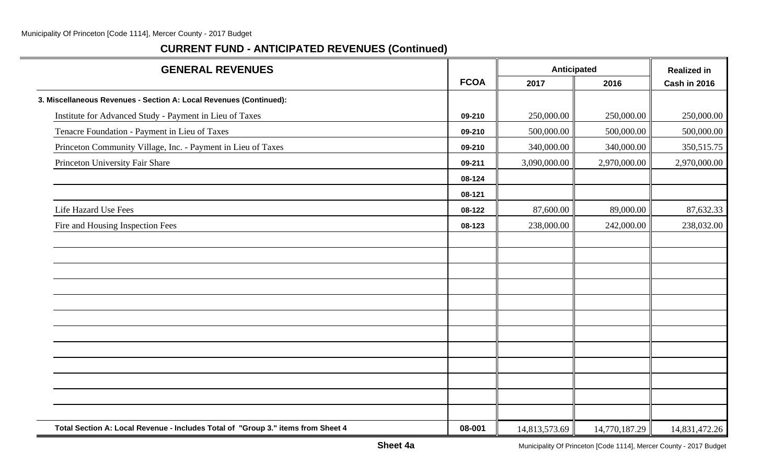| <b>GENERAL REVENUES</b>                                                          |             | Anticipated   |               | <b>Realized in</b> |
|----------------------------------------------------------------------------------|-------------|---------------|---------------|--------------------|
|                                                                                  | <b>FCOA</b> | 2017          | 2016          | Cash in 2016       |
| 3. Miscellaneous Revenues - Section A: Local Revenues (Continued):               |             |               |               |                    |
| Institute for Advanced Study - Payment in Lieu of Taxes                          | 09-210      | 250,000.00    | 250,000.00    | 250,000.00         |
| Tenacre Foundation - Payment in Lieu of Taxes                                    | 09-210      | 500,000.00    | 500,000.00    | 500,000.00         |
| Princeton Community Village, Inc. - Payment in Lieu of Taxes                     | 09-210      | 340,000.00    | 340,000.00    | 350, 515. 75       |
| Princeton University Fair Share                                                  | 09-211      | 3,090,000.00  | 2,970,000.00  | 2,970,000.00       |
|                                                                                  | 08-124      |               |               |                    |
|                                                                                  | 08-121      |               |               |                    |
| Life Hazard Use Fees                                                             | 08-122      | 87,600.00     | 89,000.00     | 87,632.33          |
| Fire and Housing Inspection Fees                                                 | 08-123      | 238,000.00    | 242,000.00    | 238,032.00         |
|                                                                                  |             |               |               |                    |
|                                                                                  |             |               |               |                    |
|                                                                                  |             |               |               |                    |
|                                                                                  |             |               |               |                    |
|                                                                                  |             |               |               |                    |
|                                                                                  |             |               |               |                    |
|                                                                                  |             |               |               |                    |
|                                                                                  |             |               |               |                    |
|                                                                                  |             |               |               |                    |
|                                                                                  |             |               |               |                    |
|                                                                                  |             |               |               |                    |
|                                                                                  |             |               |               |                    |
| Total Section A: Local Revenue - Includes Total of "Group 3." items from Sheet 4 | 08-001      | 14,813,573.69 | 14,770,187.29 | 14,831,472.26      |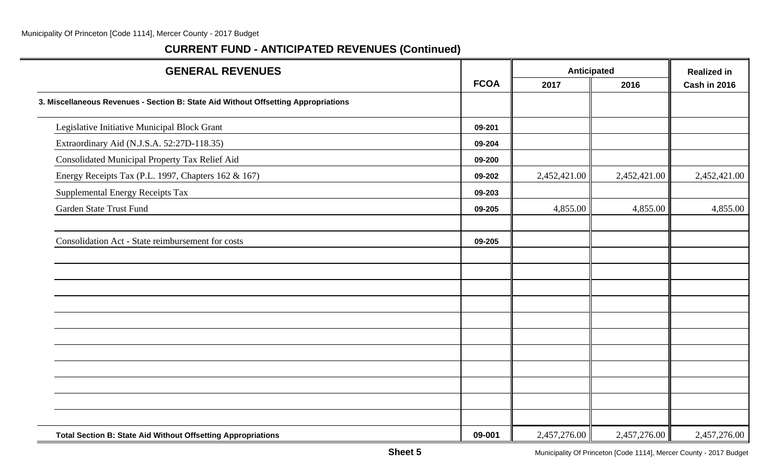| <b>GENERAL REVENUES</b>                                                            |             | Anticipated  | <b>Realized in</b> |              |
|------------------------------------------------------------------------------------|-------------|--------------|--------------------|--------------|
|                                                                                    | <b>FCOA</b> | 2017         | 2016               | Cash in 2016 |
| 3. Miscellaneous Revenues - Section B: State Aid Without Offsetting Appropriations |             |              |                    |              |
| Legislative Initiative Municipal Block Grant                                       | 09-201      |              |                    |              |
| Extraordinary Aid (N.J.S.A. 52:27D-118.35)                                         | 09-204      |              |                    |              |
| Consolidated Municipal Property Tax Relief Aid                                     | 09-200      |              |                    |              |
| Energy Receipts Tax (P.L. 1997, Chapters 162 & 167)                                | 09-202      | 2,452,421.00 | 2,452,421.00       | 2,452,421.00 |
| Supplemental Energy Receipts Tax                                                   | 09-203      |              |                    |              |
| Garden State Trust Fund                                                            | 09-205      | 4,855.00     | 4,855.00           | 4,855.00     |
| Consolidation Act - State reimbursement for costs                                  | 09-205      |              |                    |              |
|                                                                                    |             |              |                    |              |
|                                                                                    |             |              |                    |              |
|                                                                                    |             |              |                    |              |
|                                                                                    |             |              |                    |              |
|                                                                                    |             |              |                    |              |
|                                                                                    |             |              |                    |              |
|                                                                                    |             |              |                    |              |
|                                                                                    |             |              |                    |              |
| <b>Total Section B: State Aid Without Offsetting Appropriations</b>                | 09-001      | 2,457,276.00 | 2,457,276.00       | 2,457,276.00 |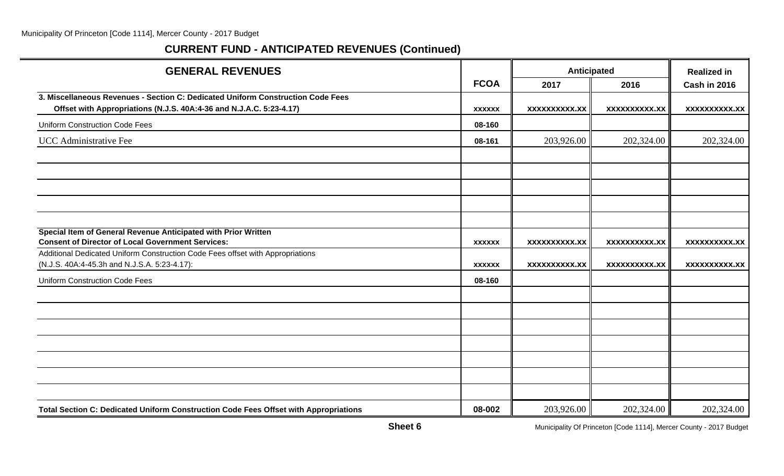# **CURRENT FUND - ANTICIPATED REVENUES (Continued)**

| <b>GENERAL REVENUES</b>                                                                                                                                |               | Anticipated          |                      | <b>Realized in</b>   |
|--------------------------------------------------------------------------------------------------------------------------------------------------------|---------------|----------------------|----------------------|----------------------|
|                                                                                                                                                        | <b>FCOA</b>   | 2017                 | 2016                 | Cash in 2016         |
| 3. Miscellaneous Revenues - Section C: Dedicated Uniform Construction Code Fees<br>Offset with Appropriations (N.J.S. 40A:4-36 and N.J.A.C. 5:23-4.17) | <b>XXXXXX</b> | <b>XXXXXXXXXX.XX</b> | <b>XXXXXXXXXX.XX</b> | <b>XXXXXXXXXX.XX</b> |
| <b>Uniform Construction Code Fees</b>                                                                                                                  | 08-160        |                      |                      |                      |
| UCC Administrative Fee                                                                                                                                 | 08-161        | 203,926.00           | 202,324.00           | 202,324.00           |
|                                                                                                                                                        |               |                      |                      |                      |
|                                                                                                                                                        |               |                      |                      |                      |
|                                                                                                                                                        |               |                      |                      |                      |
| Special Item of General Revenue Anticipated with Prior Written<br><b>Consent of Director of Local Government Services:</b>                             | <b>XXXXXX</b> | <b>XXXXXXXXXX.XX</b> | <b>XXXXXXXXXX.XX</b> | <b>XXXXXXXXXX.XX</b> |
| Additional Dedicated Uniform Construction Code Fees offset with Appropriations<br>(N.J.S. 40A:4-45.3h and N.J.S.A. 5:23-4.17):                         | <b>XXXXXX</b> | XXXXXXXXXX.XX        | XXXXXXXXXX.XX        | <b>XXXXXXXXXX.XX</b> |
| <b>Uniform Construction Code Fees</b>                                                                                                                  | 08-160        |                      |                      |                      |
|                                                                                                                                                        |               |                      |                      |                      |
|                                                                                                                                                        |               |                      |                      |                      |
|                                                                                                                                                        |               |                      |                      |                      |
|                                                                                                                                                        |               |                      |                      |                      |
|                                                                                                                                                        |               |                      |                      |                      |
|                                                                                                                                                        |               |                      |                      |                      |
|                                                                                                                                                        |               |                      |                      |                      |
| Total Section C: Dedicated Uniform Construction Code Fees Offset with Appropriations                                                                   | 08-002        | 203,926.00           | 202,324.00           | 202,324.00           |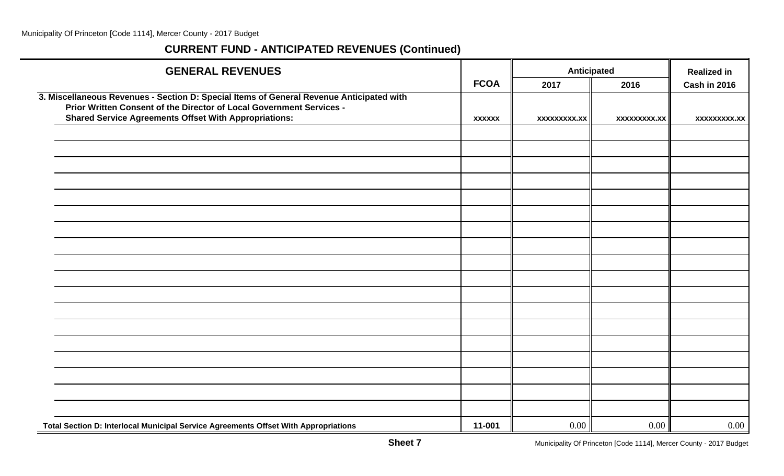| <b>GENERAL REVENUES</b>                                                                                                                                          |               | Anticipated         |                     | <b>Realized in</b>  |
|------------------------------------------------------------------------------------------------------------------------------------------------------------------|---------------|---------------------|---------------------|---------------------|
|                                                                                                                                                                  | <b>FCOA</b>   | 2017                | 2016                | <b>Cash in 2016</b> |
| 3. Miscellaneous Revenues - Section D: Special Items of General Revenue Anticipated with<br>Prior Written Consent of the Director of Local Government Services - |               |                     |                     |                     |
| <b>Shared Service Agreements Offset With Appropriations:</b>                                                                                                     | <b>XXXXXX</b> | <b>XXXXXXXXX.XX</b> | <b>XXXXXXXXX.XX</b> | xxxxxxxxx.xx        |
|                                                                                                                                                                  |               |                     |                     |                     |
|                                                                                                                                                                  |               |                     |                     |                     |
|                                                                                                                                                                  |               |                     |                     |                     |
|                                                                                                                                                                  |               |                     |                     |                     |
|                                                                                                                                                                  |               |                     |                     |                     |
|                                                                                                                                                                  |               |                     |                     |                     |
|                                                                                                                                                                  |               |                     |                     |                     |
|                                                                                                                                                                  |               |                     |                     |                     |
|                                                                                                                                                                  |               |                     |                     |                     |
|                                                                                                                                                                  |               |                     |                     |                     |
|                                                                                                                                                                  |               |                     |                     |                     |
|                                                                                                                                                                  |               |                     |                     |                     |
|                                                                                                                                                                  |               |                     |                     |                     |
|                                                                                                                                                                  |               |                     |                     |                     |
|                                                                                                                                                                  |               |                     |                     |                     |
|                                                                                                                                                                  |               |                     |                     |                     |
|                                                                                                                                                                  |               |                     |                     |                     |
|                                                                                                                                                                  |               |                     |                     |                     |
| Total Section D: Interlocal Municipal Service Agreements Offset With Appropriations                                                                              | 11-001        | 0.00                | 0.00                | $0.00\,$            |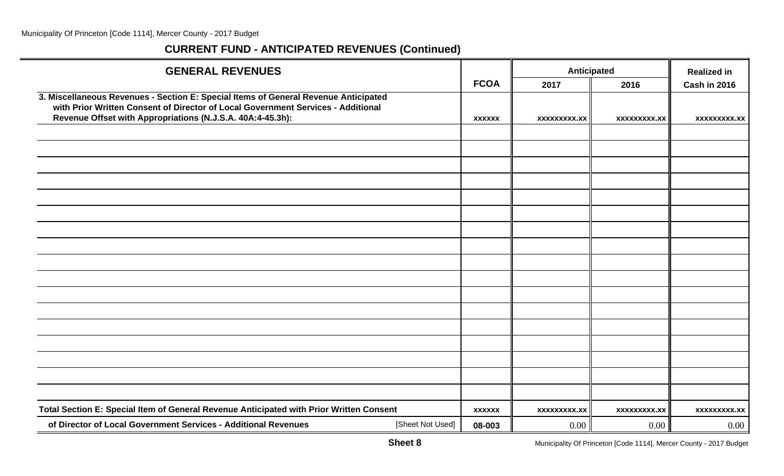| <b>GENERAL REVENUES</b>                                                                                                                                                                                                               |               |                     | Anticipated         | <b>Realized in</b>  |
|---------------------------------------------------------------------------------------------------------------------------------------------------------------------------------------------------------------------------------------|---------------|---------------------|---------------------|---------------------|
|                                                                                                                                                                                                                                       | <b>FCOA</b>   | 2017                | 2016                | Cash in 2016        |
| 3. Miscellaneous Revenues - Section E: Special Items of General Revenue Anticipated<br>with Prior Written Consent of Director of Local Government Services - Additional<br>Revenue Offset with Appropriations (N.J.S.A. 40A:4-45.3h): | <b>XXXXXX</b> | <b>XXXXXXXXX.XX</b> | <b>XXXXXXXXX.XX</b> | <b>XXXXXXXXX.XX</b> |
|                                                                                                                                                                                                                                       |               |                     |                     |                     |
|                                                                                                                                                                                                                                       |               |                     |                     |                     |
|                                                                                                                                                                                                                                       |               |                     |                     |                     |
|                                                                                                                                                                                                                                       |               |                     |                     |                     |
|                                                                                                                                                                                                                                       |               |                     |                     |                     |
|                                                                                                                                                                                                                                       |               |                     |                     |                     |
|                                                                                                                                                                                                                                       |               |                     |                     |                     |
|                                                                                                                                                                                                                                       |               |                     |                     |                     |
|                                                                                                                                                                                                                                       |               |                     |                     |                     |
|                                                                                                                                                                                                                                       |               |                     |                     |                     |
|                                                                                                                                                                                                                                       |               |                     |                     |                     |
|                                                                                                                                                                                                                                       |               |                     |                     |                     |
|                                                                                                                                                                                                                                       |               |                     |                     |                     |
|                                                                                                                                                                                                                                       |               |                     |                     |                     |
|                                                                                                                                                                                                                                       |               |                     |                     |                     |
|                                                                                                                                                                                                                                       |               |                     |                     |                     |
|                                                                                                                                                                                                                                       |               |                     |                     |                     |
|                                                                                                                                                                                                                                       |               |                     |                     |                     |
| Total Section E: Special Item of General Revenue Anticipated with Prior Written Consent                                                                                                                                               | <b>XXXXXX</b> | xxxxxxxxx.xx        | <b>XXXXXXXXX.XX</b> | <b>XXXXXXXXX.XX</b> |
| of Director of Local Government Services - Additional Revenues<br>[Sheet Not Used]                                                                                                                                                    | 08-003        | 0.00                | $0.00\,$            | 0.00                |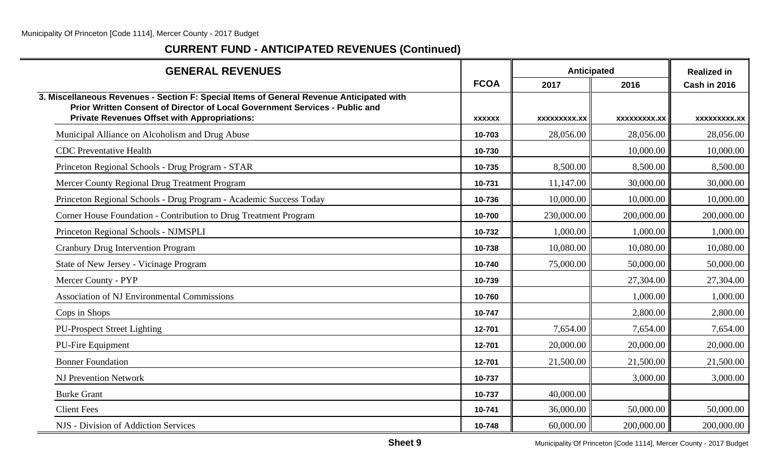| <b>GENERAL REVENUES</b>                                                                                                                                                                                                        |               | Anticipated  |                     | <b>Realized in</b> |
|--------------------------------------------------------------------------------------------------------------------------------------------------------------------------------------------------------------------------------|---------------|--------------|---------------------|--------------------|
|                                                                                                                                                                                                                                | <b>FCOA</b>   | 2017         | 2016                | Cash in 2016       |
| 3. Miscellaneous Revenues - Section F: Special Items of General Revenue Anticipated with<br>Prior Written Consent of Director of Local Government Services - Public and<br><b>Private Revenues Offset with Appropriations:</b> | <b>XXXXXX</b> | XXXXXXXXX.XX | <b>XXXXXXXXX.XX</b> | xxxxxxxxx.xx       |
| Municipal Alliance on Alcoholism and Drug Abuse                                                                                                                                                                                | 10-703        | 28,056.00    | 28,056.00           | 28,056.00          |
| <b>CDC</b> Preventative Health                                                                                                                                                                                                 | 10-730        |              | 10,000.00           | 10,000.00          |
| Princeton Regional Schools - Drug Program - STAR                                                                                                                                                                               | 10-735        | 8,500.00     | 8,500.00            | 8,500.00           |
| Mercer County Regional Drug Treatment Program                                                                                                                                                                                  | 10-731        | 11,147.00    | 30,000.00           | 30,000.00          |
| Princeton Regional Schools - Drug Program - Academic Success Today                                                                                                                                                             | 10-736        | 10,000.00    | 10,000.00           | 10,000.00          |
| Corner House Foundation - Contribution to Drug Treatment Program                                                                                                                                                               | 10-700        | 230,000.00   | 200,000.00          | 200,000.00         |
| Princeton Regional Schools - NJMSPLI                                                                                                                                                                                           | 10-732        | 1,000.00     | 1,000.00            | 1,000.00           |
| <b>Cranbury Drug Intervention Program</b>                                                                                                                                                                                      | 10-738        | 10,080.00    | 10,080.00           | 10,080.00          |
| State of New Jersey - Vicinage Program                                                                                                                                                                                         | 10-740        | 75,000.00    | 50,000.00           | 50,000.00          |
| Mercer County - PYP                                                                                                                                                                                                            | 10-739        |              | 27,304.00           | 27,304.00          |
| <b>Association of NJ Environmental Commissions</b>                                                                                                                                                                             | 10-760        |              | 1,000.00            | 1,000.00           |
| Cops in Shops                                                                                                                                                                                                                  | 10-747        |              | 2,800.00            | 2,800.00           |
| <b>PU-Prospect Street Lighting</b>                                                                                                                                                                                             | 12-701        | 7,654.00     | 7,654.00            | 7,654.00           |
| PU-Fire Equipment                                                                                                                                                                                                              | 12-701        | 20,000.00    | 20,000.00           | 20,000.00          |
| <b>Bonner Foundation</b>                                                                                                                                                                                                       | 12-701        | 21,500.00    | 21,500.00           | 21,500.00          |
| <b>NJ Prevention Network</b>                                                                                                                                                                                                   | 10-737        |              | 3,000.00            | 3,000.00           |
| <b>Burke Grant</b>                                                                                                                                                                                                             | 10-737        | 40,000.00    |                     |                    |
| <b>Client Fees</b>                                                                                                                                                                                                             | 10-741        | 36,000.00    | 50,000.00           | 50,000.00          |
| NJS - Division of Addiction Services                                                                                                                                                                                           | 10-748        | 60,000.00    | 200,000.00          | 200,000.00         |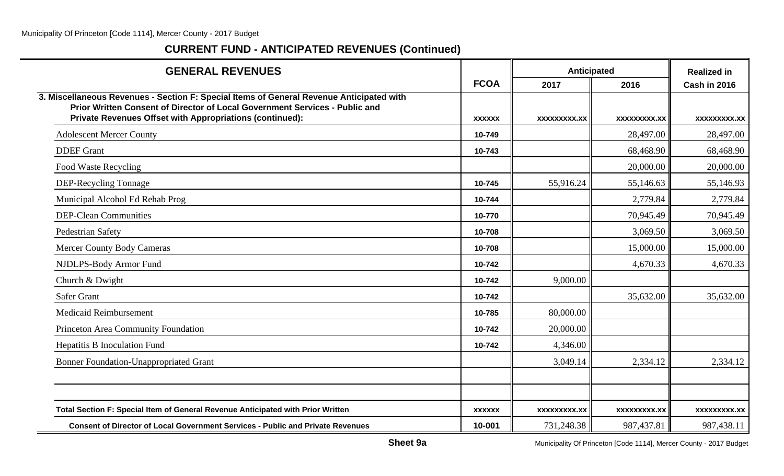| <b>GENERAL REVENUES</b>                                                                                                                                                                                                             |               | Anticipated         |              | <b>Realized in</b>  |
|-------------------------------------------------------------------------------------------------------------------------------------------------------------------------------------------------------------------------------------|---------------|---------------------|--------------|---------------------|
|                                                                                                                                                                                                                                     | <b>FCOA</b>   | 2017                | 2016         | <b>Cash in 2016</b> |
| 3. Miscellaneous Revenues - Section F: Special Items of General Revenue Anticipated with<br>Prior Written Consent of Director of Local Government Services - Public and<br>Private Revenues Offset with Appropriations (continued): | <b>XXXXXX</b> | <b>XXXXXXXXX.XX</b> | XXXXXXXXX.XX | XXXXXXXXX.XX        |
| <b>Adolescent Mercer County</b>                                                                                                                                                                                                     | 10-749        |                     | 28,497.00    | 28,497.00           |
| <b>DDEF</b> Grant                                                                                                                                                                                                                   | 10-743        |                     | 68,468.90    | 68,468.90           |
| Food Waste Recycling                                                                                                                                                                                                                |               |                     | 20,000.00    | 20,000.00           |
| DEP-Recycling Tonnage                                                                                                                                                                                                               | 10-745        | 55,916.24           | 55,146.63    | 55,146.93           |
| Municipal Alcohol Ed Rehab Prog                                                                                                                                                                                                     | 10-744        |                     | 2,779.84     | 2,779.84            |
| <b>DEP-Clean Communities</b>                                                                                                                                                                                                        | 10-770        |                     | 70,945.49    | 70,945.49           |
| Pedestrian Safety                                                                                                                                                                                                                   | 10-708        |                     | 3,069.50     | 3,069.50            |
| <b>Mercer County Body Cameras</b>                                                                                                                                                                                                   | 10-708        |                     | 15,000.00    | 15,000.00           |
| NJDLPS-Body Armor Fund                                                                                                                                                                                                              | 10-742        |                     | 4,670.33     | 4,670.33            |
| Church & Dwight                                                                                                                                                                                                                     | 10-742        | 9,000.00            |              |                     |
| <b>Safer Grant</b>                                                                                                                                                                                                                  | 10-742        |                     | 35,632.00    | 35,632.00           |
| <b>Medicaid Reimbursement</b>                                                                                                                                                                                                       | 10-785        | 80,000.00           |              |                     |
| Princeton Area Community Foundation                                                                                                                                                                                                 | 10-742        | 20,000.00           |              |                     |
| Hepatitis B Inoculation Fund                                                                                                                                                                                                        | 10-742        | 4,346.00            |              |                     |
| <b>Bonner Foundation-Unappropriated Grant</b>                                                                                                                                                                                       |               | 3,049.14            | 2,334.12     | 2,334.12            |
|                                                                                                                                                                                                                                     |               |                     |              |                     |
| Total Section F: Special Item of General Revenue Anticipated with Prior Written                                                                                                                                                     | <b>XXXXXX</b> | XXXXXXXXX.XX        | XXXXXXXXX.XX | XXXXXXXXX.XX        |
| <b>Consent of Director of Local Government Services - Public and Private Revenues</b>                                                                                                                                               | 10-001        | 731,248.38          | 987,437.81   | 987,438.11          |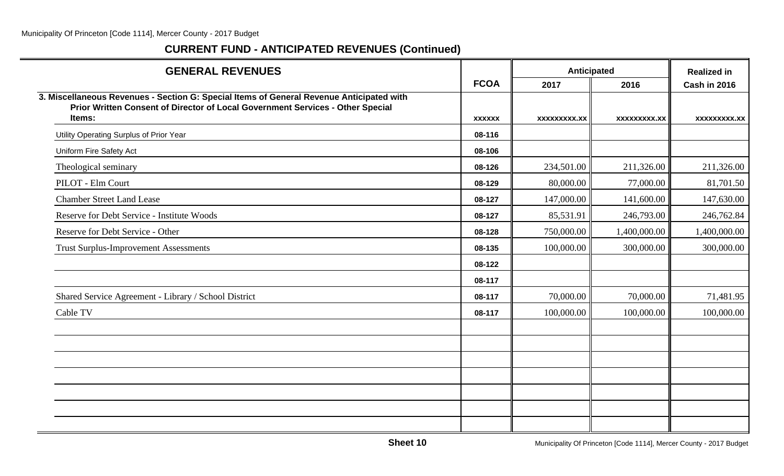| <b>GENERAL REVENUES</b>                                                                                                                                                    |               |                     | Anticipated  | <b>Realized in</b>  |
|----------------------------------------------------------------------------------------------------------------------------------------------------------------------------|---------------|---------------------|--------------|---------------------|
|                                                                                                                                                                            | <b>FCOA</b>   | 2017                | 2016         | <b>Cash in 2016</b> |
| 3. Miscellaneous Revenues - Section G: Special Items of General Revenue Anticipated with<br>Prior Written Consent of Director of Local Government Services - Other Special |               |                     |              |                     |
| Items:                                                                                                                                                                     | <b>XXXXXX</b> | <b>XXXXXXXXX.XX</b> | XXXXXXXXX.XX | XXXXXXXXX.XX        |
| Utility Operating Surplus of Prior Year                                                                                                                                    | 08-116        |                     |              |                     |
| Uniform Fire Safety Act                                                                                                                                                    | 08-106        |                     |              |                     |
| Theological seminary                                                                                                                                                       | 08-126        | 234,501.00          | 211,326.00   | 211,326.00          |
| PILOT - Elm Court                                                                                                                                                          | 08-129        | 80,000.00           | 77,000.00    | 81,701.50           |
| <b>Chamber Street Land Lease</b>                                                                                                                                           | 08-127        | 147,000.00          | 141,600.00   | 147,630.00          |
| Reserve for Debt Service - Institute Woods                                                                                                                                 | 08-127        | 85,531.91           | 246,793.00   | 246,762.84          |
| Reserve for Debt Service - Other                                                                                                                                           | 08-128        | 750,000.00          | 1,400,000.00 | 1,400,000.00        |
| <b>Trust Surplus-Improvement Assessments</b>                                                                                                                               | 08-135        | 100,000.00          | 300,000.00   | 300,000.00          |
|                                                                                                                                                                            | 08-122        |                     |              |                     |
|                                                                                                                                                                            | 08-117        |                     |              |                     |
| Shared Service Agreement - Library / School District                                                                                                                       | 08-117        | 70,000.00           | 70,000.00    | 71,481.95           |
| Cable TV                                                                                                                                                                   | 08-117        | 100,000.00          | 100,000.00   | 100,000.00          |
|                                                                                                                                                                            |               |                     |              |                     |
|                                                                                                                                                                            |               |                     |              |                     |
|                                                                                                                                                                            |               |                     |              |                     |
|                                                                                                                                                                            |               |                     |              |                     |
|                                                                                                                                                                            |               |                     |              |                     |
|                                                                                                                                                                            |               |                     |              |                     |
|                                                                                                                                                                            |               |                     |              |                     |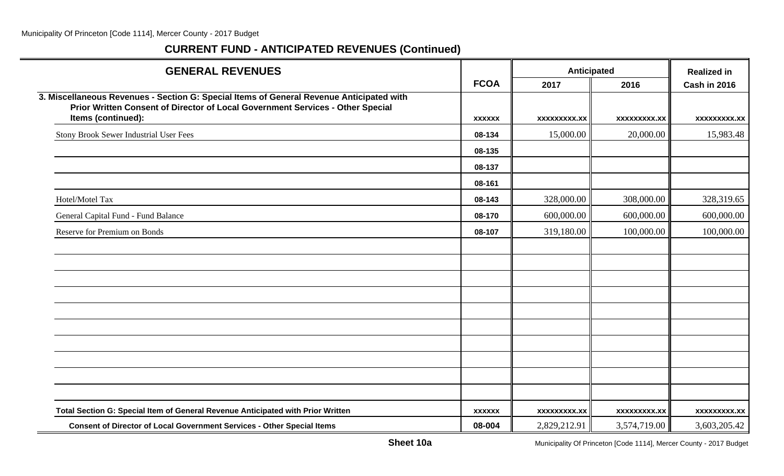| <b>GENERAL REVENUES</b>                                                                                                                                                    |               | Anticipated         |                     | <b>Realized in</b>  |
|----------------------------------------------------------------------------------------------------------------------------------------------------------------------------|---------------|---------------------|---------------------|---------------------|
|                                                                                                                                                                            | <b>FCOA</b>   | 2017                | 2016                | <b>Cash in 2016</b> |
| 3. Miscellaneous Revenues - Section G: Special Items of General Revenue Anticipated with<br>Prior Written Consent of Director of Local Government Services - Other Special |               |                     |                     |                     |
| Items (continued):                                                                                                                                                         | <b>XXXXXX</b> | xxxxxxxxx.xx        | <b>XXXXXXXXX.XX</b> | xxxxxxxxx.xx        |
| Stony Brook Sewer Industrial User Fees                                                                                                                                     | 08-134        | 15,000.00           | 20,000.00           | 15,983.48           |
|                                                                                                                                                                            | 08-135        |                     |                     |                     |
|                                                                                                                                                                            | 08-137        |                     |                     |                     |
|                                                                                                                                                                            | 08-161        |                     |                     |                     |
| Hotel/Motel Tax                                                                                                                                                            | 08-143        | 328,000.00          | 308,000.00          | 328,319.65          |
| General Capital Fund - Fund Balance                                                                                                                                        | 08-170        | 600,000.00          | 600,000.00          | 600,000.00          |
| Reserve for Premium on Bonds                                                                                                                                               | 08-107        | 319,180.00          | 100,000.00          | 100,000.00          |
|                                                                                                                                                                            |               |                     |                     |                     |
|                                                                                                                                                                            |               |                     |                     |                     |
|                                                                                                                                                                            |               |                     |                     |                     |
|                                                                                                                                                                            |               |                     |                     |                     |
|                                                                                                                                                                            |               |                     |                     |                     |
|                                                                                                                                                                            |               |                     |                     |                     |
|                                                                                                                                                                            |               |                     |                     |                     |
|                                                                                                                                                                            |               |                     |                     |                     |
|                                                                                                                                                                            |               |                     |                     |                     |
|                                                                                                                                                                            |               |                     |                     |                     |
| Total Section G: Special Item of General Revenue Anticipated with Prior Written                                                                                            | <b>XXXXXX</b> | <b>XXXXXXXXX.XX</b> | <b>XXXXXXXXX.XX</b> | <b>XXXXXXXXX.XX</b> |
| <b>Consent of Director of Local Government Services - Other Special Items</b>                                                                                              | 08-004        | 2,829,212.91        | 3,574,719.00        | 3,603,205.42        |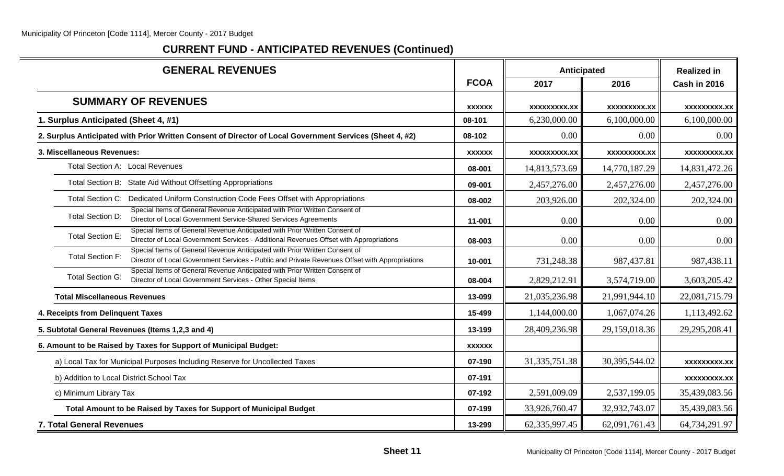| <b>GENERAL REVENUES</b>                                                                                                                                                                                 |               | <b>Anticipated</b>  |                     | <b>Realized in</b>  |
|---------------------------------------------------------------------------------------------------------------------------------------------------------------------------------------------------------|---------------|---------------------|---------------------|---------------------|
|                                                                                                                                                                                                         | <b>FCOA</b>   | 2017                | 2016                | Cash in 2016        |
| <b>SUMMARY OF REVENUES</b>                                                                                                                                                                              | <b>XXXXXX</b> | <b>XXXXXXXXX.XX</b> | xxxxxxxxx.xx        | <b>XXXXXXXXX.XX</b> |
| 1. Surplus Anticipated (Sheet 4, #1)                                                                                                                                                                    | 08-101        | 6,230,000.00        | 6,100,000.00        | 6,100,000.00        |
| 2. Surplus Anticipated with Prior Written Consent of Director of Local Government Services (Sheet 4, #2)                                                                                                | 08-102        | 0.00                | 0.00                | 0.00                |
| 3. Miscellaneous Revenues:                                                                                                                                                                              | <b>XXXXXX</b> | <b>XXXXXXXXX.XX</b> | <b>XXXXXXXXX.XX</b> | xxxxxxxxx.xx        |
| Total Section A: Local Revenues                                                                                                                                                                         | 08-001        | 14,813,573.69       | 14,770,187.29       | 14,831,472.26       |
| Total Section B: State Aid Without Offsetting Appropriations                                                                                                                                            | 09-001        | 2,457,276.00        | 2,457,276.00        | 2,457,276.00        |
| Total Section C: Dedicated Uniform Construction Code Fees Offset with Appropriations                                                                                                                    | 08-002        | 203,926.00          | 202,324.00          | 202,324.00          |
| Special Items of General Revenue Anticipated with Prior Written Consent of<br>Total Section D:<br>Director of Local Government Service-Shared Services Agreements                                       | 11-001        | 0.00                | 0.00                | 0.00                |
| Special Items of General Revenue Anticipated with Prior Written Consent of<br>Total Section E:<br>Director of Local Government Services - Additional Revenues Offset with Appropriations                | 08-003        | 0.00                | 0.00                | 0.00                |
| Special Items of General Revenue Anticipated with Prior Written Consent of<br><b>Total Section F:</b><br>Director of Local Government Services - Public and Private Revenues Offset with Appropriations | 10-001        | 731,248.38          | 987,437.81          | 987,438.11          |
| Special Items of General Revenue Anticipated with Prior Written Consent of<br><b>Total Section G:</b><br>Director of Local Government Services - Other Special Items                                    | 08-004        | 2,829,212.91        | 3,574,719.00        | 3,603,205.42        |
| <b>Total Miscellaneous Revenues</b>                                                                                                                                                                     | 13-099        | 21,035,236.98       | 21,991,944.10       | 22,081,715.79       |
| 4. Receipts from Delinquent Taxes                                                                                                                                                                       | 15-499        | 1,144,000.00        | 1,067,074.26        | 1,113,492.62        |
| 5. Subtotal General Revenues (Items 1,2,3 and 4)                                                                                                                                                        | 13-199        | 28,409,236.98       | 29,159,018.36       | 29, 295, 208. 41    |
| 6. Amount to be Raised by Taxes for Support of Municipal Budget:                                                                                                                                        | <b>XXXXXX</b> |                     |                     |                     |
| a) Local Tax for Municipal Purposes Including Reserve for Uncollected Taxes                                                                                                                             | 07-190        | 31, 335, 751.38     | 30,395,544.02       | xxxxxxxxx.xx        |
| b) Addition to Local District School Tax                                                                                                                                                                | 07-191        |                     |                     | <b>XXXXXXXXX.XX</b> |
| c) Minimum Library Tax                                                                                                                                                                                  | 07-192        | 2,591,009.09        | 2,537,199.05        | 35,439,083.56       |
| Total Amount to be Raised by Taxes for Support of Municipal Budget                                                                                                                                      | 07-199        | 33,926,760.47       | 32,932,743.07       | 35,439,083.56       |
| 7. Total General Revenues                                                                                                                                                                               | 13-299        | 62, 335, 997. 45    | 62,091,761.43       | 64,734,291.97       |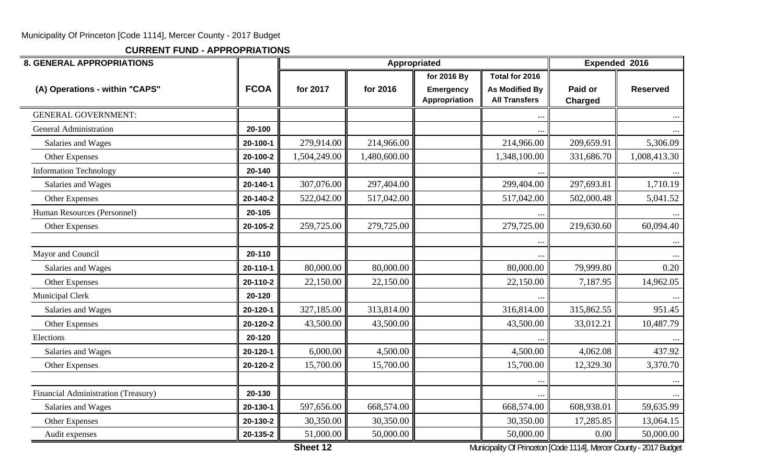**CURRENT FUND - APPROPRIATIONS**

| <b>8. GENERAL APPROPRIATIONS</b>    |             |              | Appropriated |                                   |                                               | Expended 2016             |                 |
|-------------------------------------|-------------|--------------|--------------|-----------------------------------|-----------------------------------------------|---------------------------|-----------------|
|                                     |             |              |              | for 2016 By                       | Total for 2016                                |                           |                 |
| (A) Operations - within "CAPS"      | <b>FCOA</b> | for 2017     | for 2016     | <b>Emergency</b><br>Appropriation | <b>As Modified By</b><br><b>All Transfers</b> | Paid or<br><b>Charged</b> | <b>Reserved</b> |
| <b>GENERAL GOVERNMENT:</b>          |             |              |              |                                   | $\ddotsc$                                     |                           |                 |
| <b>General Administration</b>       | 20-100      |              |              |                                   |                                               |                           |                 |
| Salaries and Wages                  | 20-100-1    | 279,914.00   | 214,966.00   |                                   | 214,966.00                                    | 209,659.91                | 5,306.09        |
| Other Expenses                      | 20-100-2    | 1,504,249.00 | 1,480,600.00 |                                   | 1,348,100.00                                  | 331,686.70                | 1,008,413.30    |
| <b>Information Technology</b>       | 20-140      |              |              |                                   |                                               |                           |                 |
| Salaries and Wages                  | 20-140-1    | 307,076.00   | 297,404.00   |                                   | 299,404.00                                    | 297,693.81                | 1,710.19        |
| Other Expenses                      | 20-140-2    | 522,042.00   | 517,042.00   |                                   | 517,042.00                                    | 502,000.48                | 5,041.52        |
| Human Resources (Personnel)         | 20-105      |              |              |                                   |                                               |                           |                 |
| Other Expenses                      | 20-105-2    | 259,725.00   | 279,725.00   |                                   | 279,725.00                                    | 219,630.60                | 60,094.40       |
|                                     |             |              |              |                                   |                                               |                           |                 |
| Mayor and Council                   | 20-110      |              |              |                                   |                                               |                           |                 |
| Salaries and Wages                  | 20-110-1    | 80,000.00    | 80,000.00    |                                   | 80,000.00                                     | 79,999.80                 | 0.20            |
| Other Expenses                      | 20-110-2    | 22,150.00    | 22,150.00    |                                   | 22,150.00                                     | 7,187.95                  | 14,962.05       |
| Municipal Clerk                     | 20-120      |              |              |                                   |                                               |                           |                 |
| Salaries and Wages                  | 20-120-1    | 327,185.00   | 313,814.00   |                                   | 316,814.00                                    | 315,862.55                | 951.45          |
| Other Expenses                      | 20-120-2    | 43,500.00    | 43,500.00    |                                   | 43,500.00                                     | 33,012.21                 | 10,487.79       |
| Elections                           | 20-120      |              |              |                                   |                                               |                           |                 |
| Salaries and Wages                  | 20-120-1    | 6,000.00     | 4,500.00     |                                   | 4,500.00                                      | 4,062.08                  | 437.92          |
| Other Expenses                      | 20-120-2    | 15,700.00    | 15,700.00    |                                   | 15,700.00                                     | 12,329.30                 | 3,370.70        |
|                                     |             |              |              |                                   |                                               |                           |                 |
| Financial Administration (Treasury) | 20-130      |              |              |                                   | $\ldots$                                      |                           |                 |
| Salaries and Wages                  | 20-130-1    | 597,656.00   | 668,574.00   |                                   | 668,574.00                                    | 608,938.01                | 59,635.99       |
| Other Expenses                      | 20-130-2    | 30,350.00    | 30,350.00    |                                   | 30,350.00                                     | 17,285.85                 | 13,064.15       |
| Audit expenses                      | 20-135-2    | 51,000.00    | 50,000.00    |                                   | 50,000.00                                     | 0.00                      | 50,000.00       |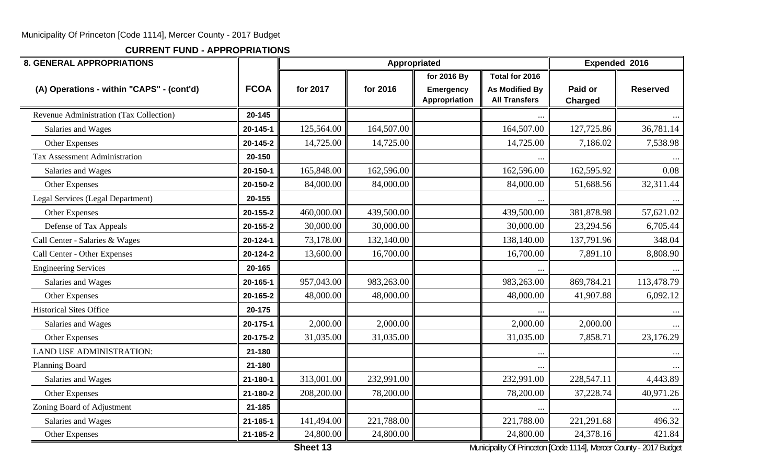**CURRENT FUND - APPROPRIATIONS**

| <b>8. GENERAL APPROPRIATIONS</b>          |                |            | Appropriated |                            |                                               | Expended 2016             |                 |
|-------------------------------------------|----------------|------------|--------------|----------------------------|-----------------------------------------------|---------------------------|-----------------|
|                                           |                |            |              | for 2016 By                | Total for 2016                                |                           |                 |
| (A) Operations - within "CAPS" - (cont'd) | <b>FCOA</b>    | for 2017   | for 2016     | Emergency<br>Appropriation | <b>As Modified By</b><br><b>All Transfers</b> | Paid or<br><b>Charged</b> | <b>Reserved</b> |
| Revenue Administration (Tax Collection)   | 20-145         |            |              |                            |                                               |                           |                 |
| Salaries and Wages                        | 20-145-1       | 125,564.00 | 164,507.00   |                            | 164,507.00                                    | 127,725.86                | 36,781.14       |
| Other Expenses                            | 20-145-2       | 14,725.00  | 14,725.00    |                            | 14,725.00                                     | 7,186.02                  | 7,538.98        |
| Tax Assessment Administration             | 20-150         |            |              |                            |                                               |                           |                 |
| Salaries and Wages                        | 20-150-1       | 165,848.00 | 162,596.00   |                            | 162,596.00                                    | 162,595.92                | 0.08            |
| Other Expenses                            | 20-150-2       | 84,000.00  | 84,000.00    |                            | 84,000.00                                     | 51,688.56                 | 32,311.44       |
| Legal Services (Legal Department)         | 20-155         |            |              |                            |                                               |                           |                 |
| Other Expenses                            | 20-155-2       | 460,000.00 | 439,500.00   |                            | 439,500.00                                    | 381,878.98                | 57,621.02       |
| Defense of Tax Appeals                    | 20-155-2       | 30,000.00  | 30,000.00    |                            | 30,000.00                                     | 23,294.56                 | 6,705.44        |
| Call Center - Salaries & Wages            | $20 - 124 - 1$ | 73,178.00  | 132,140.00   |                            | 138,140.00                                    | 137,791.96                | 348.04          |
| Call Center - Other Expenses              | 20-124-2       | 13,600.00  | 16,700.00    |                            | 16,700.00                                     | 7,891.10                  | 8,808.90        |
| <b>Engineering Services</b>               | 20-165         |            |              |                            |                                               |                           |                 |
| Salaries and Wages                        | 20-165-1       | 957,043.00 | 983,263.00   |                            | 983,263.00                                    | 869,784.21                | 113,478.79      |
| Other Expenses                            | 20-165-2       | 48,000.00  | 48,000.00    |                            | 48,000.00                                     | 41,907.88                 | 6,092.12        |
| <b>Historical Sites Office</b>            | 20-175         |            |              |                            |                                               |                           |                 |
| Salaries and Wages                        | 20-175-1       | 2,000.00   | 2,000.00     |                            | 2,000.00                                      | 2,000.00                  |                 |
| Other Expenses                            | 20-175-2       | 31,035.00  | 31,035.00    |                            | 31,035.00                                     | 7,858.71                  | 23,176.29       |
| <b>LAND USE ADMINISTRATION:</b>           | 21-180         |            |              |                            |                                               |                           |                 |
| Planning Board                            | 21-180         |            |              |                            |                                               |                           |                 |
| Salaries and Wages                        | 21-180-1       | 313,001.00 | 232,991.00   |                            | 232,991.00                                    | 228,547.11                | 4,443.89        |
| Other Expenses                            | 21-180-2       | 208,200.00 | 78,200.00    |                            | 78,200.00                                     | 37,228.74                 | 40,971.26       |
| Zoning Board of Adjustment                | 21-185         |            |              |                            |                                               |                           |                 |
| Salaries and Wages                        | 21-185-1       | 141,494.00 | 221,788.00   |                            | 221,788.00                                    | 221,291.68                | 496.32          |
| Other Expenses                            | 21-185-2       | 24,800.00  | 24,800.00    |                            | 24,800.00                                     | 24,378.16                 | 421.84          |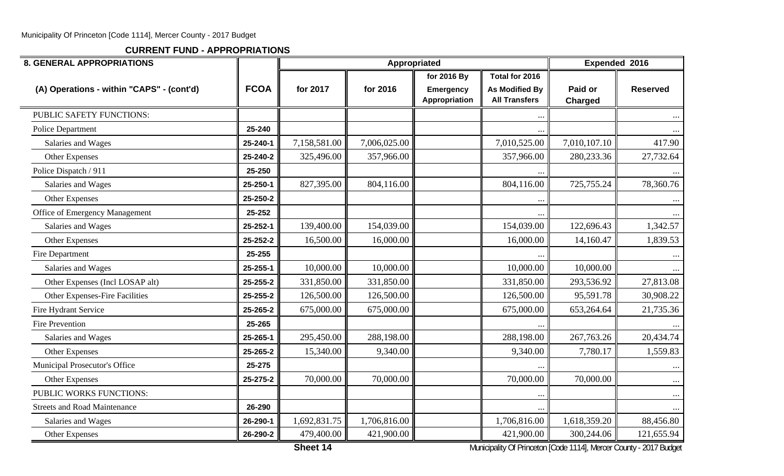| <b>8. GENERAL APPROPRIATIONS</b>          | Appropriated |              |              |                                   |                                               |                    |                 |
|-------------------------------------------|--------------|--------------|--------------|-----------------------------------|-----------------------------------------------|--------------------|-----------------|
|                                           |              |              |              | for 2016 By                       | Total for 2016                                |                    |                 |
| (A) Operations - within "CAPS" - (cont'd) | <b>FCOA</b>  | for 2017     | for 2016     | <b>Emergency</b><br>Appropriation | <b>As Modified By</b><br><b>All Transfers</b> | Paid or<br>Charged | <b>Reserved</b> |
| PUBLIC SAFETY FUNCTIONS:                  |              |              |              |                                   | $\bullet$ .                                   |                    |                 |
| <b>Police Department</b>                  | 25-240       |              |              |                                   |                                               |                    |                 |
| Salaries and Wages                        | 25-240-1     | 7,158,581.00 | 7,006,025.00 |                                   | 7,010,525.00                                  | 7,010,107.10       | 417.90          |
| Other Expenses                            | 25-240-2     | 325,496.00   | 357,966.00   |                                   | 357,966.00                                    | 280,233.36         | 27,732.64       |
| Police Dispatch / 911                     | 25-250       |              |              |                                   |                                               |                    |                 |
| Salaries and Wages                        | 25-250-1     | 827,395.00   | 804,116.00   |                                   | 804,116.00                                    | 725,755.24         | 78,360.76       |
| Other Expenses                            | 25-250-2     |              |              |                                   |                                               |                    |                 |
| Office of Emergency Management            | 25-252       |              |              |                                   |                                               |                    |                 |
| Salaries and Wages                        | 25-252-1     | 139,400.00   | 154,039.00   |                                   | 154,039.00                                    | 122,696.43         | 1,342.57        |
| Other Expenses                            | 25-252-2     | 16,500.00    | 16,000.00    |                                   | 16,000.00                                     | 14,160.47          | 1,839.53        |
| Fire Department                           | 25-255       |              |              |                                   |                                               |                    |                 |
| Salaries and Wages                        | 25-255-1     | 10,000.00    | 10,000.00    |                                   | 10,000.00                                     | 10,000.00          |                 |
| Other Expenses (Incl LOSAP alt)           | 25-255-2     | 331,850.00   | 331,850.00   |                                   | 331,850.00                                    | 293,536.92         | 27,813.08       |
| Other Expenses-Fire Facilities            | 25-255-2     | 126,500.00   | 126,500.00   |                                   | 126,500.00                                    | 95,591.78          | 30,908.22       |
| Fire Hydrant Service                      | 25-265-2     | 675,000.00   | 675,000.00   |                                   | 675,000.00                                    | 653,264.64         | 21,735.36       |
| <b>Fire Prevention</b>                    | 25-265       |              |              |                                   |                                               |                    |                 |
| Salaries and Wages                        | 25-265-1     | 295,450.00   | 288,198.00   |                                   | 288,198.00                                    | 267,763.26         | 20,434.74       |
| Other Expenses                            | 25-265-2     | 15,340.00    | 9,340.00     |                                   | 9,340.00                                      | 7,780.17           | 1,559.83        |
| Municipal Prosecutor's Office             | 25-275       |              |              |                                   |                                               |                    | $\cdots$        |
| Other Expenses                            | 25-275-2     | 70,000.00    | 70,000.00    |                                   | 70,000.00                                     | 70,000.00          | $\cdots$        |
| PUBLIC WORKS FUNCTIONS:                   |              |              |              |                                   | $\ddotsc$                                     |                    | $\cdots$        |
| <b>Streets and Road Maintenance</b>       | 26-290       |              |              |                                   |                                               |                    |                 |
| Salaries and Wages                        | 26-290-1     | 1,692,831.75 | 1,706,816.00 |                                   | 1,706,816.00                                  | 1,618,359.20       | 88,456.80       |
| Other Expenses                            | 26-290-2     | 479,400.00   | 421,900.00   |                                   | 421,900.00                                    | 300,244.06         | 121,655.94      |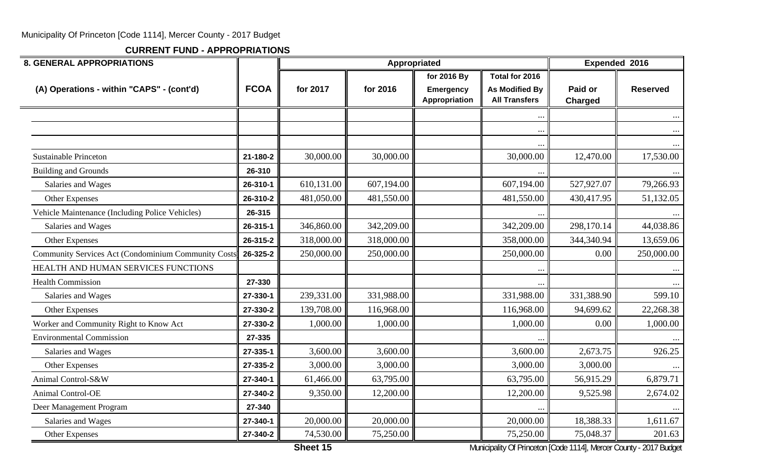**CURRENT FUND - APPROPRIATIONS**

| <b>8. GENERAL APPROPRIATIONS</b>                    |             |            | Appropriated |                            |                                               |                           | Expended 2016   |
|-----------------------------------------------------|-------------|------------|--------------|----------------------------|-----------------------------------------------|---------------------------|-----------------|
|                                                     |             |            |              | for 2016 By                | Total for 2016                                |                           |                 |
| (A) Operations - within "CAPS" - (cont'd)           | <b>FCOA</b> | for 2017   | for 2016     | Emergency<br>Appropriation | <b>As Modified By</b><br><b>All Transfers</b> | Paid or<br><b>Charged</b> | <b>Reserved</b> |
|                                                     |             |            |              |                            | $\cdots$                                      |                           |                 |
|                                                     |             |            |              |                            | $\ddotsc$                                     |                           | $\cdots$        |
|                                                     |             |            |              |                            |                                               |                           |                 |
| <b>Sustainable Princeton</b>                        | 21-180-2    | 30,000.00  | 30,000.00    |                            | 30,000.00                                     | 12,470.00                 | 17,530.00       |
| <b>Building and Grounds</b>                         | 26-310      |            |              |                            | $\ldots$                                      |                           |                 |
| Salaries and Wages                                  | 26-310-1    | 610,131.00 | 607,194.00   |                            | 607,194.00                                    | 527,927.07                | 79,266.93       |
| Other Expenses                                      | 26-310-2    | 481,050.00 | 481,550.00   |                            | 481,550.00                                    | 430,417.95                | 51,132.05       |
| Vehicle Maintenance (Including Police Vehicles)     | 26-315      |            |              |                            |                                               |                           |                 |
| Salaries and Wages                                  | 26-315-1    | 346,860.00 | 342,209.00   |                            | 342,209.00                                    | 298,170.14                | 44,038.86       |
| Other Expenses                                      | 26-315-2    | 318,000.00 | 318,000.00   |                            | 358,000.00                                    | 344,340.94                | 13,659.06       |
| Community Services Act (Condominium Community Costs | 26-325-2    | 250,000.00 | 250,000.00   |                            | 250,000.00                                    | 0.00                      | 250,000.00      |
| HEALTH AND HUMAN SERVICES FUNCTIONS                 |             |            |              |                            | $\ddotsc$                                     |                           |                 |
| <b>Health Commission</b>                            | 27-330      |            |              |                            |                                               |                           |                 |
| Salaries and Wages                                  | 27-330-1    | 239,331.00 | 331,988.00   |                            | 331,988.00                                    | 331,388.90                | 599.10          |
| Other Expenses                                      | 27-330-2    | 139,708.00 | 116,968.00   |                            | 116,968.00                                    | 94,699.62                 | 22,268.38       |
| Worker and Community Right to Know Act              | 27-330-2    | 1,000.00   | 1,000.00     |                            | 1,000.00                                      | 0.00                      | 1,000.00        |
| <b>Environmental Commission</b>                     | 27-335      |            |              |                            |                                               |                           |                 |
| Salaries and Wages                                  | 27-335-1    | 3,600.00   | 3,600.00     |                            | 3,600.00                                      | 2,673.75                  | 926.25          |
| Other Expenses                                      | 27-335-2    | 3,000.00   | 3,000.00     |                            | 3,000.00                                      | 3,000.00                  |                 |
| Animal Control-S&W                                  | 27-340-1    | 61,466.00  | 63,795.00    |                            | 63,795.00                                     | 56,915.29                 | 6,879.71        |
| <b>Animal Control-OE</b>                            | 27-340-2    | 9,350.00   | 12,200.00    |                            | 12,200.00                                     | 9,525.98                  | 2,674.02        |
| Deer Management Program                             | 27-340      |            |              |                            |                                               |                           |                 |
| Salaries and Wages                                  | 27-340-1    | 20,000.00  | 20,000.00    |                            | 20,000.00                                     | 18,388.33                 | 1,611.67        |
| Other Expenses                                      | 27-340-2    | 74,530.00  | 75,250.00    |                            | 75,250.00                                     | 75,048.37                 | 201.63          |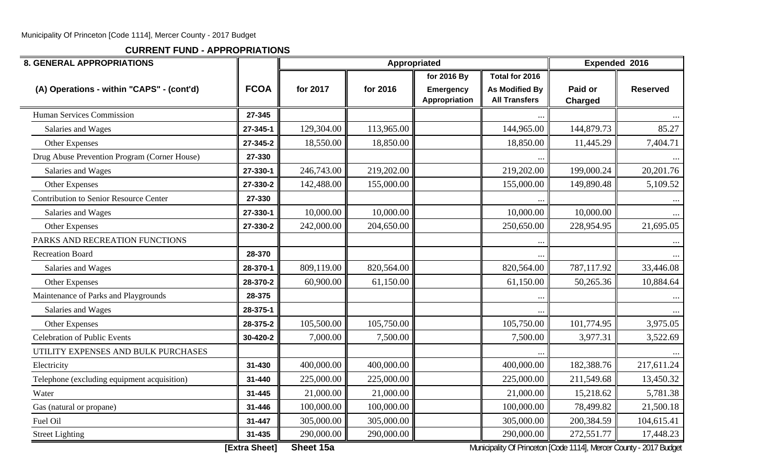**CURRENT FUND - APPROPRIATIONS**

| <b>8. GENERAL APPROPRIATIONS</b>              |             |            | Appropriated |                                   |                                               | Expended 2016             |                 |  |  |
|-----------------------------------------------|-------------|------------|--------------|-----------------------------------|-----------------------------------------------|---------------------------|-----------------|--|--|
|                                               |             |            |              | for 2016 By                       | Total for 2016                                |                           |                 |  |  |
| (A) Operations - within "CAPS" - (cont'd)     | <b>FCOA</b> | for 2017   | for 2016     | <b>Emergency</b><br>Appropriation | <b>As Modified By</b><br><b>All Transfers</b> | Paid or<br><b>Charged</b> | <b>Reserved</b> |  |  |
| Human Services Commission                     | 27-345      |            |              |                                   |                                               |                           |                 |  |  |
| Salaries and Wages                            | 27-345-1    | 129,304.00 | 113,965.00   |                                   | 144,965.00                                    | 144,879.73                | 85.27           |  |  |
| Other Expenses                                | 27-345-2    | 18,550.00  | 18,850.00    |                                   | 18,850.00                                     | 11,445.29                 | 7,404.71        |  |  |
| Drug Abuse Prevention Program (Corner House)  | 27-330      |            |              |                                   |                                               |                           |                 |  |  |
| Salaries and Wages                            | 27-330-1    | 246,743.00 | 219,202.00   |                                   | 219,202.00                                    | 199,000.24                | 20,201.76       |  |  |
| Other Expenses                                | 27-330-2    | 142,488.00 | 155,000.00   |                                   | 155,000.00                                    | 149,890.48                | 5,109.52        |  |  |
| <b>Contribution to Senior Resource Center</b> | 27-330      |            |              |                                   |                                               |                           |                 |  |  |
| Salaries and Wages                            | 27-330-1    | 10,000.00  | 10,000.00    |                                   | 10,000.00                                     | 10,000.00                 |                 |  |  |
| Other Expenses                                | 27-330-2    | 242,000.00 | 204,650.00   |                                   | 250,650.00                                    | 228,954.95                | 21,695.05       |  |  |
| PARKS AND RECREATION FUNCTIONS                |             |            |              |                                   |                                               |                           |                 |  |  |
| <b>Recreation Board</b>                       | 28-370      |            |              |                                   | $\ddotsc$                                     |                           |                 |  |  |
| Salaries and Wages                            | 28-370-1    | 809,119.00 | 820,564.00   |                                   | 820,564.00                                    | 787,117.92                | 33,446.08       |  |  |
| Other Expenses                                | 28-370-2    | 60,900.00  | 61,150.00    |                                   | 61,150.00                                     | 50,265.36                 | 10,884.64       |  |  |
| Maintenance of Parks and Playgrounds          | 28-375      |            |              |                                   | $\cdots$                                      |                           | $\cdots$        |  |  |
| Salaries and Wages                            | 28-375-1    |            |              |                                   |                                               |                           |                 |  |  |
| Other Expenses                                | 28-375-2    | 105,500.00 | 105,750.00   |                                   | 105,750.00                                    | 101,774.95                | 3,975.05        |  |  |
| <b>Celebration of Public Events</b>           | 30-420-2    | 7,000.00   | 7,500.00     |                                   | 7,500.00                                      | 3,977.31                  | 3,522.69        |  |  |
| UTILITY EXPENSES AND BULK PURCHASES           |             |            |              |                                   |                                               |                           |                 |  |  |
| Electricity                                   | 31-430      | 400,000.00 | 400,000.00   |                                   | 400,000.00                                    | 182,388.76                | 217,611.24      |  |  |
| Telephone (excluding equipment acquisition)   | 31-440      | 225,000.00 | 225,000.00   |                                   | 225,000.00                                    | 211,549.68                | 13,450.32       |  |  |
| Water                                         | 31-445      | 21,000.00  | 21,000.00    |                                   | 21,000.00                                     | 15,218.62                 | 5,781.38        |  |  |
| Gas (natural or propane)                      | 31-446      | 100,000.00 | 100,000.00   |                                   | 100,000.00                                    | 78,499.82                 | 21,500.18       |  |  |
| Fuel Oil                                      | 31-447      | 305,000.00 | 305,000.00   |                                   | 305,000.00                                    | 200,384.59                | 104,615.41      |  |  |
| <b>Street Lighting</b>                        | 31-435      | 290,000.00 | 290,000.00   |                                   | 290,000.00                                    | 272,551.77                | 17,448.23       |  |  |

**[Extra Sheet]** Sheet 15a **Sheet 15a** Municipality Of Princeton [Code 1114], Mercer County - 2017 Budget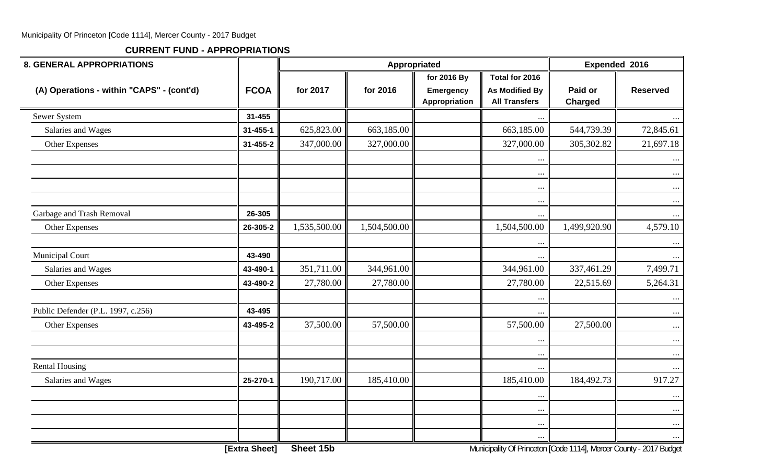| <b>8. GENERAL APPROPRIATIONS</b>          |                |              |              | Appropriated                              |                                                                 | Expended 2016             |                      |
|-------------------------------------------|----------------|--------------|--------------|-------------------------------------------|-----------------------------------------------------------------|---------------------------|----------------------|
| (A) Operations - within "CAPS" - (cont'd) | <b>FCOA</b>    | for 2017     | for 2016     | for 2016 By<br>Emergency<br>Appropriation | Total for 2016<br><b>As Modified By</b><br><b>All Transfers</b> | Paid or<br><b>Charged</b> | <b>Reserved</b>      |
| Sewer System                              | 31-455         |              |              |                                           | $\cdots$                                                        |                           | $\cdots$             |
| Salaries and Wages                        | $31 - 455 - 1$ | 625,823.00   | 663,185.00   |                                           | 663,185.00                                                      | 544,739.39                | 72,845.61            |
| Other Expenses                            | 31-455-2       | 347,000.00   | 327,000.00   |                                           | 327,000.00                                                      | 305,302.82                | 21,697.18            |
|                                           |                |              |              |                                           | $\ldots$                                                        |                           | $\cdots$             |
|                                           |                |              |              |                                           | $\ddotsc$                                                       |                           | $\ldots$             |
|                                           |                |              |              |                                           | $\bullet$ .                                                     |                           | $\ldots$             |
|                                           | 26-305         |              |              |                                           | $\cdots$                                                        |                           | $\cdots$             |
| Garbage and Trash Removal                 |                |              | 1,504,500.00 |                                           | $\cdots$                                                        | 1,499,920.90              | $\cdots$             |
| Other Expenses                            | 26-305-2       | 1,535,500.00 |              |                                           | 1,504,500.00                                                    |                           | 4,579.10             |
| <b>Municipal Court</b>                    | 43-490         |              |              |                                           | $\ldots$<br>$\ddotsc$                                           |                           | $\cdots$<br>$\cdots$ |
| Salaries and Wages                        | 43-490-1       | 351,711.00   | 344,961.00   |                                           | 344,961.00                                                      | 337,461.29                | 7,499.71             |
| Other Expenses                            | 43-490-2       | 27,780.00    | 27,780.00    |                                           | 27,780.00                                                       | 22,515.69                 | 5,264.31             |
|                                           |                |              |              |                                           |                                                                 |                           | $\ldots$             |
| Public Defender (P.L. 1997, c.256)        | 43-495         |              |              |                                           |                                                                 |                           | $\cdots$             |
| Other Expenses                            | 43-495-2       | 37,500.00    | 57,500.00    |                                           | 57,500.00                                                       | 27,500.00                 | $\ldots$             |
|                                           |                |              |              |                                           | $\ddotsc$                                                       |                           | $\cdots$             |
| <b>Rental Housing</b>                     |                |              |              |                                           | $\ddotsc$<br>$\cdots$                                           |                           | $\ldots$<br>$\cdots$ |
| Salaries and Wages                        | 25-270-1       | 190,717.00   | 185,410.00   |                                           | 185,410.00                                                      | 184,492.73                | 917.27               |
|                                           |                |              |              |                                           | $\ddotsc$                                                       |                           | $\ldots$             |
|                                           |                |              |              |                                           | $\cdots$                                                        |                           | $\cdots$             |
|                                           |                |              |              |                                           | $\ddots$                                                        |                           | $\cdots$             |
|                                           |                |              |              |                                           | $\ddots$                                                        |                           | $\cdots$             |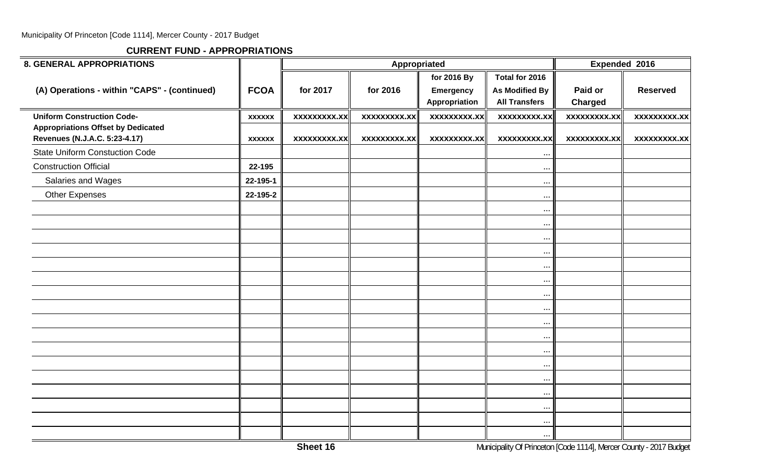| <b>8. GENERAL APPROPRIATIONS</b>                                           |               |                     | Appropriated        |                                           |                                                                 |                           | Expended 2016       |  |
|----------------------------------------------------------------------------|---------------|---------------------|---------------------|-------------------------------------------|-----------------------------------------------------------------|---------------------------|---------------------|--|
| (A) Operations - within "CAPS" - (continued)                               | <b>FCOA</b>   | for 2017            | for 2016            | for 2016 By<br>Emergency<br>Appropriation | Total for 2016<br><b>As Modified By</b><br><b>All Transfers</b> | Paid or<br><b>Charged</b> | <b>Reserved</b>     |  |
| <b>Uniform Construction Code-</b>                                          | <b>XXXXXX</b> | <b>XXXXXXXXX.XX</b> | <b>XXXXXXXXX.XX</b> | <b>XXXXXXXXX.XX</b>                       | <b>XXXXXXXXX.XX</b>                                             | <b>XXXXXXXXX.XX</b>       | <b>XXXXXXXXX.XX</b> |  |
| <b>Appropriations Offset by Dedicated</b><br>Revenues (N.J.A.C. 5:23-4.17) | <b>XXXXXX</b> | <b>XXXXXXXXX.XX</b> | <b>XXXXXXXXX.XX</b> | <b>XXXXXXXXX.XX</b>                       | <b>XXXXXXXXX.XX</b>                                             | <b>XXXXXXXXX.XX</b>       | <b>XXXXXXXXX.XX</b> |  |
| <b>State Uniform Constuction Code</b>                                      |               |                     |                     |                                           | $\ddots$                                                        |                           |                     |  |
| <b>Construction Official</b>                                               | 22-195        |                     |                     |                                           | $\ddots$                                                        |                           |                     |  |
| Salaries and Wages                                                         | 22-195-1      |                     |                     |                                           | $\cdots$                                                        |                           |                     |  |
| <b>Other Expenses</b>                                                      | 22-195-2      |                     |                     |                                           | $\cdots$                                                        |                           |                     |  |
|                                                                            |               |                     |                     |                                           | $\cdots$                                                        |                           |                     |  |
|                                                                            |               |                     |                     |                                           | $\ddots$                                                        |                           |                     |  |
|                                                                            |               |                     |                     |                                           | $\cdots$                                                        |                           |                     |  |
|                                                                            |               |                     |                     |                                           | $\cdots$                                                        |                           |                     |  |
|                                                                            |               |                     |                     |                                           | $\cdots$                                                        |                           |                     |  |
|                                                                            |               |                     |                     |                                           | $\ddots$                                                        |                           |                     |  |
|                                                                            |               |                     |                     |                                           | $\ddots$                                                        |                           |                     |  |
|                                                                            |               |                     |                     |                                           | $\cdots$                                                        |                           |                     |  |
|                                                                            |               |                     |                     |                                           | $\cdots$                                                        |                           |                     |  |
|                                                                            |               |                     |                     |                                           | $\cdots$                                                        |                           |                     |  |
|                                                                            |               |                     |                     |                                           | $\cdots$                                                        |                           |                     |  |
|                                                                            |               |                     |                     |                                           | $\cdot \cdot \cdot$                                             |                           |                     |  |
|                                                                            |               |                     |                     |                                           | $\ddots$                                                        |                           |                     |  |
|                                                                            |               |                     |                     |                                           | $\cdots$                                                        |                           |                     |  |
|                                                                            |               |                     |                     |                                           | $\cdots$                                                        |                           |                     |  |
|                                                                            |               |                     |                     |                                           | $\bullet$ .                                                     |                           |                     |  |
|                                                                            |               |                     |                     |                                           | $\ldots$                                                        |                           |                     |  |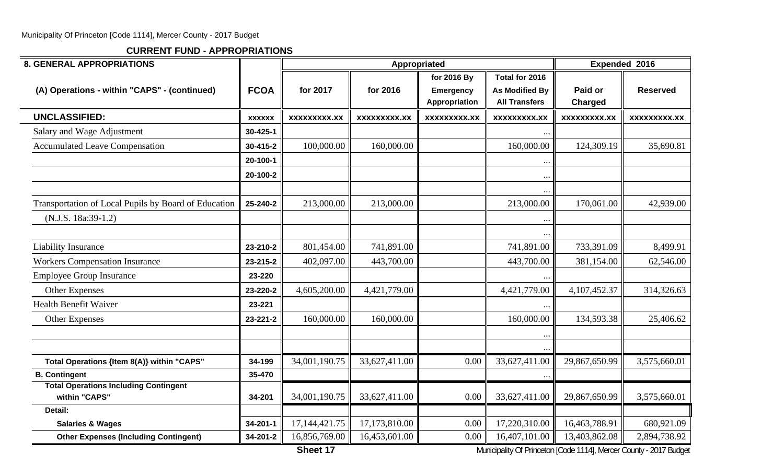**CURRENT FUND - APPROPRIATIONS**

| <b>8. GENERAL APPROPRIATIONS</b>                              |                |               |                    | Appropriated                                     |                                                                 |                     | Expended 2016       |
|---------------------------------------------------------------|----------------|---------------|--------------------|--------------------------------------------------|-----------------------------------------------------------------|---------------------|---------------------|
| (A) Operations - within "CAPS" - (continued)                  | <b>FCOA</b>    | for 2017      | for 2016           | for 2016 By<br><b>Emergency</b><br>Appropriation | Total for 2016<br><b>As Modified By</b><br><b>All Transfers</b> | Paid or<br>Charged  | <b>Reserved</b>     |
| <b>UNCLASSIFIED:</b>                                          | <b>XXXXXX</b>  | xxxxxxxxx.xx  | <b>XXXXXXXX.XX</b> | <b>XXXXXXXXX.XX</b>                              | <b>XXXXXXXXX.XX</b>                                             | <b>XXXXXXXXX.XX</b> | <b>XXXXXXXXX.XX</b> |
| Salary and Wage Adjustment                                    | 30-425-1       |               |                    |                                                  |                                                                 |                     |                     |
| <b>Accumulated Leave Compensation</b>                         | 30-415-2       | 100,000.00    | 160,000.00         |                                                  | 160,000.00                                                      | 124,309.19          | 35,690.81           |
|                                                               | 20-100-1       |               |                    |                                                  | $\cdot \cdot \cdot$                                             |                     |                     |
|                                                               | 20-100-2       |               |                    |                                                  | $\ldots$                                                        |                     |                     |
|                                                               |                |               |                    |                                                  | $\ddotsc$                                                       |                     |                     |
| Transportation of Local Pupils by Board of Education          | 25-240-2       | 213,000.00    | 213,000.00         |                                                  | 213,000.00                                                      | 170,061.00          | 42,939.00           |
| (N.J.S. 18a:39-1.2)                                           |                |               |                    |                                                  | $\cdots$                                                        |                     |                     |
|                                                               |                |               |                    |                                                  |                                                                 |                     |                     |
| <b>Liability Insurance</b>                                    | 23-210-2       | 801,454.00    | 741,891.00         |                                                  | 741,891.00                                                      | 733,391.09          | 8,499.91            |
| <b>Workers Compensation Insurance</b>                         | 23-215-2       | 402,097.00    | 443,700.00         |                                                  | 443,700.00                                                      | 381,154.00          | 62,546.00           |
| <b>Employee Group Insurance</b>                               | 23-220         |               |                    |                                                  | $\ddots$                                                        |                     |                     |
| <b>Other Expenses</b>                                         | 23-220-2       | 4,605,200.00  | 4,421,779.00       |                                                  | 4,421,779.00                                                    | 4,107,452.37        | 314,326.63          |
| <b>Health Benefit Waiver</b>                                  | 23-221         |               |                    |                                                  | $\ddotsc$                                                       |                     |                     |
| <b>Other Expenses</b>                                         | 23-221-2       | 160,000.00    | 160,000.00         |                                                  | 160,000.00                                                      | 134,593.38          | 25,406.62           |
|                                                               |                |               |                    |                                                  | $\ddotsc$                                                       |                     |                     |
|                                                               |                |               |                    |                                                  |                                                                 |                     |                     |
| Total Operations {Item 8(A)} within "CAPS"                    | 34-199         | 34,001,190.75 | 33,627,411.00      | 0.00                                             | 33,627,411.00                                                   | 29,867,650.99       | 3,575,660.01        |
| <b>B. Contingent</b>                                          | 35-470         |               |                    |                                                  | $\cdots$                                                        |                     |                     |
| <b>Total Operations Including Contingent</b><br>within "CAPS" | 34-201         | 34,001,190.75 | 33,627,411.00      | 0.00                                             | 33,627,411.00                                                   | 29,867,650.99       | 3,575,660.01        |
| Detail:                                                       |                |               |                    |                                                  |                                                                 |                     |                     |
| <b>Salaries &amp; Wages</b>                                   | 34-201-1       | 17,144,421.75 | 17,173,810.00      | 0.00                                             | 17,220,310.00                                                   | 16,463,788.91       | 680,921.09          |
| <b>Other Expenses (Including Contingent)</b>                  | $34 - 201 - 2$ | 16,856,769.00 | 16,453,601.00      | 0.00                                             | 16,407,101.00                                                   | 13,403,862.08       | 2,894,738.92        |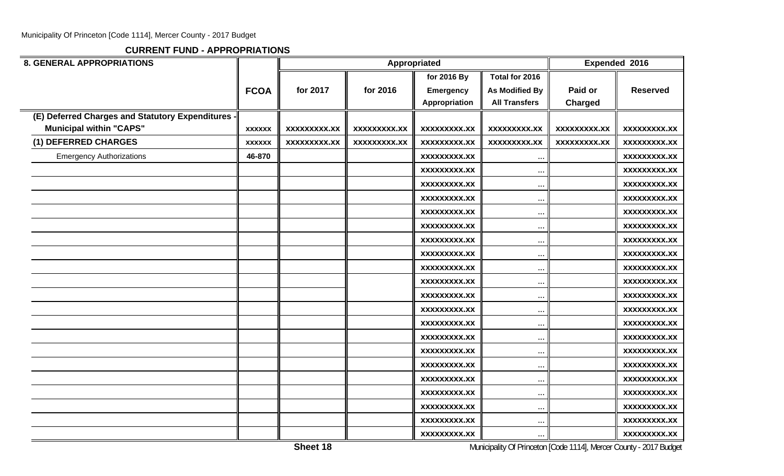| <b>8. GENERAL APPROPRIATIONS</b>                  |               |                     |                     | Appropriated        |                       |                     | Expended 2016       |
|---------------------------------------------------|---------------|---------------------|---------------------|---------------------|-----------------------|---------------------|---------------------|
|                                                   |               |                     |                     | for 2016 By         | Total for 2016        |                     |                     |
|                                                   | <b>FCOA</b>   | for 2017            | for 2016            | <b>Emergency</b>    | <b>As Modified By</b> | Paid or             | <b>Reserved</b>     |
|                                                   |               |                     |                     | Appropriation       | <b>All Transfers</b>  | <b>Charged</b>      |                     |
| (E) Deferred Charges and Statutory Expenditures - |               |                     |                     |                     |                       |                     |                     |
| <b>Municipal within "CAPS"</b>                    | <b>XXXXXX</b> | <b>XXXXXXXXX.XX</b> | <b>XXXXXXXXX.XX</b> | <b>XXXXXXXXX.XX</b> | XXXXXXXXX.XX          | <b>XXXXXXXXX.XX</b> | <b>XXXXXXXXX.XX</b> |
| (1) DEFERRED CHARGES                              | <b>XXXXXX</b> | <b>XXXXXXXXX.XX</b> | <b>XXXXXXXXX.XX</b> | XXXXXXXXX.XX        | XXXXXXXXX.XX          | XXXXXXXXX.XX        | XXXXXXXXX.XX        |
| <b>Emergency Authorizations</b>                   | 46-870        |                     |                     | <b>XXXXXXXXX.XX</b> | $\bullet$ $\bullet$ : |                     | <b>XXXXXXXXX.XX</b> |
|                                                   |               |                     |                     | <b>XXXXXXXXX.XX</b> | $\ddotsc$             |                     | <b>XXXXXXXXX.XX</b> |
|                                                   |               |                     |                     | <b>XXXXXXXXX.XX</b> | $\ddotsc$             |                     | <b>XXXXXXXXX.XX</b> |
|                                                   |               |                     |                     | <b>XXXXXXXXX.XX</b> | $\ddotsc$             |                     | <b>XXXXXXXXX.XX</b> |
|                                                   |               |                     |                     | <b>XXXXXXXXX.XX</b> | $\ddotsc$             |                     | <b>XXXXXXXXX.XX</b> |
|                                                   |               |                     |                     | <b>XXXXXXXXX.XX</b> | $\ddotsc$             |                     | <b>XXXXXXXXX.XX</b> |
|                                                   |               |                     |                     | <b>XXXXXXXXX.XX</b> | $\ddotsc$             |                     | XXXXXXXXX.XX        |
|                                                   |               |                     |                     | <b>XXXXXXXXX.XX</b> | $\cdot \cdot$         |                     | <b>XXXXXXXXX.XX</b> |
|                                                   |               |                     |                     | <b>XXXXXXXXX.XX</b> | $\ddotsc$             |                     | <b>XXXXXXXXX.XX</b> |
|                                                   |               |                     |                     | <b>XXXXXXXXX.XX</b> | $\cdots$              |                     | XXXXXXXXX.XX        |
|                                                   |               |                     |                     | <b>XXXXXXXXX.XX</b> | $\cdot \cdot$         |                     | <b>XXXXXXXXX.XX</b> |
|                                                   |               |                     |                     | <b>XXXXXXXXX.XX</b> |                       |                     | <b>XXXXXXXXX.XX</b> |
|                                                   |               |                     |                     | <b>XXXXXXXXX.XX</b> | $\ldots$              |                     | XXXXXXXXX.XX        |
|                                                   |               |                     |                     | <b>XXXXXXXXX.XX</b> | $\ddotsc$             |                     | <b>XXXXXXXXX.XX</b> |
|                                                   |               |                     |                     | <b>XXXXXXXXX.XX</b> |                       |                     | XXXXXXXXX.XX        |
|                                                   |               |                     |                     | <b>XXXXXXXXX.XX</b> | $\ddotsc$             |                     | <b>XXXXXXXXX.XX</b> |
|                                                   |               |                     |                     | <b>XXXXXXXXX.XX</b> | $\ddotsc$             |                     | <b>XXXXXXXXX.XX</b> |
|                                                   |               |                     |                     | <b>XXXXXXXXX.XX</b> | $\ddotsc$             |                     | <b>XXXXXXXXX.XX</b> |
|                                                   |               |                     |                     | <b>XXXXXXXXX.XX</b> | $\ddotsc$             |                     | <b>XXXXXXXXX.XX</b> |
|                                                   |               |                     |                     | <b>XXXXXXXXX.XX</b> | $\ddotsc$             |                     | <b>XXXXXXXXX.XX</b> |
|                                                   |               |                     |                     | <b>XXXXXXXXX.XX</b> | $\ddotsc$             |                     | <b>XXXXXXXXX.XX</b> |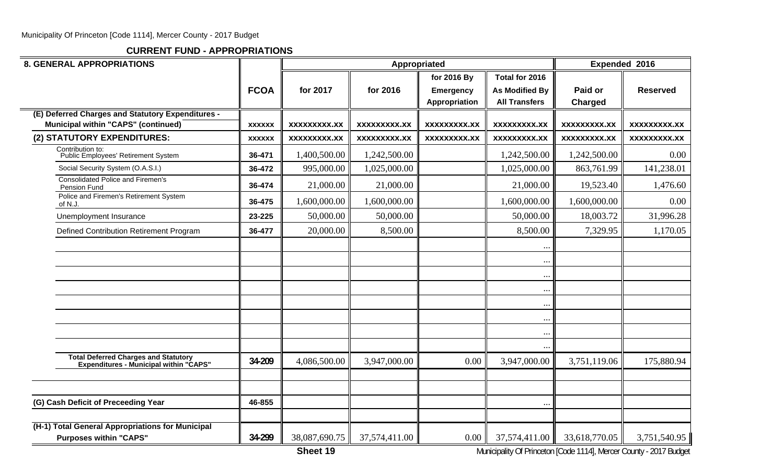**CURRENT FUND - APPROPRIATIONS**

| <b>8. GENERAL APPROPRIATIONS</b>                                                                |               |                     |                     | Appropriated                                     |                                                                 |                           | Expended 2016       |
|-------------------------------------------------------------------------------------------------|---------------|---------------------|---------------------|--------------------------------------------------|-----------------------------------------------------------------|---------------------------|---------------------|
|                                                                                                 | <b>FCOA</b>   | for 2017            | for 2016            | for 2016 By<br><b>Emergency</b><br>Appropriation | Total for 2016<br><b>As Modified By</b><br><b>All Transfers</b> | Paid or<br><b>Charged</b> | <b>Reserved</b>     |
| (E) Deferred Charges and Statutory Expenditures -<br><b>Municipal within "CAPS" (continued)</b> | <b>XXXXXX</b> | <b>XXXXXXXXX.XX</b> | <b>XXXXXXXXX.XX</b> | <b>XXXXXXXXX.XX</b>                              | XXXXXXXXX.XX                                                    | <b>XXXXXXXXX.XX</b>       | <b>XXXXXXXXX.XX</b> |
| (2) STATUTORY EXPENDITURES:                                                                     | <b>XXXXXX</b> | <b>XXXXXXXXX.XX</b> | <b>XXXXXXXX.XX</b>  | XXXXXXXXX.XX                                     | <b>XXXXXXXXX.XX</b>                                             | <b>XXXXXXXX.XX</b>        | <b>XXXXXXXX.XX</b>  |
| Contribution to:<br>Public Employees' Retirement System                                         | 36-471        | 1,400,500.00        | 1,242,500.00        |                                                  | 1,242,500.00                                                    | 1,242,500.00              | 0.00                |
| Social Security System (O.A.S.I.)                                                               | 36-472        | 995,000.00          | 1,025,000.00        |                                                  | 1,025,000.00                                                    | 863,761.99                | 141,238.01          |
| <b>Consolidated Police and Firemen's</b><br>Pension Fund                                        | 36-474        | 21,000.00           | 21,000.00           |                                                  | 21,000.00                                                       | 19,523.40                 | 1,476.60            |
| Police and Firemen's Retirement System<br>of N.J.                                               | 36-475        | 1,600,000.00        | 1,600,000.00        |                                                  | 1,600,000.00                                                    | 1,600,000.00              | 0.00                |
| Unemployment Insurance                                                                          | 23-225        | 50,000.00           | 50,000.00           |                                                  | 50,000.00                                                       | 18,003.72                 | 31,996.28           |
| Defined Contribution Retirement Program                                                         | 36-477        | 20,000.00           | 8,500.00            |                                                  | 8,500.00                                                        | 7,329.95                  | 1,170.05            |
|                                                                                                 |               |                     |                     |                                                  | $\cdot$ .                                                       |                           |                     |
|                                                                                                 |               |                     |                     |                                                  | $\cdots$                                                        |                           |                     |
|                                                                                                 |               |                     |                     |                                                  | $\ddotsc$                                                       |                           |                     |
|                                                                                                 |               |                     |                     |                                                  | $\ddotsc$                                                       |                           |                     |
|                                                                                                 |               |                     |                     |                                                  | $\ddotsc$                                                       |                           |                     |
|                                                                                                 |               |                     |                     |                                                  | $\cdots$                                                        |                           |                     |
|                                                                                                 |               |                     |                     |                                                  | $\ddotsc$                                                       |                           |                     |
|                                                                                                 |               |                     |                     |                                                  |                                                                 |                           |                     |
| Total Deferred Charges and Statutory<br>Expenditures - Municipal within "CAPS"                  | 34-209        | 4,086,500.00        | 3,947,000.00        | 0.00                                             | 3,947,000.00                                                    | 3,751,119.06              | 175,880.94          |
|                                                                                                 |               |                     |                     |                                                  |                                                                 |                           |                     |
|                                                                                                 |               |                     |                     |                                                  |                                                                 |                           |                     |
| (G) Cash Deficit of Preceeding Year                                                             | 46-855        |                     |                     |                                                  | $\ddots$                                                        |                           |                     |
| (H-1) Total General Appropriations for Municipal<br><b>Purposes within "CAPS"</b>               | 34-299        | 38,087,690.75       | 37,574,411.00       | 0.00                                             | 37,574,411.00                                                   | 33,618,770.05             | 3,751,540.95        |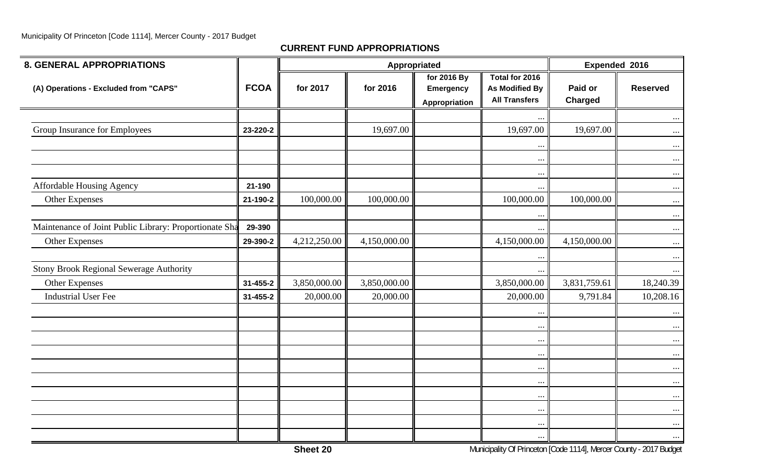| <b>8. GENERAL APPROPRIATIONS</b>                       |                |              | Appropriated |                                                  |                                                                 |                                                                    | Expended 2016   |
|--------------------------------------------------------|----------------|--------------|--------------|--------------------------------------------------|-----------------------------------------------------------------|--------------------------------------------------------------------|-----------------|
| (A) Operations - Excluded from "CAPS"                  | <b>FCOA</b>    | for 2017     | for 2016     | for 2016 By<br><b>Emergency</b><br>Appropriation | Total for 2016<br><b>As Modified By</b><br><b>All Transfers</b> | Paid or<br><b>Charged</b>                                          | <b>Reserved</b> |
|                                                        |                |              |              |                                                  | $\cdots$                                                        |                                                                    | $\ldots$        |
| Group Insurance for Employees                          | 23-220-2       |              | 19,697.00    |                                                  | 19,697.00                                                       | 19,697.00                                                          | $\cdots$        |
|                                                        |                |              |              |                                                  | $\cdots$                                                        |                                                                    | $\cdots$        |
|                                                        |                |              |              |                                                  | $\ldots$                                                        |                                                                    | $\cdots$        |
|                                                        |                |              |              |                                                  | $\cdots$                                                        |                                                                    | $\cdots$        |
| <b>Affordable Housing Agency</b>                       | 21-190         |              |              |                                                  | $\cdots$                                                        |                                                                    | $\cdots$        |
| Other Expenses                                         | 21-190-2       | 100,000.00   | 100,000.00   |                                                  | 100,000.00                                                      | 100,000.00                                                         | $\ldots$        |
|                                                        |                |              |              |                                                  | $\cdots$                                                        |                                                                    | $\cdots$        |
| Maintenance of Joint Public Library: Proportionate Sha | 29-390         |              |              |                                                  | $\cdots$                                                        |                                                                    | $\cdots$        |
| <b>Other Expenses</b>                                  | 29-390-2       | 4,212,250.00 | 4,150,000.00 |                                                  | 4,150,000.00                                                    | 4,150,000.00                                                       | $\ldots$        |
|                                                        |                |              |              |                                                  | $\cdots$                                                        |                                                                    | $\cdots$        |
| <b>Stony Brook Regional Sewerage Authority</b>         |                |              |              |                                                  | $\cdots$                                                        |                                                                    | $\cdots$        |
| Other Expenses                                         | $31 - 455 - 2$ | 3,850,000.00 | 3,850,000.00 |                                                  | 3,850,000.00                                                    | 3,831,759.61                                                       | 18,240.39       |
| <b>Industrial User Fee</b>                             | 31-455-2       | 20,000.00    | 20,000.00    |                                                  | 20,000.00                                                       | 9,791.84                                                           | 10,208.16       |
|                                                        |                |              |              |                                                  | $\cdots$                                                        |                                                                    | $\cdots$        |
|                                                        |                |              |              |                                                  | $\cdots$                                                        |                                                                    | $\cdots$        |
|                                                        |                |              |              |                                                  | $\cdots$                                                        |                                                                    | $\cdots$        |
|                                                        |                |              |              |                                                  | $\cdots$                                                        |                                                                    | $\cdots$        |
|                                                        |                |              |              |                                                  | $\cdots$                                                        |                                                                    | $\cdots$        |
|                                                        |                |              |              |                                                  | $\cdots$                                                        |                                                                    | $\cdots$        |
|                                                        |                |              |              |                                                  | $\cdots$                                                        |                                                                    | $\cdots$        |
|                                                        |                |              |              |                                                  | $\cdots$                                                        |                                                                    | $\cdots$        |
|                                                        |                |              |              |                                                  | $\cdots$                                                        |                                                                    | $\cdots$        |
|                                                        |                | Sheet 20     |              |                                                  | $\cdots$                                                        | Municipality Of Princeton [Code 1114], Mercer County - 2017 Budget | $\cdots$        |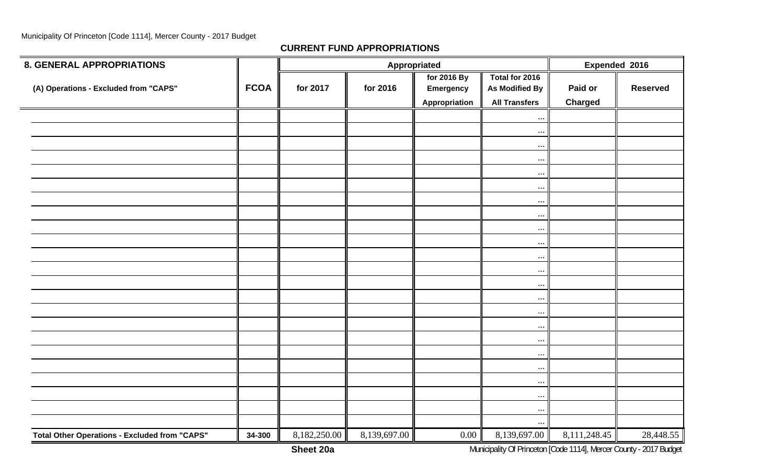**CURRENT FUND APPROPRIATIONS**

| <b>8. GENERAL APPROPRIATIONS</b>                     |             |              |              | Appropriated                              |                                                                 |                           | Expended 2016   |
|------------------------------------------------------|-------------|--------------|--------------|-------------------------------------------|-----------------------------------------------------------------|---------------------------|-----------------|
| (A) Operations - Excluded from "CAPS"                | <b>FCOA</b> | for 2017     | for 2016     | for 2016 By<br>Emergency<br>Appropriation | Total for 2016<br><b>As Modified By</b><br><b>All Transfers</b> | Paid or<br><b>Charged</b> | <b>Reserved</b> |
|                                                      |             |              |              |                                           | $\cdots$                                                        |                           |                 |
|                                                      |             |              |              |                                           | $\cdots$                                                        |                           |                 |
|                                                      |             |              |              |                                           | $\cdots$                                                        |                           |                 |
|                                                      |             |              |              |                                           | $\cdots$                                                        |                           |                 |
|                                                      |             |              |              |                                           | $\cdots$                                                        |                           |                 |
|                                                      |             |              |              |                                           | $\ldots$                                                        |                           |                 |
|                                                      |             |              |              |                                           | $\cdots$                                                        |                           |                 |
|                                                      |             |              |              |                                           | $\ddots$                                                        |                           |                 |
|                                                      |             |              |              |                                           | $\cdots$                                                        |                           |                 |
|                                                      |             |              |              |                                           | $\cdots$                                                        |                           |                 |
|                                                      |             |              |              |                                           | $\cdots$                                                        |                           |                 |
|                                                      |             |              |              |                                           | $\cdots$                                                        |                           |                 |
|                                                      |             |              |              |                                           | $\cdots$                                                        |                           |                 |
|                                                      |             |              |              |                                           | $\cdots$                                                        |                           |                 |
|                                                      |             |              |              |                                           | $\cdots$                                                        |                           |                 |
|                                                      |             |              |              |                                           | $\cdots$                                                        |                           |                 |
|                                                      |             |              |              |                                           | $\cdots$                                                        |                           |                 |
|                                                      |             |              |              |                                           | $\ldots$                                                        |                           |                 |
|                                                      |             |              |              |                                           | $\cdots$                                                        |                           |                 |
|                                                      |             |              |              |                                           | $\cdots$                                                        |                           |                 |
|                                                      |             |              |              |                                           | $\cdots$                                                        |                           |                 |
|                                                      |             |              |              |                                           | $\cdots$                                                        |                           |                 |
|                                                      |             |              |              |                                           |                                                                 |                           |                 |
| <b>Total Other Operations - Excluded from "CAPS"</b> | 34-300      | 8,182,250.00 | 8,139,697.00 | 0.00                                      | 8,139,697.00                                                    | 8,111,248.45              | 28,448.55       |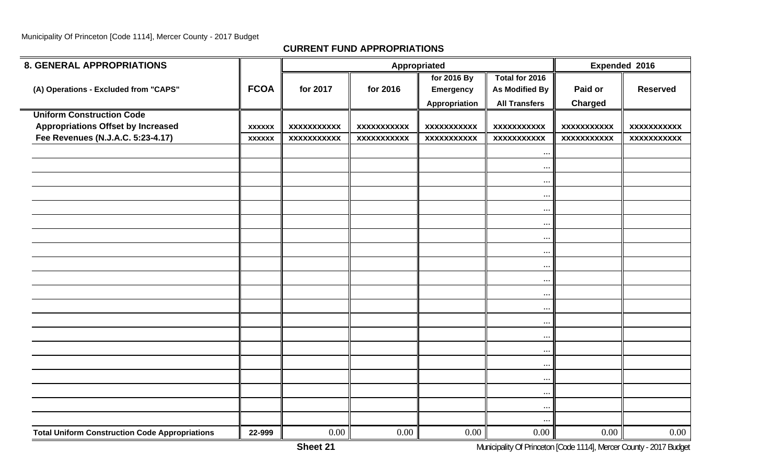| <b>8. GENERAL APPROPRIATIONS</b>                      |               |                    |                    | Appropriated       |                       | Expended 2016      |                    |
|-------------------------------------------------------|---------------|--------------------|--------------------|--------------------|-----------------------|--------------------|--------------------|
|                                                       |               |                    |                    | for 2016 By        | Total for 2016        |                    |                    |
| (A) Operations - Excluded from "CAPS"                 | <b>FCOA</b>   | for 2017           | for 2016           | <b>Emergency</b>   | <b>As Modified By</b> | Paid or            | <b>Reserved</b>    |
|                                                       |               |                    |                    | Appropriation      | <b>All Transfers</b>  | Charged            |                    |
| <b>Uniform Construction Code</b>                      |               |                    |                    |                    |                       |                    |                    |
| <b>Appropriations Offset by Increased</b>             | <b>XXXXXX</b> | <b>XXXXXXXXXXX</b> | <b>XXXXXXXXXXX</b> | <b>XXXXXXXXXXX</b> | <b>XXXXXXXXXXX</b>    | <b>XXXXXXXXXXX</b> | <b>XXXXXXXXXXX</b> |
| Fee Revenues (N.J.A.C. 5:23-4.17)                     | <b>XXXXXX</b> | <b>XXXXXXXXXXX</b> | <b>XXXXXXXXXXX</b> | <b>XXXXXXXXXXX</b> | <b>XXXXXXXXXXX</b>    | <b>XXXXXXXXXXX</b> | <b>XXXXXXXXXXX</b> |
|                                                       |               |                    |                    |                    | $\ddots$              |                    |                    |
|                                                       |               |                    |                    |                    | $\cdots$              |                    |                    |
|                                                       |               |                    |                    |                    | $\cdots$              |                    |                    |
|                                                       |               |                    |                    |                    | $\ddots$              |                    |                    |
|                                                       |               |                    |                    |                    | $\ddots$              |                    |                    |
|                                                       |               |                    |                    |                    | $\ddotsc$             |                    |                    |
|                                                       |               |                    |                    |                    | $\cdots$              |                    |                    |
|                                                       |               |                    |                    |                    | $\cdots$              |                    |                    |
|                                                       |               |                    |                    |                    | $\cdot \cdot$         |                    |                    |
|                                                       |               |                    |                    |                    | $\ddotsc$             |                    |                    |
|                                                       |               |                    |                    |                    | $\cdots$              |                    |                    |
|                                                       |               |                    |                    |                    | $\cdots$              |                    |                    |
|                                                       |               |                    |                    |                    | $\ddots$              |                    |                    |
|                                                       |               |                    |                    |                    | $\ddots$              |                    |                    |
|                                                       |               |                    |                    |                    | $\cdots$              |                    |                    |
|                                                       |               |                    |                    |                    | $\ddots$              |                    |                    |
|                                                       |               |                    |                    |                    |                       |                    |                    |
|                                                       |               |                    |                    |                    | $\ddots$              |                    |                    |
|                                                       |               |                    |                    |                    | $\ddots$              |                    |                    |
|                                                       |               |                    |                    |                    | $\cdots$              |                    |                    |
| <b>Total Uniform Construction Code Appropriations</b> | 22-999        | $0.00\,$           | 0.00               | 0.00               | 0.00                  | 0.00               | $0.00\,$           |
|                                                       |               |                    |                    |                    |                       |                    |                    |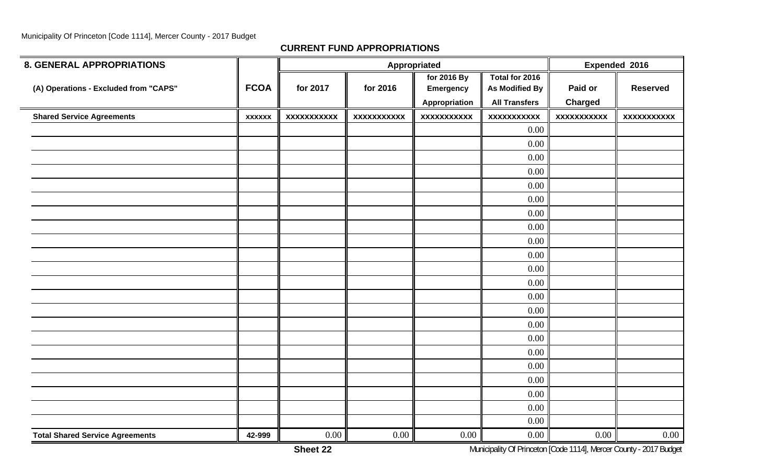| <b>8. GENERAL APPROPRIATIONS</b>       |               |                    |                    | Appropriated       |                       | Expended 2016      |                    |
|----------------------------------------|---------------|--------------------|--------------------|--------------------|-----------------------|--------------------|--------------------|
|                                        |               |                    |                    | for 2016 By        | Total for 2016        |                    |                    |
| (A) Operations - Excluded from "CAPS"  | <b>FCOA</b>   | for 2017           | for 2016           | <b>Emergency</b>   | <b>As Modified By</b> | Paid or            | <b>Reserved</b>    |
|                                        |               |                    |                    | Appropriation      | <b>All Transfers</b>  | <b>Charged</b>     |                    |
| <b>Shared Service Agreements</b>       | <b>XXXXXX</b> | <b>XXXXXXXXXXX</b> | <b>XXXXXXXXXXX</b> | <b>XXXXXXXXXXX</b> | <b>XXXXXXXXXXX</b>    | <b>XXXXXXXXXXX</b> | <b>XXXXXXXXXXX</b> |
|                                        |               |                    |                    |                    | 0.00                  |                    |                    |
|                                        |               |                    |                    |                    | 0.00                  |                    |                    |
|                                        |               |                    |                    |                    | 0.00                  |                    |                    |
|                                        |               |                    |                    |                    | 0.00                  |                    |                    |
|                                        |               |                    |                    |                    | 0.00                  |                    |                    |
|                                        |               |                    |                    |                    | 0.00                  |                    |                    |
|                                        |               |                    |                    |                    | 0.00                  |                    |                    |
|                                        |               |                    |                    |                    | 0.00                  |                    |                    |
|                                        |               |                    |                    |                    | 0.00                  |                    |                    |
|                                        |               |                    |                    |                    | 0.00                  |                    |                    |
|                                        |               |                    |                    |                    | 0.00                  |                    |                    |
|                                        |               |                    |                    |                    | 0.00                  |                    |                    |
|                                        |               |                    |                    |                    | 0.00                  |                    |                    |
|                                        |               |                    |                    |                    | 0.00                  |                    |                    |
|                                        |               |                    |                    |                    | 0.00                  |                    |                    |
|                                        |               |                    |                    |                    | 0.00                  |                    |                    |
|                                        |               |                    |                    |                    | 0.00                  |                    |                    |
|                                        |               |                    |                    |                    | 0.00                  |                    |                    |
|                                        |               |                    |                    |                    | 0.00                  |                    |                    |
|                                        |               |                    |                    |                    | 0.00                  |                    |                    |
|                                        |               |                    |                    |                    | 0.00                  |                    |                    |
|                                        |               |                    |                    |                    | 0.00                  |                    |                    |
| <b>Total Shared Service Agreements</b> | 42-999        | $0.00\,$           | 0.00               | 0.00               | 0.00                  | 0.00               | $0.00\,$           |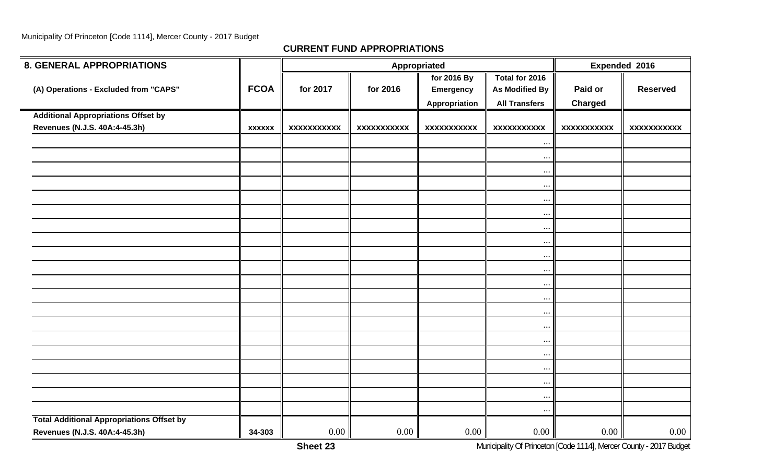| <b>8. GENERAL APPROPRIATIONS</b>                 |               |                    |                    | Appropriated       |                       |                    | Expended 2016   |
|--------------------------------------------------|---------------|--------------------|--------------------|--------------------|-----------------------|--------------------|-----------------|
|                                                  |               |                    |                    | for 2016 By        | Total for 2016        |                    |                 |
| (A) Operations - Excluded from "CAPS"            | <b>FCOA</b>   | for 2017           | for 2016           | <b>Emergency</b>   | <b>As Modified By</b> | Paid or            | <b>Reserved</b> |
|                                                  |               |                    |                    | Appropriation      | <b>All Transfers</b>  | <b>Charged</b>     |                 |
| <b>Additional Appropriations Offset by</b>       |               |                    |                    |                    |                       |                    |                 |
| Revenues (N.J.S. 40A:4-45.3h)                    | <b>XXXXXX</b> | <b>XXXXXXXXXXX</b> | <b>XXXXXXXXXXX</b> | <b>XXXXXXXXXXX</b> | <b>XXXXXXXXXXX</b>    | <b>XXXXXXXXXXX</b> | XXXXXXXXXXX     |
|                                                  |               |                    |                    |                    | $\ddots$              |                    |                 |
|                                                  |               |                    |                    |                    | $\ddots$              |                    |                 |
|                                                  |               |                    |                    |                    | $\cdots$              |                    |                 |
|                                                  |               |                    |                    |                    | $\cdots$              |                    |                 |
|                                                  |               |                    |                    |                    | $\ddots$              |                    |                 |
|                                                  |               |                    |                    |                    | $\ddots$              |                    |                 |
|                                                  |               |                    |                    |                    | $\cdots$              |                    |                 |
|                                                  |               |                    |                    |                    | $\cdots$              |                    |                 |
|                                                  |               |                    |                    |                    | $\cdots$              |                    |                 |
|                                                  |               |                    |                    |                    | $\ddots$              |                    |                 |
|                                                  |               |                    |                    |                    | $\cdots$              |                    |                 |
|                                                  |               |                    |                    |                    | $\cdots$              |                    |                 |
|                                                  |               |                    |                    |                    | $\cdots$              |                    |                 |
|                                                  |               |                    |                    |                    | $\cdots$              |                    |                 |
|                                                  |               |                    |                    |                    | $\cdots$              |                    |                 |
|                                                  |               |                    |                    |                    | $\cdots$              |                    |                 |
|                                                  |               |                    |                    |                    | $\cdots$              |                    |                 |
|                                                  |               |                    |                    |                    | $\cdots$              |                    |                 |
|                                                  |               |                    |                    |                    | $\cdots$              |                    |                 |
|                                                  |               |                    |                    |                    | $\ddots$              |                    |                 |
| <b>Total Additional Appropriations Offset by</b> |               |                    |                    |                    |                       |                    |                 |
| Revenues (N.J.S. 40A:4-45.3h)                    | 34-303        | $0.00\,$           | 0.00               | 0.00               | 0.00                  | 0.00               | $0.00\,$        |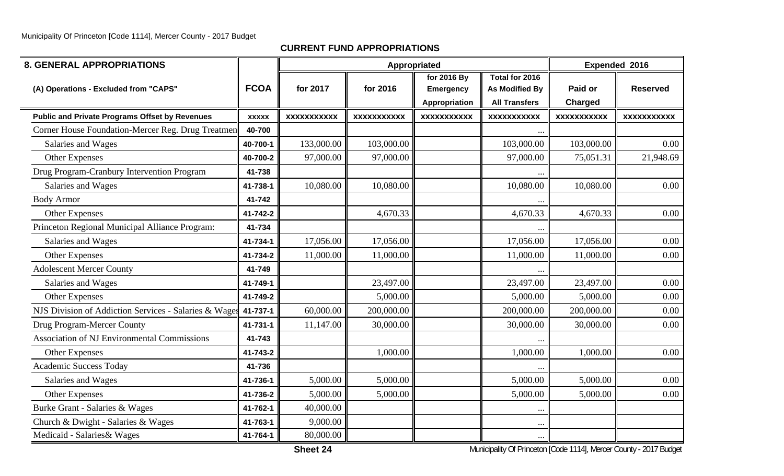| <b>8. GENERAL APPROPRIATIONS</b>                      |              |                    | Appropriated       |                    |                       |                    | Expended 2016      |
|-------------------------------------------------------|--------------|--------------------|--------------------|--------------------|-----------------------|--------------------|--------------------|
|                                                       |              |                    |                    | for 2016 By        | Total for 2016        |                    |                    |
| (A) Operations - Excluded from "CAPS"                 | <b>FCOA</b>  | for 2017           | for 2016           | <b>Emergency</b>   | <b>As Modified By</b> | Paid or            | <b>Reserved</b>    |
|                                                       |              |                    |                    | Appropriation      | <b>All Transfers</b>  | Charged            |                    |
| <b>Public and Private Programs Offset by Revenues</b> | <b>XXXXX</b> | <b>XXXXXXXXXXX</b> | <b>XXXXXXXXXXX</b> | <b>XXXXXXXXXXX</b> | <b>XXXXXXXXXXX</b>    | <b>XXXXXXXXXXX</b> | <b>XXXXXXXXXXX</b> |
| Corner House Foundation-Mercer Reg. Drug Treatmen     | 40-700       |                    |                    |                    |                       |                    |                    |
| Salaries and Wages                                    | 40-700-1     | 133,000.00         | 103,000.00         |                    | 103,000.00            | 103,000.00         | 0.00               |
| <b>Other Expenses</b>                                 | 40-700-2     | 97,000.00          | 97,000.00          |                    | 97,000.00             | 75,051.31          | 21,948.69          |
| Drug Program-Cranbury Intervention Program            | 41-738       |                    |                    |                    |                       |                    |                    |
| Salaries and Wages                                    | 41-738-1     | 10,080.00          | 10,080.00          |                    | 10,080.00             | 10,080.00          | 0.00               |
| <b>Body Armor</b>                                     | 41-742       |                    |                    |                    |                       |                    |                    |
| <b>Other Expenses</b>                                 | 41-742-2     |                    | 4,670.33           |                    | 4,670.33              | 4,670.33           | 0.00               |
| Princeton Regional Municipal Alliance Program:        | 41-734       |                    |                    |                    |                       |                    |                    |
| Salaries and Wages                                    | 41-734-1     | 17,056.00          | 17,056.00          |                    | 17,056.00             | 17,056.00          | 0.00               |
| <b>Other Expenses</b>                                 | 41-734-2     | 11,000.00          | 11,000.00          |                    | 11,000.00             | 11,000.00          | 0.00               |
| <b>Adolescent Mercer County</b>                       | 41-749       |                    |                    |                    |                       |                    |                    |
| Salaries and Wages                                    | 41-749-1     |                    | 23,497.00          |                    | 23,497.00             | 23,497.00          | 0.00               |
| <b>Other Expenses</b>                                 | 41-749-2     |                    | 5,000.00           |                    | 5,000.00              | 5,000.00           | 0.00               |
| NJS Division of Addiction Services - Salaries & Wage  | 41-737-1     | 60,000.00          | 200,000.00         |                    | 200,000.00            | 200,000.00         | 0.00               |
| Drug Program-Mercer County                            | 41-731-1     | 11,147.00          | 30,000.00          |                    | 30,000.00             | 30,000.00          | 0.00               |
| Association of NJ Environmental Commissions           | 41-743       |                    |                    |                    |                       |                    |                    |
| <b>Other Expenses</b>                                 | 41-743-2     |                    | 1,000.00           |                    | 1,000.00              | 1,000.00           | 0.00               |
| Academic Success Today                                | 41-736       |                    |                    |                    |                       |                    |                    |
| Salaries and Wages                                    | 41-736-1     | 5,000.00           | 5,000.00           |                    | 5,000.00              | 5,000.00           | 0.00               |
| Other Expenses                                        | 41-736-2     | 5,000.00           | 5,000.00           |                    | 5,000.00              | 5,000.00           | 0.00               |
| Burke Grant - Salaries & Wages                        | 41-762-1     | 40,000.00          |                    |                    | $\cdots$              |                    |                    |
| Church & Dwight - Salaries & Wages                    | 41-763-1     | 9,000.00           |                    |                    | $\ddotsc$             |                    |                    |
| Medicaid - Salaries & Wages                           | 41-764-1     | 80,000.00          |                    |                    |                       |                    |                    |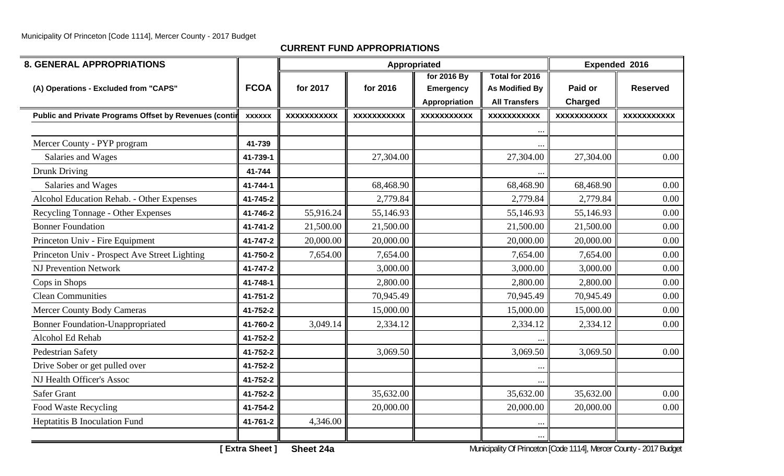**CURRENT FUND APPROPRIATIONS**

| <b>8. GENERAL APPROPRIATIONS</b>                       |               |                    |                    | Appropriated       |                       |                    | Expended 2016      |
|--------------------------------------------------------|---------------|--------------------|--------------------|--------------------|-----------------------|--------------------|--------------------|
|                                                        | <b>FCOA</b>   |                    |                    | for 2016 By        | Total for 2016        |                    |                    |
| (A) Operations - Excluded from "CAPS"                  |               | for 2017           | for 2016           | Emergency          | <b>As Modified By</b> | Paid or            | <b>Reserved</b>    |
|                                                        |               |                    |                    | Appropriation      | <b>All Transfers</b>  | Charged            |                    |
| Public and Private Programs Offset by Revenues (contil | <b>XXXXXX</b> | <b>XXXXXXXXXXX</b> | <b>XXXXXXXXXXX</b> | <b>XXXXXXXXXXX</b> | <b>XXXXXXXXXXX</b>    | <b>XXXXXXXXXXX</b> | <b>XXXXXXXXXXX</b> |
|                                                        |               |                    |                    |                    | $\cdots$              |                    |                    |
| Mercer County - PYP program                            | 41-739        |                    |                    |                    |                       |                    |                    |
| Salaries and Wages                                     | 41-739-1      |                    | 27,304.00          |                    | 27,304.00             | 27,304.00          | 0.00               |
| <b>Drunk Driving</b>                                   | 41-744        |                    |                    |                    | $\cdots$              |                    |                    |
| Salaries and Wages                                     | 41-744-1      |                    | 68,468.90          |                    | 68,468.90             | 68,468.90          | 0.00               |
| Alcohol Education Rehab. - Other Expenses              | 41-745-2      |                    | 2,779.84           |                    | 2,779.84              | 2,779.84           | 0.00               |
| Recycling Tonnage - Other Expenses                     | 41-746-2      | 55,916.24          | 55,146.93          |                    | 55,146.93             | 55,146.93          | 0.00               |
| <b>Bonner Foundation</b>                               | 41-741-2      | 21,500.00          | 21,500.00          |                    | 21,500.00             | 21,500.00          | 0.00               |
| Princeton Univ - Fire Equipment                        | 41-747-2      | 20,000.00          | 20,000.00          |                    | 20,000.00             | 20,000.00          | 0.00               |
| Princeton Univ - Prospect Ave Street Lighting          | 41-750-2      | 7,654.00           | 7,654.00           |                    | 7,654.00              | 7,654.00           | 0.00               |
| <b>NJ Prevention Network</b>                           | 41-747-2      |                    | 3,000.00           |                    | 3,000.00              | 3,000.00           | 0.00               |
| Cops in Shops                                          | 41-748-1      |                    | 2,800.00           |                    | 2,800.00              | 2,800.00           | 0.00               |
| <b>Clean Communities</b>                               | 41-751-2      |                    | 70,945.49          |                    | 70,945.49             | 70,945.49          | 0.00               |
| <b>Mercer County Body Cameras</b>                      | 41-752-2      |                    | 15,000.00          |                    | 15,000.00             | 15,000.00          | 0.00               |
| <b>Bonner Foundation-Unappropriated</b>                | 41-760-2      | 3,049.14           | 2,334.12           |                    | 2,334.12              | 2,334.12           | 0.00               |
| Alcohol Ed Rehab                                       | 41-752-2      |                    |                    |                    |                       |                    |                    |
| Pedestrian Safety                                      | 41-752-2      |                    | 3,069.50           |                    | 3,069.50              | 3,069.50           | 0.00               |
| Drive Sober or get pulled over                         | 41-752-2      |                    |                    |                    | $\cdots$              |                    |                    |
| NJ Health Officer's Assoc                              | 41-752-2      |                    |                    |                    |                       |                    |                    |
| <b>Safer Grant</b>                                     | 41-752-2      |                    | 35,632.00          |                    | 35,632.00             | 35,632.00          | 0.00               |
| Food Waste Recycling                                   | 41-754-2      |                    | 20,000.00          |                    | 20,000.00             | 20,000.00          | 0.00               |
| Heptatitis B Inoculation Fund                          | 41-761-2      | 4,346.00           |                    |                    | $\cdots$              |                    |                    |
|                                                        |               |                    |                    |                    | $\cdots$              |                    |                    |

**[ Extra Sheet ] Sheet 24a** Municipality Of Princeton [Code 1114], Mercer County - 2017 Budget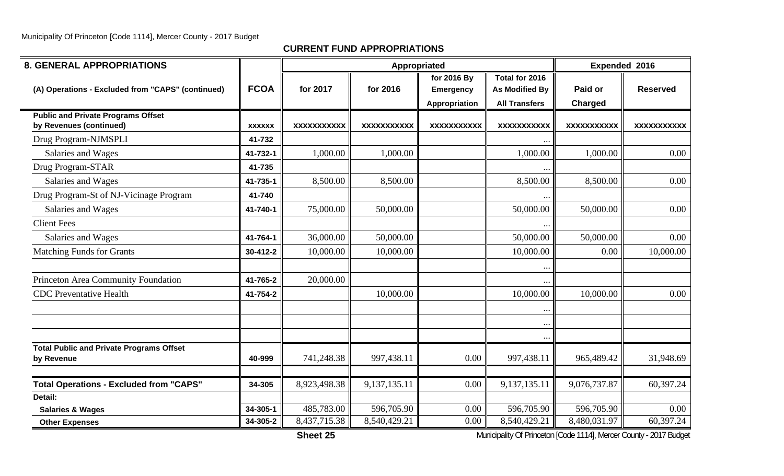## **CURRENT FUND APPROPRIATIONS**

| <b>8. GENERAL APPROPRIATIONS</b>                  |               |                    | Appropriated       |                    |                       | Expended 2016             |                    |
|---------------------------------------------------|---------------|--------------------|--------------------|--------------------|-----------------------|---------------------------|--------------------|
|                                                   |               |                    |                    | for 2016 By        | Total for 2016        |                           |                    |
| (A) Operations - Excluded from "CAPS" (continued) | <b>FCOA</b>   | for 2017           | for 2016           | <b>Emergency</b>   | <b>As Modified By</b> | Paid or                   | <b>Reserved</b>    |
|                                                   |               |                    |                    | Appropriation      | <b>All Transfers</b>  | <b>Charged</b>            |                    |
| <b>Public and Private Programs Offset</b>         |               |                    |                    |                    |                       |                           |                    |
| by Revenues (continued)                           | <b>XXXXXX</b> | <b>XXXXXXXXXXX</b> | <b>XXXXXXXXXXX</b> | <b>XXXXXXXXXXX</b> | <b>XXXXXXXXXXX</b>    | <b>XXXXXXXXXXX</b>        | <b>XXXXXXXXXXX</b> |
| Drug Program-NJMSPLI                              | 41-732        |                    |                    |                    |                       |                           |                    |
| Salaries and Wages                                | 41-732-1      | 1,000.00           | 1,000.00           |                    | 1,000.00              | 1,000.00                  | 0.00               |
| Drug Program-STAR                                 | 41-735        |                    |                    |                    |                       |                           |                    |
| Salaries and Wages                                | 41-735-1      | 8,500.00           | 8,500.00           |                    | 8,500.00              | 8,500.00                  | 0.00               |
| Drug Program-St of NJ-Vicinage Program            | 41-740        |                    |                    |                    |                       |                           |                    |
| Salaries and Wages                                | 41-740-1      | 75,000.00          | 50,000.00          |                    | 50,000.00             | 50,000.00                 | 0.00               |
| <b>Client Fees</b>                                |               |                    |                    |                    |                       |                           |                    |
| Salaries and Wages                                | 41-764-1      | 36,000.00          | 50,000.00          |                    | 50,000.00             | 50,000.00                 | 0.00               |
| <b>Matching Funds for Grants</b>                  | 30-412-2      | 10,000.00          | 10,000.00          |                    | 10,000.00             | 0.00                      | 10,000.00          |
|                                                   |               |                    |                    |                    | $\bullet\bullet$      |                           |                    |
| Princeton Area Community Foundation               | 41-765-2      | 20,000.00          |                    |                    |                       |                           |                    |
| <b>CDC</b> Preventative Health                    | 41-754-2      |                    | 10,000.00          |                    | 10,000.00             | 10,000.00                 | 0.00               |
|                                                   |               |                    |                    |                    | $\ddotsc$             |                           |                    |
|                                                   |               |                    |                    |                    |                       |                           |                    |
|                                                   |               |                    |                    |                    | $\cdots$              |                           |                    |
| <b>Total Public and Private Programs Offset</b>   |               |                    |                    |                    |                       |                           |                    |
| by Revenue                                        | 40-999        | 741,248.38         | 997,438.11         | 0.00               | 997,438.11            | 965,489.42                | 31,948.69          |
| <b>Total Operations - Excluded from "CAPS"</b>    | 34-305        | 8,923,498.38       | 9,137,135.11       | 0.00               | 9,137,135.11          | 9,076,737.87              | 60,397.24          |
| Detail:                                           |               |                    |                    |                    |                       |                           |                    |
| <b>Salaries &amp; Wages</b>                       | 34-305-1      | 485,783.00         | 596,705.90         | 0.00               | 596,705.90            | 596,705.90                | 0.00               |
| <b>Other Expenses</b>                             | 34-305-2      | 8,437,715.38       | 8,540,429.21       | 0.00               | 8,540,429.21          | $8,480,\overline{031.97}$ | 60,397.24          |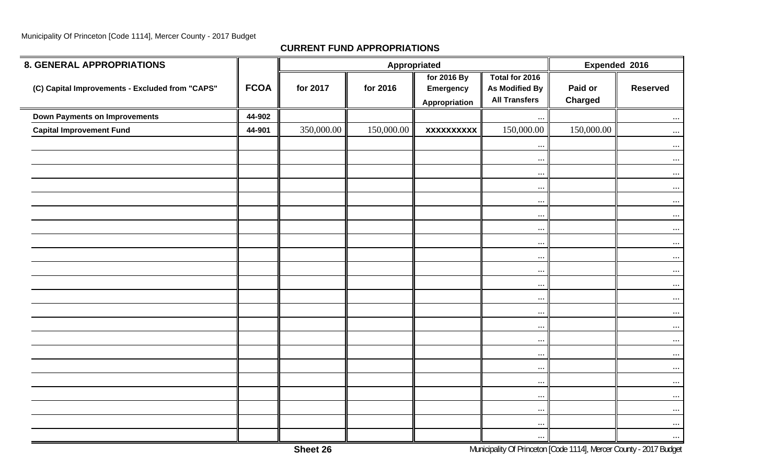| <b>8. GENERAL APPROPRIATIONS</b>                |             |            | Appropriated |                                           | Expended 2016                                                   |                           |                 |
|-------------------------------------------------|-------------|------------|--------------|-------------------------------------------|-----------------------------------------------------------------|---------------------------|-----------------|
| (C) Capital Improvements - Excluded from "CAPS" | <b>FCOA</b> | for 2017   | for 2016     | for 2016 By<br>Emergency<br>Appropriation | Total for 2016<br><b>As Modified By</b><br><b>All Transfers</b> | Paid or<br><b>Charged</b> | <b>Reserved</b> |
| <b>Down Payments on Improvements</b>            | 44-902      |            |              |                                           | $\cdots$                                                        |                           | $\cdots$        |
| <b>Capital Improvement Fund</b>                 | 44-901      | 350,000.00 | 150,000.00   | <b>XXXXXXXXXX</b>                         | 150,000.00                                                      | 150,000.00                | $\cdots$        |
|                                                 |             |            |              |                                           | $\cdots$                                                        |                           | $\cdots$        |
|                                                 |             |            |              |                                           | $\cdots$                                                        |                           | $\ldots$        |
|                                                 |             |            |              |                                           | $\cdots$                                                        |                           | $\cdots$        |
|                                                 |             |            |              |                                           | $\cdots$                                                        |                           | $\ldots$        |
|                                                 |             |            |              |                                           | $\cdots$                                                        |                           | $\cdots$        |
|                                                 |             |            |              |                                           | $\cdots$                                                        |                           | $\cdots$        |
|                                                 |             |            |              |                                           | $\cdots$                                                        |                           | $\cdots$        |
|                                                 |             |            |              |                                           | $\cdots$                                                        |                           | $\cdots$        |
|                                                 |             |            |              |                                           | $\cdots$                                                        |                           | $\cdots$        |
|                                                 |             |            |              |                                           | $\cdots$                                                        |                           | $\cdots$        |
|                                                 |             |            |              |                                           | $\cdots$                                                        |                           | $\cdots$        |
|                                                 |             |            |              |                                           | $\cdots$                                                        |                           | $\cdots$        |
|                                                 |             |            |              |                                           | $\cdots$                                                        |                           | $\cdots$        |
|                                                 |             |            |              |                                           | $\ldots$                                                        |                           | $\cdots$        |
|                                                 |             |            |              |                                           | $\cdots$                                                        |                           | $\cdots$        |
|                                                 |             |            |              |                                           | $\cdots$                                                        |                           | $\cdots$        |
|                                                 |             |            |              |                                           | $\cdots$                                                        |                           | $\cdots$        |
|                                                 |             |            |              |                                           | $\cdots$                                                        |                           | $\cdots$        |
|                                                 |             |            |              |                                           | $\cdots$                                                        |                           | $\cdots$        |
|                                                 |             |            |              |                                           | $\cdots$                                                        |                           | $\cdots$        |
|                                                 |             |            |              |                                           | $\cdots$                                                        |                           | $\cdots$        |
|                                                 |             |            |              |                                           | $\cdots$                                                        |                           | $\cdots$        |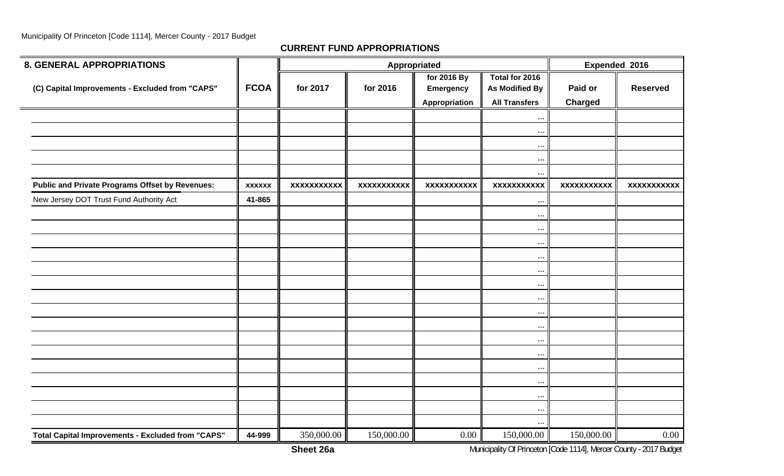| <b>8. GENERAL APPROPRIATIONS</b>                         |               |                    |                    | Appropriated                    |                                         |                    | Expended 2016      |
|----------------------------------------------------------|---------------|--------------------|--------------------|---------------------------------|-----------------------------------------|--------------------|--------------------|
| (C) Capital Improvements - Excluded from "CAPS"          | <b>FCOA</b>   | for 2017           | for 2016           | for 2016 By<br><b>Emergency</b> | Total for 2016<br><b>As Modified By</b> | Paid or            | <b>Reserved</b>    |
|                                                          |               |                    |                    | Appropriation                   | <b>All Transfers</b>                    | <b>Charged</b>     |                    |
|                                                          |               |                    |                    |                                 | $\ddotsc$                               |                    |                    |
|                                                          |               |                    |                    |                                 | $\ddotsc$                               |                    |                    |
|                                                          |               |                    |                    |                                 | $\ddotsc$                               |                    |                    |
|                                                          |               |                    |                    |                                 | $\cdots$                                |                    |                    |
|                                                          |               |                    |                    |                                 | $\cdots$                                |                    |                    |
| <b>Public and Private Programs Offset by Revenues:</b>   | <b>XXXXXX</b> | <b>XXXXXXXXXXX</b> | <b>XXXXXXXXXXX</b> | <b>XXXXXXXXXXX</b>              | <b>XXXXXXXXXXX</b>                      | <b>XXXXXXXXXXX</b> | <b>XXXXXXXXXXX</b> |
| New Jersey DOT Trust Fund Authority Act                  | 41-865        |                    |                    |                                 | $\cdots$                                |                    |                    |
|                                                          |               |                    |                    |                                 | $\ddotsc$                               |                    |                    |
|                                                          |               |                    |                    |                                 | $\ddots$                                |                    |                    |
|                                                          |               |                    |                    |                                 | $\cdots$                                |                    |                    |
|                                                          |               |                    |                    |                                 | $\cdots$                                |                    |                    |
|                                                          |               |                    |                    |                                 | $\ddotsc$                               |                    |                    |
|                                                          |               |                    |                    |                                 | $\ddots$                                |                    |                    |
|                                                          |               |                    |                    |                                 | $\ddots$                                |                    |                    |
|                                                          |               |                    |                    |                                 | $\ddots$                                |                    |                    |
|                                                          |               |                    |                    |                                 | $\ddotsc$                               |                    |                    |
|                                                          |               |                    |                    |                                 | $\ldots$                                |                    |                    |
|                                                          |               |                    |                    |                                 | $\ddotsc$                               |                    |                    |
|                                                          |               |                    |                    |                                 | $\ldots$                                |                    |                    |
|                                                          |               |                    |                    |                                 | $\cdots$                                |                    |                    |
|                                                          |               |                    |                    |                                 | $\cdot \cdot$                           |                    |                    |
|                                                          |               |                    |                    |                                 | $\ldots$                                |                    |                    |
|                                                          |               |                    |                    |                                 | $\ddotsc$                               |                    |                    |
| <b>Total Capital Improvements - Excluded from "CAPS"</b> | 44-999        | 350,000.00         | 150,000.00         | $0.00\,$                        | 150,000.00                              | 150,000.00         | $0.00\,$           |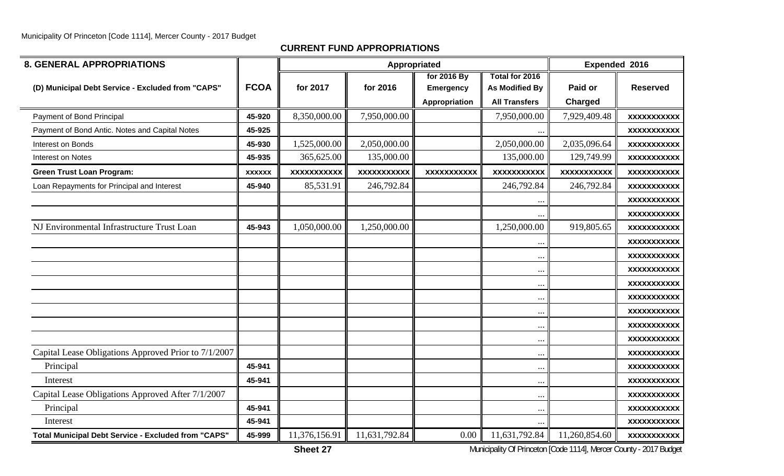## **CURRENT FUND APPROPRIATIONS**

| <b>8. GENERAL APPROPRIATIONS</b>                           |               |                    | Appropriated       |                                                  | Expended 2016                                                   |                    |                    |
|------------------------------------------------------------|---------------|--------------------|--------------------|--------------------------------------------------|-----------------------------------------------------------------|--------------------|--------------------|
| (D) Municipal Debt Service - Excluded from "CAPS"          | <b>FCOA</b>   | for 2017           | for 2016           | for 2016 By<br><b>Emergency</b><br>Appropriation | Total for 2016<br><b>As Modified By</b><br><b>All Transfers</b> | Paid or<br>Charged | <b>Reserved</b>    |
| Payment of Bond Principal                                  | 45-920        | 8,350,000.00       | 7,950,000.00       |                                                  | 7,950,000.00                                                    | 7,929,409.48       | <b>XXXXXXXXXXX</b> |
| Payment of Bond Antic. Notes and Capital Notes             | 45-925        |                    |                    |                                                  | $\ddots$                                                        |                    | <b>XXXXXXXXXXX</b> |
| Interest on Bonds                                          | 45-930        | 1,525,000.00       | 2,050,000.00       |                                                  | 2,050,000.00                                                    | 2,035,096.64       | <b>XXXXXXXXXXX</b> |
| Interest on Notes                                          | 45-935        | 365,625.00         | 135,000.00         |                                                  | 135,000.00                                                      | 129,749.99         | <b>XXXXXXXXXXX</b> |
| <b>Green Trust Loan Program:</b>                           | <b>XXXXXX</b> | <b>XXXXXXXXXXX</b> | <b>XXXXXXXXXXX</b> | <b>XXXXXXXXXXX</b>                               | <b>XXXXXXXXXXX</b>                                              | <b>XXXXXXXXXXX</b> | <b>XXXXXXXXXXX</b> |
| Loan Repayments for Principal and Interest                 | 45-940        | 85,531.91          | 246,792.84         |                                                  | 246,792.84                                                      | 246,792.84         | <b>XXXXXXXXXXX</b> |
|                                                            |               |                    |                    |                                                  | $\ddotsc$                                                       |                    | <b>XXXXXXXXXXX</b> |
|                                                            |               |                    |                    |                                                  |                                                                 |                    | <b>XXXXXXXXXXX</b> |
| NJ Environmental Infrastructure Trust Loan                 | 45-943        | 1,050,000.00       | 1,250,000.00       |                                                  | 1,250,000.00                                                    | 919,805.65         | <b>XXXXXXXXXXX</b> |
|                                                            |               |                    |                    |                                                  | $\ddotsc$                                                       |                    | <b>XXXXXXXXXXX</b> |
|                                                            |               |                    |                    |                                                  | $\ddotsc$                                                       |                    | <b>XXXXXXXXXXX</b> |
|                                                            |               |                    |                    |                                                  | $\ddots$                                                        |                    | <b>XXXXXXXXXXX</b> |
|                                                            |               |                    |                    |                                                  | $\ddotsc$                                                       |                    | <b>XXXXXXXXXXX</b> |
|                                                            |               |                    |                    |                                                  | $\ddotsc$                                                       |                    | <b>XXXXXXXXXXX</b> |
|                                                            |               |                    |                    |                                                  | $\ddots$                                                        |                    | <b>XXXXXXXXXXX</b> |
|                                                            |               |                    |                    |                                                  | $\ldots$                                                        |                    | <b>XXXXXXXXXXX</b> |
|                                                            |               |                    |                    |                                                  | $\ddotsc$                                                       |                    | <b>XXXXXXXXXXX</b> |
| Capital Lease Obligations Approved Prior to 7/1/2007       |               |                    |                    |                                                  | $\ddots$                                                        |                    | <b>XXXXXXXXXXX</b> |
| Principal                                                  | 45-941        |                    |                    |                                                  | $\cdots$                                                        |                    | <b>XXXXXXXXXXX</b> |
| Interest                                                   | 45-941        |                    |                    |                                                  | $\ddotsc$                                                       |                    | <b>XXXXXXXXXXX</b> |
| Capital Lease Obligations Approved After 7/1/2007          |               |                    |                    |                                                  | $\ddotsc$                                                       |                    | <b>XXXXXXXXXXX</b> |
| Principal                                                  | 45-941        |                    |                    |                                                  | $\cdots$                                                        |                    | <b>XXXXXXXXXXX</b> |
| Interest                                                   | 45-941        |                    |                    |                                                  |                                                                 |                    | <b>XXXXXXXXXXX</b> |
| <b>Total Municipal Debt Service - Excluded from "CAPS"</b> | 45-999        | 11,376,156.91      | 11,631,792.84      | 0.00                                             | 11,631,792.84                                                   | 11,260,854.60      | <b>XXXXXXXXXXX</b> |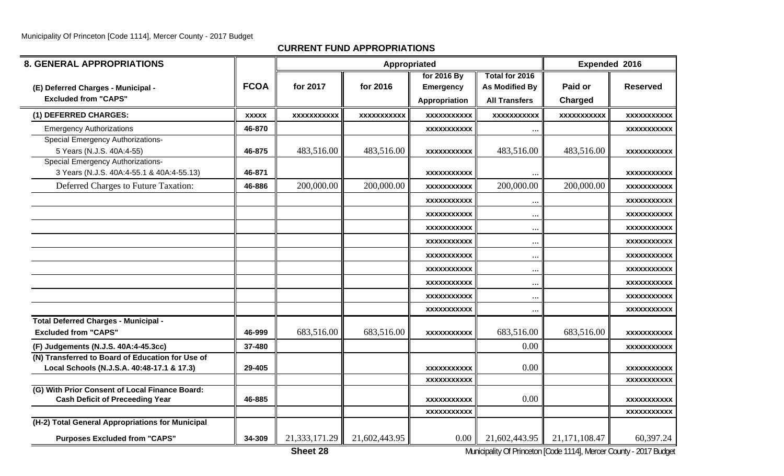| <b>8. GENERAL APPROPRIATIONS</b>                 |              |                    |                    | Appropriated       |                       |                    | <b>Expended 2016</b> |
|--------------------------------------------------|--------------|--------------------|--------------------|--------------------|-----------------------|--------------------|----------------------|
|                                                  |              |                    |                    | for 2016 By        | Total for 2016        |                    |                      |
| (E) Deferred Charges - Municipal -               | <b>FCOA</b>  | for 2017           | for 2016           | <b>Emergency</b>   | <b>As Modified By</b> | Paid or            | <b>Reserved</b>      |
| <b>Excluded from "CAPS"</b>                      |              |                    |                    | Appropriation      | <b>All Transfers</b>  | Charged            |                      |
| (1) DEFERRED CHARGES:                            | <b>XXXXX</b> | <b>XXXXXXXXXXX</b> | <b>XXXXXXXXXXX</b> | <b>XXXXXXXXXXX</b> | <b>XXXXXXXXXXX</b>    | <b>XXXXXXXXXXX</b> | <b>XXXXXXXXXXX</b>   |
| <b>Emergency Authorizations</b>                  | 46-870       |                    |                    | <b>XXXXXXXXXXX</b> | $\ddotsc$             |                    | XXXXXXXXXXX          |
| <b>Special Emergency Authorizations-</b>         |              |                    |                    |                    |                       |                    |                      |
| 5 Years (N.J.S. 40A:4-55)                        | 46-875       | 483,516.00         | 483,516.00         | XXXXXXXXXXX        | 483,516.00            | 483,516.00         | <b>XXXXXXXXXXX</b>   |
| <b>Special Emergency Authorizations-</b>         |              |                    |                    |                    |                       |                    |                      |
| 3 Years (N.J.S. 40A:4-55.1 & 40A:4-55.13)        | 46-871       |                    |                    | XXXXXXXXXXX        |                       |                    | XXXXXXXXXX           |
| Deferred Charges to Future Taxation:             | 46-886       | 200,000.00         | 200,000.00         | XXXXXXXXXX         | 200,000.00            | 200,000.00         | <b>XXXXXXXXXXX</b>   |
|                                                  |              |                    |                    | XXXXXXXXXX         | $\ddotsc$             |                    | <b>XXXXXXXXXXX</b>   |
|                                                  |              |                    |                    | <b>XXXXXXXXXXX</b> | $\ddotsc$             |                    | XXXXXXXXXXX          |
|                                                  |              |                    |                    | <b>XXXXXXXXXXX</b> | $\ddotsc$             |                    | XXXXXXXXXX           |
|                                                  |              |                    |                    | XXXXXXXXXXX        | $\ddotsc$             |                    | <b>XXXXXXXXXXX</b>   |
|                                                  |              |                    |                    | <b>XXXXXXXXXX</b>  | $\cdots$              |                    | XXXXXXXXXXX          |
|                                                  |              |                    |                    | XXXXXXXXXXX        | $\ddotsc$             |                    | XXXXXXXXXXX          |
|                                                  |              |                    |                    | <b>XXXXXXXXXX</b>  | $\cdots$              |                    | XXXXXXXXXX           |
|                                                  |              |                    |                    | XXXXXXXXXX         | $\ddotsc$             |                    | XXXXXXXXXX           |
|                                                  |              |                    |                    | <b>XXXXXXXXXXX</b> | $\ddotsc$             |                    | XXXXXXXXXXX          |
| <b>Total Deferred Charges - Municipal -</b>      |              |                    |                    |                    |                       |                    |                      |
| <b>Excluded from "CAPS"</b>                      | 46-999       | 683,516.00         | 683,516.00         | <b>XXXXXXXXXXX</b> | 683,516.00            | 683,516.00         | <b>XXXXXXXXXXX</b>   |
| (F) Judgements (N.J.S. 40A:4-45.3cc)             | 37-480       |                    |                    |                    | 0.00                  |                    | XXXXXXXXXX           |
| (N) Transferred to Board of Education for Use of |              |                    |                    |                    |                       |                    |                      |
| Local Schools (N.J.S.A. 40:48-17.1 & 17.3)       | 29-405       |                    |                    | XXXXXXXXXXX        | 0.00                  |                    | XXXXXXXXXXX          |
| (G) With Prior Consent of Local Finance Board:   |              |                    |                    | <b>XXXXXXXXXXX</b> |                       |                    | <b>XXXXXXXXXXX</b>   |
| <b>Cash Deficit of Preceeding Year</b>           | 46-885       |                    |                    | <b>XXXXXXXXXXX</b> | 0.00                  |                    | XXXXXXXXXXX          |
|                                                  |              |                    |                    | <b>XXXXXXXXXXX</b> |                       |                    | <b>XXXXXXXXXXX</b>   |
| (H-2) Total General Appropriations for Municipal |              |                    |                    |                    |                       |                    |                      |
| <b>Purposes Excluded from "CAPS"</b>             | 34-309       | 21,333,171.29      | 21,602,443.95      | 0.00               | 21,602,443.95         | 21,171,108.47      | 60,397.24            |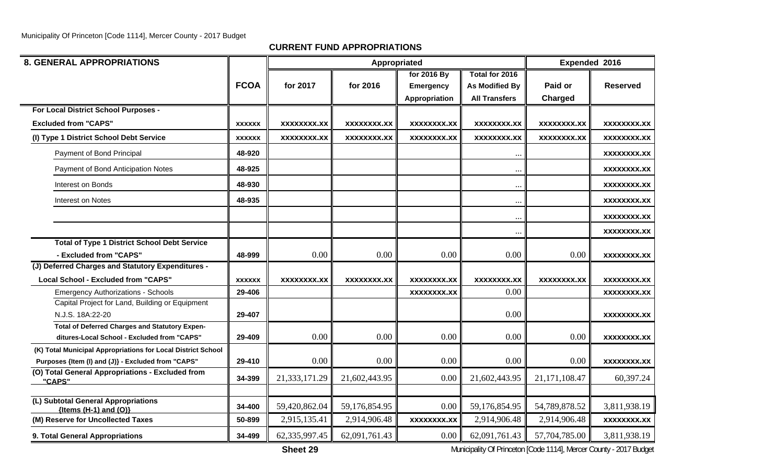**CURRENT FUND APPROPRIATIONS**

| <b>8. GENERAL APPROPRIATIONS</b>                                                                     |               |               |               | Appropriated     |                       | Expended 2016      |                    |
|------------------------------------------------------------------------------------------------------|---------------|---------------|---------------|------------------|-----------------------|--------------------|--------------------|
|                                                                                                      |               |               |               | for 2016 By      | Total for 2016        |                    |                    |
|                                                                                                      | <b>FCOA</b>   | for 2017      | for 2016      | <b>Emergency</b> | <b>As Modified By</b> | Paid or            | <b>Reserved</b>    |
|                                                                                                      |               |               |               | Appropriation    | <b>All Transfers</b>  | Charged            |                    |
| For Local District School Purposes -                                                                 |               |               |               |                  |                       |                    |                    |
| <b>Excluded from "CAPS"</b>                                                                          | <b>XXXXXX</b> | XXXXXXXX.XX   | XXXXXXXX.XX   | XXXXXXXX.XX      | <b>XXXXXXXX.XX</b>    | <b>XXXXXXXX.XX</b> | XXXXXXXX.XX        |
| (I) Type 1 District School Debt Service                                                              | <b>XXXXXX</b> | XXXXXXXX.XX   | XXXXXXXX.XX   | XXXXXXXX.XX      | <b>XXXXXXXX.XX</b>    | <b>XXXXXXXX.XX</b> | XXXXXXX.XX         |
| Payment of Bond Principal                                                                            | 48-920        |               |               |                  | $\ddotsc$             |                    | XXXXXXXX.XX        |
| Payment of Bond Anticipation Notes                                                                   | 48-925        |               |               |                  | $\ddotsc$             |                    | XXXXXXXX.XX        |
| <b>Interest on Bonds</b>                                                                             | 48-930        |               |               |                  | $\ddotsc$             |                    | XXXXXXXX.XX        |
| Interest on Notes                                                                                    | 48-935        |               |               |                  | $\ddotsc$             |                    | XXXXXXXX.XX        |
|                                                                                                      |               |               |               |                  | $\ddotsc$             |                    | XXXXXXXX.XX        |
|                                                                                                      |               |               |               |                  | $\ddotsc$             |                    | XXXXXXXX.XX        |
| <b>Total of Type 1 District School Debt Service</b>                                                  |               |               |               |                  |                       |                    |                    |
| - Excluded from "CAPS"                                                                               | 48-999        | 0.00          | 0.00          | 0.00             | 0.00                  | 0.00               | <b>XXXXXXXX.XX</b> |
| (J) Deferred Charges and Statutory Expenditures -                                                    |               |               |               |                  |                       |                    |                    |
| <b>Local School - Excluded from "CAPS"</b>                                                           | <b>XXXXXX</b> | XXXXXXXX.XX   | XXXXXXXX.XX   | XXXXXXXX.XX      | <b>XXXXXXXX.XX</b>    | <b>XXXXXXXX.XX</b> | <b>XXXXXXXX.XX</b> |
| <b>Emergency Authorizations - Schools</b>                                                            | 29-406        |               |               | XXXXXXXX.XX      | 0.00                  |                    | XXXXXXXX.XX        |
| Capital Project for Land, Building or Equipment                                                      |               |               |               |                  |                       |                    |                    |
| N.J.S. 18A:22-20                                                                                     | 29-407        |               |               |                  | 0.00                  |                    | XXXXXXXX.XX        |
| <b>Total of Deferred Charges and Statutory Expen-</b><br>ditures-Local School - Excluded from "CAPS" | 29-409        | 0.00          | 0.00          | 0.00             | 0.00                  | 0.00               | XXXXXXXX.XX        |
| (K) Total Municipal Appropriations for Local District School                                         |               |               |               |                  |                       |                    |                    |
| Purposes {Item (I) and (J)} - Excluded from "CAPS"                                                   | 29-410        | 0.00          | 0.00          | 0.00             | 0.00                  | 0.00               | <b>XXXXXXXX.XX</b> |
| (O) Total General Appropriations - Excluded from<br>"CAPS"                                           | 34-399        | 21,333,171.29 | 21,602,443.95 | 0.00             | 21,602,443.95         | 21, 171, 108. 47   | 60,397.24          |
|                                                                                                      |               |               |               |                  |                       |                    |                    |
| (L) Subtotal General Appropriations<br>${Items (H-1) and (O)}$                                       | 34-400        | 59,420,862.04 | 59,176,854.95 | 0.00             | 59,176,854.95         | 54,789,878.52      | 3,811,938.19       |
| (M) Reserve for Uncollected Taxes                                                                    | 50-899        | 2,915,135.41  | 2,914,906.48  | XXXXXXXX.XX      | 2,914,906.48          | 2,914,906.48       | <b>XXXXXXXX.XX</b> |
| 9. Total General Appropriations                                                                      | 34-499        | 62,335,997.45 | 62,091,761.43 | 0.00             | 62,091,761.43         | 57,704,785.00      | 3,811,938.19       |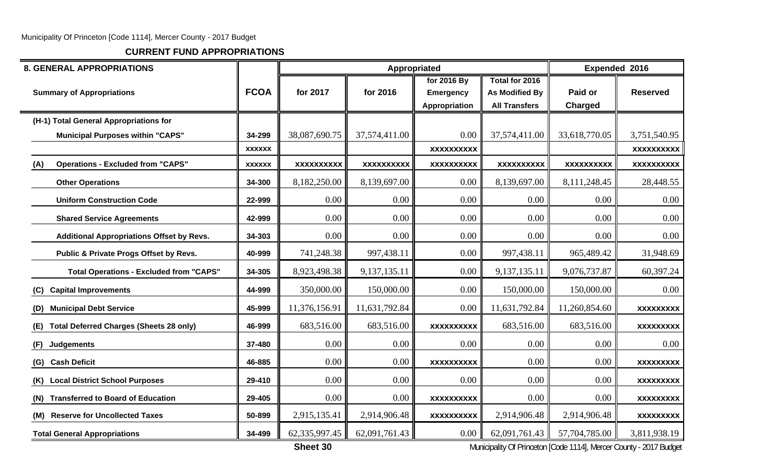**CURRENT FUND APPROPRIATIONS**

| <b>8. GENERAL APPROPRIATIONS</b>                      |               |                   | Appropriated      |                                                  |                                                                 |                           | Expended 2016     |
|-------------------------------------------------------|---------------|-------------------|-------------------|--------------------------------------------------|-----------------------------------------------------------------|---------------------------|-------------------|
| <b>Summary of Appropriations</b>                      | <b>FCOA</b>   | for 2017          | for 2016          | for 2016 By<br><b>Emergency</b><br>Appropriation | Total for 2016<br><b>As Modified By</b><br><b>All Transfers</b> | Paid or<br><b>Charged</b> | <b>Reserved</b>   |
| (H-1) Total General Appropriations for                |               |                   |                   |                                                  |                                                                 |                           |                   |
| <b>Municipal Purposes within "CAPS"</b>               | 34-299        | 38,087,690.75     | 37,574,411.00     | 0.00                                             | 37,574,411.00                                                   | 33,618,770.05             | 3,751,540.95      |
|                                                       | <b>XXXXXX</b> |                   |                   | <b>XXXXXXXXXX</b>                                |                                                                 |                           | <b>XXXXXXXXXX</b> |
| <b>Operations - Excluded from "CAPS"</b><br>(A)       | <b>XXXXXX</b> | <b>XXXXXXXXXX</b> | <b>XXXXXXXXXX</b> | <b>XXXXXXXXXX</b>                                | <b>XXXXXXXXXX</b>                                               | <b>XXXXXXXXXX</b>         | <b>XXXXXXXXXX</b> |
| <b>Other Operations</b>                               | 34-300        | 8,182,250.00      | 8,139,697.00      | 0.00                                             | 8,139,697.00                                                    | 8,111,248.45              | 28,448.55         |
| <b>Uniform Construction Code</b>                      | 22-999        | 0.00              | 0.00              | 0.00                                             | 0.00                                                            | 0.00                      | 0.00              |
| <b>Shared Service Agreements</b>                      | 42-999        | 0.00              | 0.00              | 0.00                                             | 0.00                                                            | 0.00                      | 0.00              |
| <b>Additional Appropriations Offset by Revs.</b>      | 34-303        | 0.00              | 0.00              | 0.00                                             | 0.00                                                            | 0.00                      | 0.00              |
| Public & Private Progs Offset by Revs.                | 40-999        | 741,248.38        | 997,438.11        | 0.00                                             | 997,438.11                                                      | 965,489.42                | 31,948.69         |
| <b>Total Operations - Excluded from "CAPS"</b>        | 34-305        | 8,923,498.38      | 9,137,135.11      | 0.00                                             | 9,137,135.11                                                    | 9,076,737.87              | 60,397.24         |
| <b>Capital Improvements</b><br>(C)                    | 44-999        | 350,000.00        | 150,000.00        | 0.00                                             | 150,000.00                                                      | 150,000.00                | 0.00              |
| <b>Municipal Debt Service</b><br>(D)                  | 45-999        | 11,376,156.91     | 11,631,792.84     | 0.00                                             | 11,631,792.84                                                   | 11,260,854.60             | <b>XXXXXXXXX</b>  |
| <b>Total Deferred Charges (Sheets 28 only)</b><br>(E) | 46-999        | 683,516.00        | 683,516.00        | <b>XXXXXXXXXX</b>                                | 683,516.00                                                      | 683,516.00                | <b>XXXXXXXXX</b>  |
| <b>Judgements</b><br>(F)                              | 37-480        | 0.00              | 0.00              | 0.00                                             | 0.00                                                            | 0.00                      | 0.00              |
| <b>Cash Deficit</b><br>(G)                            | 46-885        | 0.00              | 0.00              | <b>XXXXXXXXXX</b>                                | 0.00                                                            | 0.00                      | <b>XXXXXXXXX</b>  |
| <b>Local District School Purposes</b><br>(K)          | 29-410        | 0.00              | 0.00              | 0.00                                             | 0.00                                                            | 0.00                      | <b>XXXXXXXXX</b>  |
| <b>Transferred to Board of Education</b><br>(N)       | 29-405        | 0.00              | 0.00              | <b>XXXXXXXXXX</b>                                | 0.00                                                            | 0.00                      | <b>XXXXXXXXX</b>  |
| (M) Reserve for Uncollected Taxes                     | 50-899        | 2,915,135.41      | 2,914,906.48      | <b>XXXXXXXXXX</b>                                | 2,914,906.48                                                    | 2,914,906.48              | <b>XXXXXXXXX</b>  |
| <b>Total General Appropriations</b>                   | 34-499        | 62,335,997.45     | 62,091,761.43     | 0.00                                             | 62,091,761.43                                                   | 57,704,785.00             | 3,811,938.19      |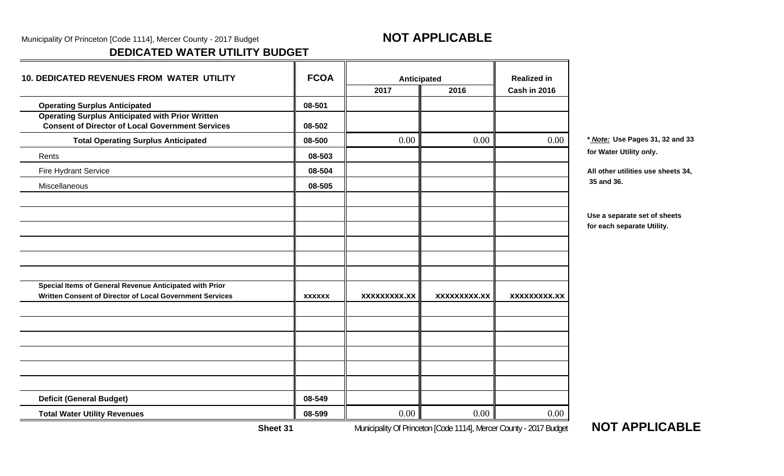Municipality Of Princeton [Code 1114], Mercer County - 2017 Budget **NOT APPLICABLE** 

# **DEDICATED WATER UTILITY BUDGET**

| <b>10. DEDICATED REVENUES FROM WATER UTILITY</b>                                                                   |               | Anticipated         |                                                                    | <b>Realized in</b>  |                                    |
|--------------------------------------------------------------------------------------------------------------------|---------------|---------------------|--------------------------------------------------------------------|---------------------|------------------------------------|
|                                                                                                                    |               | 2017                | 2016                                                               | Cash in 2016        |                                    |
| <b>Operating Surplus Anticipated</b>                                                                               | 08-501        |                     |                                                                    |                     |                                    |
| <b>Operating Surplus Anticipated with Prior Written</b><br><b>Consent of Director of Local Government Services</b> | 08-502        |                     |                                                                    |                     |                                    |
| <b>Total Operating Surplus Anticipated</b>                                                                         | 08-500        | 0.00                | 0.00                                                               | 0.00                | * Note: Use Pages 31, 32 and 33    |
| Rents                                                                                                              | 08-503        |                     |                                                                    |                     | for Water Utility only.            |
| Fire Hydrant Service                                                                                               | 08-504        |                     |                                                                    |                     | All other utilities use sheets 34, |
| Miscellaneous                                                                                                      | 08-505        |                     |                                                                    |                     | 35 and 36.                         |
|                                                                                                                    |               |                     |                                                                    |                     |                                    |
|                                                                                                                    |               |                     |                                                                    |                     | Use a separate set of sheets       |
|                                                                                                                    |               |                     |                                                                    |                     | for each separate Utility.         |
|                                                                                                                    |               |                     |                                                                    |                     |                                    |
|                                                                                                                    |               |                     |                                                                    |                     |                                    |
|                                                                                                                    |               |                     |                                                                    |                     |                                    |
| Special Items of General Revenue Anticipated with Prior                                                            |               |                     |                                                                    |                     |                                    |
| Written Consent of Director of Local Government Services                                                           | <b>XXXXXX</b> | <b>XXXXXXXXX.XX</b> | <b>XXXXXXXXX.XX</b>                                                | <b>XXXXXXXXX.XX</b> |                                    |
|                                                                                                                    |               |                     |                                                                    |                     |                                    |
|                                                                                                                    |               |                     |                                                                    |                     |                                    |
|                                                                                                                    |               |                     |                                                                    |                     |                                    |
|                                                                                                                    |               |                     |                                                                    |                     |                                    |
|                                                                                                                    |               |                     |                                                                    |                     |                                    |
| <b>Deficit (General Budget)</b>                                                                                    | 08-549        |                     |                                                                    |                     |                                    |
|                                                                                                                    |               |                     |                                                                    |                     |                                    |
| <b>Total Water Utility Revenues</b>                                                                                | 08-599        | 0.00                | 0.00                                                               | 0.00                |                                    |
| Sheet 31                                                                                                           |               |                     | Municipality Of Princeton [Code 1114], Mercer County - 2017 Budget |                     | <b>NOT APPLICABLE</b>              |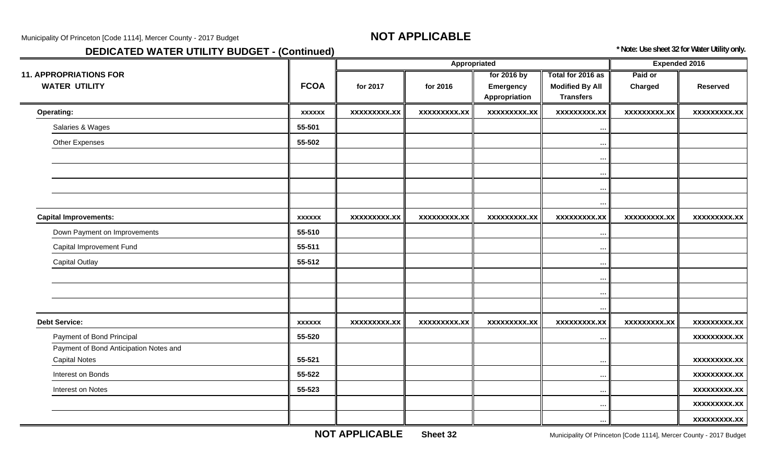# **DEDICATED WATER UTILITY BUDGET - (Continued)** *DEDICATED WATER UTILITY BUDGET - (Continued)* **<b>***CONTINUED SECTED 32 for Water Utility only.*

|                                        |               |                     | Appropriated        |                                   |                                            | Expended 2016       |                     |
|----------------------------------------|---------------|---------------------|---------------------|-----------------------------------|--------------------------------------------|---------------------|---------------------|
| <b>11. APPROPRIATIONS FOR</b>          |               |                     |                     | for 2016 by                       | Total for 2016 as                          | Paid or             |                     |
| <b>WATER UTILITY</b>                   | <b>FCOA</b>   | for 2017            | for 2016            | <b>Emergency</b><br>Appropriation | <b>Modified By All</b><br><b>Transfers</b> | Charged             | <b>Reserved</b>     |
| Operating:                             | <b>XXXXXX</b> | <b>XXXXXXXXX.XX</b> | <b>XXXXXXXXX.XX</b> | xxxxxxxxx.xx                      | <b>XXXXXXXXX.XX</b>                        | <b>XXXXXXXXX.XX</b> | <b>XXXXXXXXX.XX</b> |
| Salaries & Wages                       | 55-501        |                     |                     |                                   | $\ldots$                                   |                     |                     |
| Other Expenses                         | 55-502        |                     |                     |                                   | $\ddots$                                   |                     |                     |
|                                        |               |                     |                     |                                   | $\cdots$                                   |                     |                     |
|                                        |               |                     |                     |                                   | $\cdots$                                   |                     |                     |
|                                        |               |                     |                     |                                   | $\ldots$                                   |                     |                     |
|                                        |               |                     |                     |                                   | $\cdots$                                   |                     |                     |
| <b>Capital Improvements:</b>           | <b>XXXXXX</b> | <b>XXXXXXXXX.XX</b> | <b>XXXXXXXXX.XX</b> | <b>XXXXXXXXX.XX</b>               | <b>XXXXXXXXX.XX</b>                        | <b>XXXXXXXXX.XX</b> | <b>XXXXXXXXX.XX</b> |
| Down Payment on Improvements           | 55-510        |                     |                     |                                   | $\cdots$                                   |                     |                     |
| Capital Improvement Fund               | 55-511        |                     |                     |                                   | $\cdots$                                   |                     |                     |
| <b>Capital Outlay</b>                  | 55-512        |                     |                     |                                   | $\ddots$                                   |                     |                     |
|                                        |               |                     |                     |                                   | $\cdots$                                   |                     |                     |
|                                        |               |                     |                     |                                   | $\cdots$                                   |                     |                     |
|                                        |               |                     |                     |                                   | $\ddots$                                   |                     |                     |
| <b>Debt Service:</b>                   | <b>XXXXXX</b> | <b>XXXXXXXXX.XX</b> | <b>XXXXXXXXX.XX</b> | <b>XXXXXXXXX.XX</b>               | <b>XXXXXXXXX.XX</b>                        | <b>XXXXXXXXX.XX</b> | <b>XXXXXXXXX.XX</b> |
| Payment of Bond Principal              | 55-520        |                     |                     |                                   | $\ddots$                                   |                     | <b>XXXXXXXXX.XX</b> |
| Payment of Bond Anticipation Notes and |               |                     |                     |                                   |                                            |                     |                     |
| <b>Capital Notes</b>                   | 55-521        |                     |                     |                                   | $\cdots$                                   |                     | xxxxxxxxx.xx        |
| Interest on Bonds                      | 55-522        |                     |                     |                                   | $\cdots$                                   |                     | <b>XXXXXXXXX.XX</b> |
| Interest on Notes                      | 55-523        |                     |                     |                                   | $\cdots$                                   |                     | xxxxxxxxx.xx        |
|                                        |               |                     |                     |                                   | $\cdots$                                   |                     | <b>XXXXXXXXX.XX</b> |
|                                        |               |                     |                     |                                   |                                            |                     | <b>XXXXXXXXX.XX</b> |

**NOT APPLICABLE**

Sheet 32 **Sheet 32** Municipality Of Princeton [Code 1114], Mercer County - 2017 Budget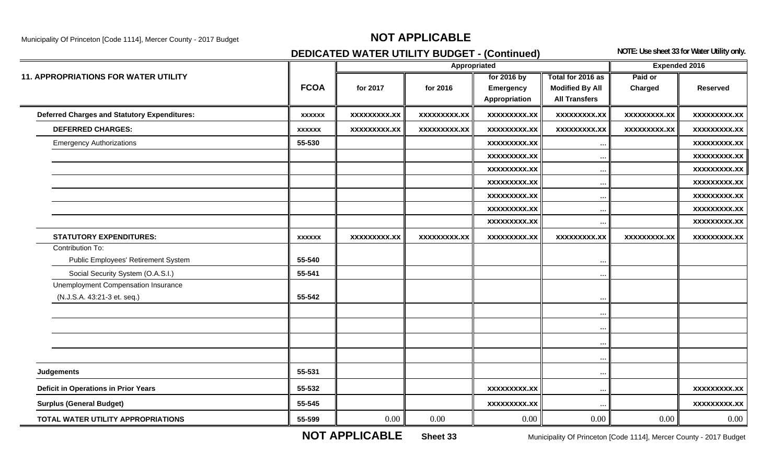# Municipality Of Princeton [Code 1114], Mercer County - 2017 Budget **NOT APPLICABLE**

# **DEDICATED WATER UTILITY BUDGET - (Continued)** NOTE: Use sheet 33 for Water Utility only.

|                                                     |               |                     | Appropriated        |                     |                        | <b>Expended 2016</b> |                     |
|-----------------------------------------------------|---------------|---------------------|---------------------|---------------------|------------------------|----------------------|---------------------|
| <b>11. APPROPRIATIONS FOR WATER UTILITY</b>         |               |                     |                     | for 2016 by         | Total for 2016 as      | Paid or              |                     |
|                                                     | <b>FCOA</b>   | for 2017            | for 2016            | Emergency           | <b>Modified By All</b> | Charged              | <b>Reserved</b>     |
|                                                     |               |                     |                     | Appropriation       | <b>All Transfers</b>   |                      |                     |
| <b>Deferred Charges and Statutory Expenditures:</b> | <b>XXXXXX</b> | <b>XXXXXXXXX.XX</b> | <b>XXXXXXXXX.XX</b> | <b>XXXXXXXXX.XX</b> | <b>XXXXXXXXX.XX</b>    | <b>XXXXXXXXX.XX</b>  | <b>XXXXXXXXX.XX</b> |
| <b>DEFERRED CHARGES:</b>                            | <b>XXXXXX</b> | <b>XXXXXXXXX.XX</b> | <b>XXXXXXXXX.XX</b> | <b>XXXXXXXXX.XX</b> | <b>XXXXXXXXX.XX</b>    | <b>XXXXXXXXX.XX</b>  | <b>XXXXXXXXX.XX</b> |
| <b>Emergency Authorizations</b>                     | 55-530        |                     |                     | <b>XXXXXXXXX.XX</b> | $\cdots$               |                      | <b>XXXXXXXXX.XX</b> |
|                                                     |               |                     |                     | <b>XXXXXXXXX.XX</b> | $\ldots$               |                      | <b>XXXXXXXXX.XX</b> |
|                                                     |               |                     |                     | <b>XXXXXXXXX.XX</b> | $\cdots$               |                      | <b>XXXXXXXXX.XX</b> |
|                                                     |               |                     |                     | <b>XXXXXXXXX.XX</b> | $\ldots$               |                      | <b>XXXXXXXXX.XX</b> |
|                                                     |               |                     |                     | <b>XXXXXXXXX.XX</b> | $\ldots$               |                      | <b>XXXXXXXXX.XX</b> |
|                                                     |               |                     |                     | <b>XXXXXXXXX.XX</b> | $\cdots$               |                      | <b>XXXXXXXXX.XX</b> |
|                                                     |               |                     |                     | <b>XXXXXXXXX.XX</b> | $\cdots$               |                      | <b>XXXXXXXXX.XX</b> |
| <b>STATUTORY EXPENDITURES:</b>                      | <b>XXXXXX</b> | <b>XXXXXXXXX.XX</b> | <b>XXXXXXXXX.XX</b> | <b>XXXXXXXXX.XX</b> | <b>XXXXXXXXX.XX</b>    | <b>XXXXXXXXX.XX</b>  | xxxxxxxxx.xx        |
| Contribution To:                                    |               |                     |                     |                     |                        |                      |                     |
| Public Employees' Retirement System                 | 55-540        |                     |                     |                     | $\ddotsc$              |                      |                     |
| Social Security System (O.A.S.I.)                   | 55-541        |                     |                     |                     | $\ddots$               |                      |                     |
| Unemployment Compensation Insurance                 |               |                     |                     |                     |                        |                      |                     |
| (N.J.S.A. 43:21-3 et. seq.)                         | 55-542        |                     |                     |                     | $\cdots$               |                      |                     |
|                                                     |               |                     |                     |                     |                        |                      |                     |
|                                                     |               |                     |                     |                     | $\ddotsc$              |                      |                     |
|                                                     |               |                     |                     |                     | $\ddotsc$              |                      |                     |
|                                                     |               |                     |                     |                     | $\ddotsc$              |                      |                     |
| Judgements                                          | 55-531        |                     |                     |                     |                        |                      |                     |
|                                                     |               |                     |                     |                     | $\cdots$               |                      |                     |
| <b>Deficit in Operations in Prior Years</b>         | 55-532        |                     |                     | <b>XXXXXXXXX.XX</b> | $\ddots$               |                      | <b>XXXXXXXXX.XX</b> |
| <b>Surplus (General Budget)</b>                     | 55-545        |                     |                     | <b>XXXXXXXXX.XX</b> | $\ddots$               |                      | <b>XXXXXXXXX.XX</b> |
| TOTAL WATER UTILITY APPROPRIATIONS                  | 55-599        | 0.00                | 0.00                | 0.00                | 0.00                   | 0.00                 | 0.00                |

**NOT APPLICABLE**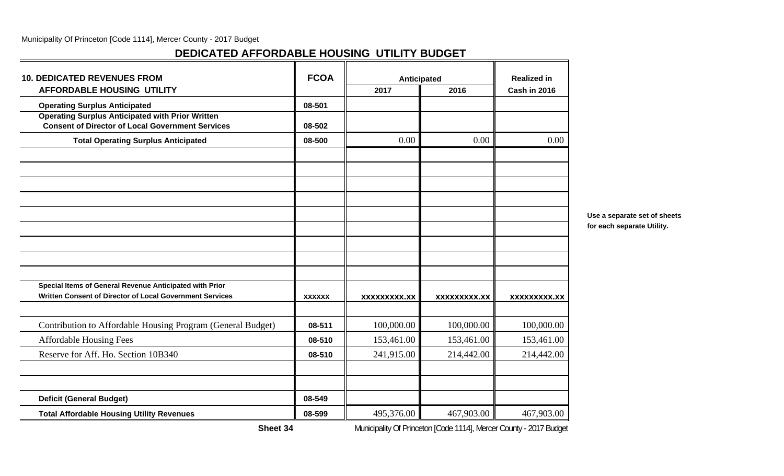# **DEDICATED AFFORDABLE HOUSING UTILITY BUDGET**

| <b>10. DEDICATED REVENUES FROM</b>                                                                                  | <b>FCOA</b>   | Anticipated         |                     | <b>Realized in</b>  |  |
|---------------------------------------------------------------------------------------------------------------------|---------------|---------------------|---------------------|---------------------|--|
| <b>AFFORDABLE HOUSING UTILITY</b>                                                                                   |               | 2017                | 2016                | Cash in 2016        |  |
| <b>Operating Surplus Anticipated</b>                                                                                | 08-501        |                     |                     |                     |  |
| <b>Operating Surplus Anticipated with Prior Written</b><br><b>Consent of Director of Local Government Services</b>  | 08-502        |                     |                     |                     |  |
| <b>Total Operating Surplus Anticipated</b>                                                                          | 08-500        | 0.00                | 0.00                | 0.00                |  |
|                                                                                                                     |               |                     |                     |                     |  |
|                                                                                                                     |               |                     |                     |                     |  |
|                                                                                                                     |               |                     |                     |                     |  |
|                                                                                                                     |               |                     |                     |                     |  |
|                                                                                                                     |               |                     |                     |                     |  |
| Special Items of General Revenue Anticipated with Prior<br>Written Consent of Director of Local Government Services | <b>XXXXXX</b> | <b>XXXXXXXXX.XX</b> | <b>XXXXXXXXX.XX</b> | <b>XXXXXXXXX.XX</b> |  |
| Contribution to Affordable Housing Program (General Budget)                                                         | 08-511        | 100,000.00          | 100,000.00          | 100,000.00          |  |
| <b>Affordable Housing Fees</b>                                                                                      | 08-510        | 153,461.00          | 153,461.00          | 153,461.00          |  |
| Reserve for Aff. Ho. Section 10B340                                                                                 | 08-510        | 241,915.00          | 214,442.00          | 214,442.00          |  |
| <b>Deficit (General Budget)</b>                                                                                     | 08-549        |                     |                     |                     |  |
| <b>Total Affordable Housing Utility Revenues</b>                                                                    | 08-599        | 495,376.00          | 467,903.00          | 467,903.00          |  |

**Use a separate set of sheets for each separate Utility.**

**Sheet 34**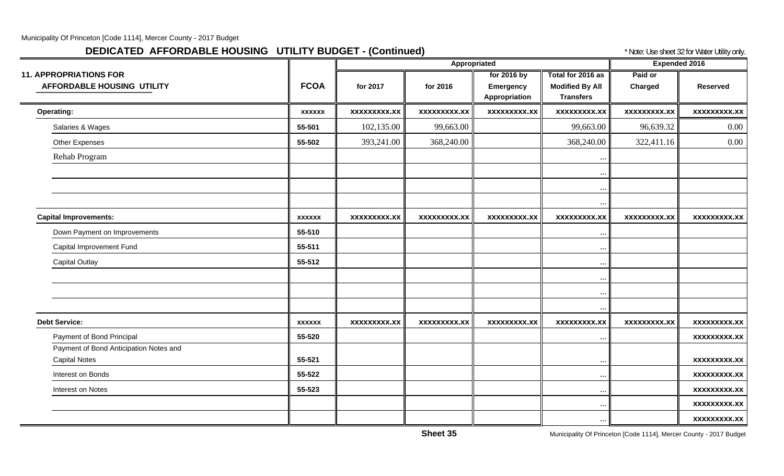# **DEDICATED AFFORDABLE HOUSING UTILITY BUDGET - (Continued)** \* Note: Use sheet 32 for Water Utility only.

|                                                                    |               |                     | Appropriated        |                                           |                                                                 | <b>Expended 2016</b> |                     |
|--------------------------------------------------------------------|---------------|---------------------|---------------------|-------------------------------------------|-----------------------------------------------------------------|----------------------|---------------------|
| <b>11. APPROPRIATIONS FOR</b><br><b>AFFORDABLE HOUSING UTILITY</b> | <b>FCOA</b>   | for 2017            | for 2016            | for 2016 by<br>Emergency<br>Appropriation | Total for 2016 as<br><b>Modified By All</b><br><b>Transfers</b> | Paid or<br>Charged   | <b>Reserved</b>     |
| <b>Operating:</b>                                                  | <b>XXXXXX</b> | xxxxxxxxx.xx        | xxxxxxxxx.xx        | <b>XXXXXXXXX.XX</b>                       | <b>XXXXXXXXX.XX</b>                                             | <b>XXXXXXXXX.XX</b>  | <b>XXXXXXXXX.XX</b> |
| Salaries & Wages                                                   | 55-501        | 102,135.00          | 99,663.00           |                                           | 99,663.00                                                       | 96,639.32            | $0.00\,$            |
| Other Expenses                                                     | 55-502        | 393,241.00          | 368,240.00          |                                           | 368,240.00                                                      | 322,411.16           | $0.00\,$            |
| Rehab Program                                                      |               |                     |                     |                                           | $\ddotsc$                                                       |                      |                     |
|                                                                    |               |                     |                     |                                           | $\ddotsc$                                                       |                      |                     |
|                                                                    |               |                     |                     |                                           | $\ddots$<br>$\ddots$                                            |                      |                     |
| <b>Capital Improvements:</b>                                       | <b>XXXXXX</b> | <b>XXXXXXXXX.XX</b> | <b>XXXXXXXXX.XX</b> | <b>XXXXXXXXX.XX</b>                       | <b>XXXXXXXXX.XX</b>                                             | <b>XXXXXXXXX.XX</b>  | <b>XXXXXXXXX.XX</b> |
| Down Payment on Improvements                                       | 55-510        |                     |                     |                                           | $\cdots$                                                        |                      |                     |
| Capital Improvement Fund                                           | 55-511        |                     |                     |                                           | $\cdots$                                                        |                      |                     |
| <b>Capital Outlay</b>                                              | 55-512        |                     |                     |                                           | $\cdots$                                                        |                      |                     |
|                                                                    |               |                     |                     |                                           | $\cdots$                                                        |                      |                     |
|                                                                    |               |                     |                     |                                           | $\cdots$                                                        |                      |                     |
| <b>Debt Service:</b>                                               | <b>XXXXXX</b> | <b>XXXXXXXXX.XX</b> | XXXXXXXXX.XX        | XXXXXXXXX.XX                              | $\cdots$<br>XXXXXXXXX.XX                                        | <b>XXXXXXXXX.XX</b>  | xxxxxxxxx.xx        |
| Payment of Bond Principal                                          | 55-520        |                     |                     |                                           |                                                                 |                      | <b>XXXXXXXXX.XX</b> |
| Payment of Bond Anticipation Notes and                             |               |                     |                     |                                           | $\cdots$                                                        |                      |                     |
| <b>Capital Notes</b>                                               | 55-521        |                     |                     |                                           | $\cdots$                                                        |                      | <b>XXXXXXXXX.XX</b> |
| Interest on Bonds                                                  | 55-522        |                     |                     |                                           | $\cdots$                                                        |                      | <b>XXXXXXXXX.XX</b> |
| Interest on Notes                                                  | 55-523        |                     |                     |                                           | $\ddotsc$                                                       |                      | <b>XXXXXXXXX.XX</b> |
|                                                                    |               |                     |                     |                                           | $\cdots$                                                        |                      | <b>XXXXXXXXX.XX</b> |
|                                                                    |               |                     |                     |                                           | $\cdots$                                                        |                      | xxxxxxxxx.xx        |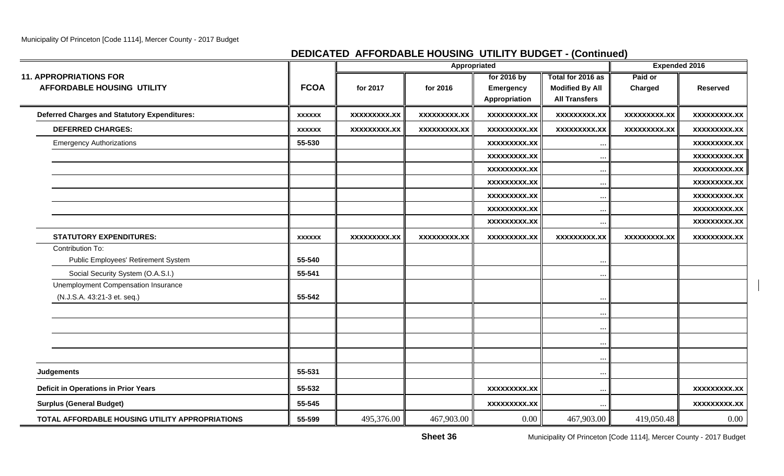# **DEDICATED AFFORDABLE HOUSING UTILITY BUDGET - (Continued)**

|                                                     |               |                     | Appropriated        |                     |                        | <b>Expended 2016</b> |                     |
|-----------------------------------------------------|---------------|---------------------|---------------------|---------------------|------------------------|----------------------|---------------------|
| <b>11. APPROPRIATIONS FOR</b>                       |               |                     |                     | for 2016 by         | Total for 2016 as      | Paid or              |                     |
| <b>AFFORDABLE HOUSING UTILITY</b>                   | <b>FCOA</b>   | for 2017            | for 2016            | Emergency           | <b>Modified By All</b> | Charged              | <b>Reserved</b>     |
|                                                     |               |                     |                     | Appropriation       | <b>All Transfers</b>   |                      |                     |
| <b>Deferred Charges and Statutory Expenditures:</b> | <b>XXXXXX</b> | <b>XXXXXXXXX.XX</b> | <b>XXXXXXXXX.XX</b> | <b>XXXXXXXXX.XX</b> | <b>XXXXXXXXX.XX</b>    | xxxxxxxxx.xx         | <b>XXXXXXXXX.XX</b> |
| <b>DEFERRED CHARGES:</b>                            | <b>XXXXXX</b> | <b>XXXXXXXXX.XX</b> | <b>XXXXXXXXX.XX</b> | <b>XXXXXXXXX.XX</b> | <b>XXXXXXXXX.XX</b>    | <b>XXXXXXXXX.XX</b>  | <b>XXXXXXXXX.XX</b> |
| <b>Emergency Authorizations</b>                     | 55-530        |                     |                     | <b>XXXXXXXXX.XX</b> |                        |                      | <b>XXXXXXXXX.XX</b> |
|                                                     |               |                     |                     | <b>XXXXXXXXX.XX</b> |                        |                      | <b>XXXXXXXXX.XX</b> |
|                                                     |               |                     |                     | <b>XXXXXXXXX.XX</b> | $\ddotsc$              |                      | <b>XXXXXXXXX.XX</b> |
|                                                     |               |                     |                     | <b>XXXXXXXX.XX</b>  |                        |                      | <b>XXXXXXXXX.XX</b> |
|                                                     |               |                     |                     | XXXXXXXXX.XX        | $\ddots$               |                      | <b>XXXXXXXXX.XX</b> |
|                                                     |               |                     |                     | <b>XXXXXXXXX.XX</b> | $\ddotsc$              |                      | <b>XXXXXXXXX.XX</b> |
|                                                     |               |                     |                     | <b>XXXXXXXX.XX</b>  |                        |                      | <b>XXXXXXXXX.XX</b> |
| <b>STATUTORY EXPENDITURES:</b>                      | <b>XXXXXX</b> | <b>XXXXXXXXX.XX</b> | <b>XXXXXXXXX.XX</b> | <b>XXXXXXXXX.XX</b> | <b>XXXXXXXXX.XX</b>    | <b>XXXXXXXXX.XX</b>  | <b>XXXXXXXXX.XX</b> |
| Contribution To:                                    |               |                     |                     |                     |                        |                      |                     |
| Public Employees' Retirement System                 | 55-540        |                     |                     |                     |                        |                      |                     |
| Social Security System (O.A.S.I.)                   | 55-541        |                     |                     |                     |                        |                      |                     |
| Unemployment Compensation Insurance                 |               |                     |                     |                     |                        |                      |                     |
| (N.J.S.A. 43:21-3 et. seq.)                         | 55-542        |                     |                     |                     |                        |                      |                     |
|                                                     |               |                     |                     |                     |                        |                      |                     |
|                                                     |               |                     |                     |                     | $\ddotsc$              |                      |                     |
|                                                     |               |                     |                     |                     |                        |                      |                     |
|                                                     |               |                     |                     |                     |                        |                      |                     |
| Judgements                                          | 55-531        |                     |                     |                     | $\ddotsc$              |                      |                     |
| <b>Deficit in Operations in Prior Years</b>         | 55-532        |                     |                     | <b>XXXXXXXXX.XX</b> | $\ddotsc$              |                      | <b>XXXXXXXXX.XX</b> |
| <b>Surplus (General Budget)</b>                     | 55-545        |                     |                     | <b>XXXXXXXXX.XX</b> |                        |                      | <b>XXXXXXXXX.XX</b> |
| TOTAL AFFORDABLE HOUSING UTILITY APPROPRIATIONS     | 55-599        | 495,376.00          | 467,903.00          | 0.00                | 467,903.00             | 419,050.48           | 0.00                |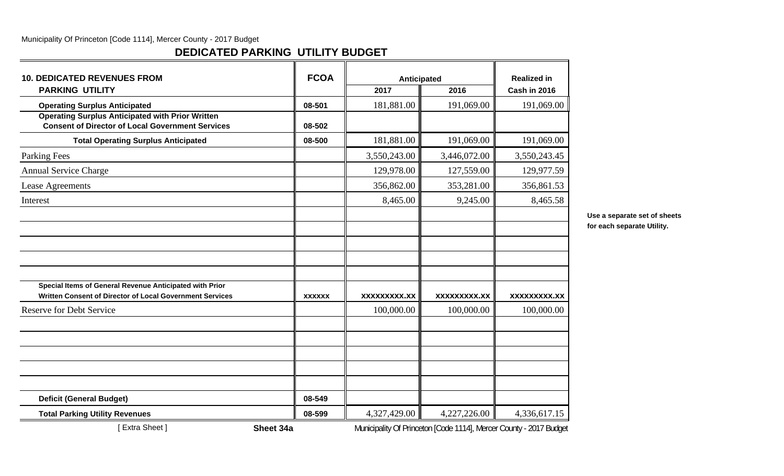# **DEDICATED PARKING UTILITY BUDGET**

| <b>10. DEDICATED REVENUES FROM</b>                                                                                  | <b>FCOA</b>   | Anticipated  |                                                                    | <b>Realized in</b>  |
|---------------------------------------------------------------------------------------------------------------------|---------------|--------------|--------------------------------------------------------------------|---------------------|
| <b>PARKING UTILITY</b>                                                                                              |               | 2017         | 2016                                                               | Cash in 2016        |
| <b>Operating Surplus Anticipated</b>                                                                                | 08-501        | 181,881.00   | 191,069.00                                                         | 191,069.00          |
| <b>Operating Surplus Anticipated with Prior Written</b><br><b>Consent of Director of Local Government Services</b>  | 08-502        |              |                                                                    |                     |
| <b>Total Operating Surplus Anticipated</b>                                                                          | 08-500        | 181,881.00   | 191,069.00                                                         | 191,069.00          |
| Parking Fees                                                                                                        |               | 3,550,243.00 | 3,446,072.00                                                       | 3,550,243.45        |
| <b>Annual Service Charge</b>                                                                                        |               | 129,978.00   | 127,559.00                                                         | 129,977.59          |
| Lease Agreements                                                                                                    |               | 356,862.00   | 353,281.00                                                         | 356,861.53          |
| Interest                                                                                                            |               | 8,465.00     | 9,245.00                                                           | 8,465.58            |
|                                                                                                                     |               |              |                                                                    |                     |
|                                                                                                                     |               |              |                                                                    |                     |
|                                                                                                                     |               |              |                                                                    |                     |
|                                                                                                                     |               |              |                                                                    |                     |
|                                                                                                                     |               |              |                                                                    |                     |
| Special Items of General Revenue Anticipated with Prior<br>Written Consent of Director of Local Government Services |               |              |                                                                    |                     |
|                                                                                                                     | <b>XXXXXX</b> | XXXXXXXXX.XX | XXXXXXXXX.XX                                                       | <b>XXXXXXXXX.XX</b> |
| <b>Reserve for Debt Service</b>                                                                                     |               | 100,000.00   | 100,000.00                                                         | 100,000.00          |
|                                                                                                                     |               |              |                                                                    |                     |
|                                                                                                                     |               |              |                                                                    |                     |
| <b>Deficit (General Budget)</b>                                                                                     | 08-549        |              |                                                                    |                     |
| <b>Total Parking Utility Revenues</b>                                                                               | 08-599        | 4,327,429.00 | 4,227,226.00                                                       | 4,336,617.15        |
| [Extra Sheet]<br>Sheet 34a                                                                                          |               |              | Municipality Of Princeton [Code 1114], Mercer County - 2017 Budget |                     |

**Use a separate set of sheets for each separate Utility.**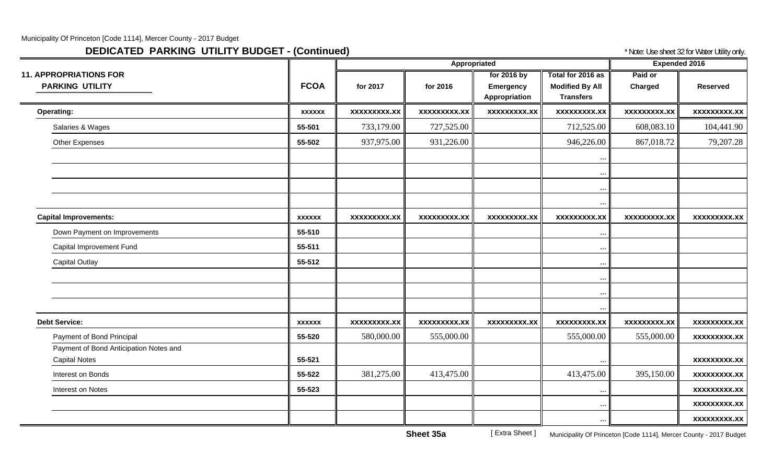# **DEDICATED PARKING UTILITY BUDGET - (Continued) And Continue and Continued The Continue of Algority** *PARKING Utility only.*

|                                                                |               |                     | Appropriated        |                                           |                                                                 | <b>Expended 2016</b> |                     |  |
|----------------------------------------------------------------|---------------|---------------------|---------------------|-------------------------------------------|-----------------------------------------------------------------|----------------------|---------------------|--|
| <b>11. APPROPRIATIONS FOR</b><br><b>PARKING UTILITY</b>        | <b>FCOA</b>   | for 2017            | for 2016            | for 2016 by<br>Emergency<br>Appropriation | Total for 2016 as<br><b>Modified By All</b><br><b>Transfers</b> | Paid or<br>Charged   | <b>Reserved</b>     |  |
| <b>Operating:</b>                                              | <b>XXXXXX</b> | <b>XXXXXXXXX.XX</b> | <b>XXXXXXXXX.XX</b> | <b>XXXXXXXXX.XX</b>                       | <b>XXXXXXXXX.XX</b>                                             | <b>XXXXXXXXX.XX</b>  | <b>XXXXXXXXX.XX</b> |  |
| Salaries & Wages                                               | 55-501        | 733,179.00          | 727,525.00          |                                           | 712,525.00                                                      | 608,083.10           | 104,441.90          |  |
| Other Expenses                                                 | 55-502        | 937,975.00          | 931,226.00          |                                           | 946,226.00                                                      | 867,018.72           | 79,207.28           |  |
|                                                                |               |                     |                     |                                           | $\cdots$                                                        |                      |                     |  |
|                                                                |               |                     |                     |                                           | $\ldots$<br>$\cdots$                                            |                      |                     |  |
|                                                                |               |                     |                     |                                           | $\ddots$                                                        |                      |                     |  |
| <b>Capital Improvements:</b>                                   | <b>XXXXXX</b> | <b>XXXXXXXXX.XX</b> | <b>XXXXXXXXX.XX</b> | <b>XXXXXXXXX.XX</b>                       | XXXXXXXXX.XX                                                    | <b>XXXXXXXXX.XX</b>  | <b>XXXXXXXXX.XX</b> |  |
| Down Payment on Improvements                                   | 55-510        |                     |                     |                                           | $\cdots$                                                        |                      |                     |  |
| Capital Improvement Fund                                       | 55-511        |                     |                     |                                           | $\cdots$                                                        |                      |                     |  |
| <b>Capital Outlay</b>                                          | 55-512        |                     |                     |                                           | $\cdots$                                                        |                      |                     |  |
|                                                                |               |                     |                     |                                           | $\ldots$                                                        |                      |                     |  |
|                                                                |               |                     |                     |                                           | $\cdots$                                                        |                      |                     |  |
|                                                                |               |                     |                     |                                           | $\cdots$                                                        |                      |                     |  |
| <b>Debt Service:</b>                                           | <b>XXXXXX</b> | <b>XXXXXXXXX.XX</b> | <b>XXXXXXXXX.XX</b> | <b>XXXXXXXXX.XX</b>                       | <b>XXXXXXXXX.XX</b>                                             | <b>XXXXXXXXX.XX</b>  | <b>XXXXXXXXX.XX</b> |  |
| Payment of Bond Principal                                      | 55-520        | 580,000.00          | 555,000.00          |                                           | 555,000.00                                                      | 555,000.00           | <b>XXXXXXXXX.XX</b> |  |
| Payment of Bond Anticipation Notes and<br><b>Capital Notes</b> | 55-521        |                     |                     |                                           | $\ddots$                                                        |                      | <b>XXXXXXXXX.XX</b> |  |
| Interest on Bonds                                              | 55-522        | 381,275.00          | 413,475.00          |                                           | 413,475.00                                                      | 395,150.00           | <b>XXXXXXXXX.XX</b> |  |
| Interest on Notes                                              | 55-523        |                     |                     |                                           | $\cdots$                                                        |                      | xxxxxxxxx.xx        |  |
|                                                                |               |                     |                     |                                           | $\cdots$                                                        |                      | <b>XXXXXXXXX.XX</b> |  |
|                                                                |               |                     |                     |                                           | $\cdots$                                                        |                      | XXXXXXXXX.XX        |  |

**Sheet 35a**[ Extra Sheet ] Municipality Of Princeton [Code 1114], Mercer County - 2017 Budget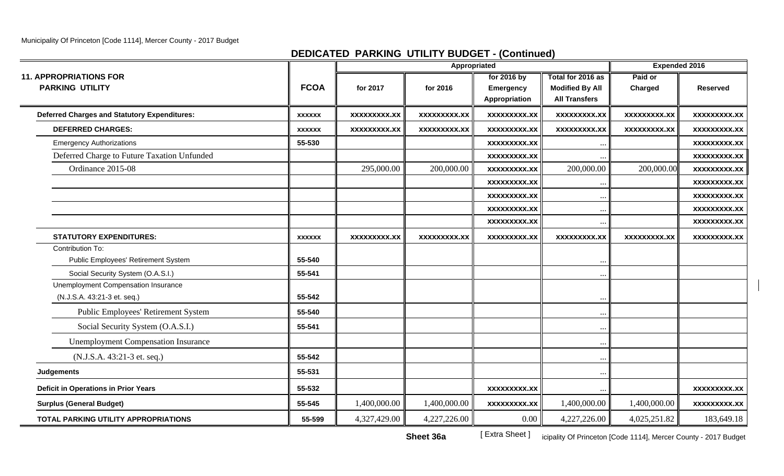# **DEDICATED PARKING UTILITY BUDGET - (Continued)**

|                                                                    |               |                     | Appropriated        |                                           |                                                                     | <b>Expended 2016</b> |                     |
|--------------------------------------------------------------------|---------------|---------------------|---------------------|-------------------------------------------|---------------------------------------------------------------------|----------------------|---------------------|
| <b>11. APPROPRIATIONS FOR</b><br><b>PARKING UTILITY</b>            | <b>FCOA</b>   | for 2017            | for 2016            | for 2016 by<br>Emergency<br>Appropriation | Total for 2016 as<br><b>Modified By All</b><br><b>All Transfers</b> | Paid or<br>Charged   | <b>Reserved</b>     |
| <b>Deferred Charges and Statutory Expenditures:</b>                | <b>XXXXXX</b> | xxxxxxxxx.xx        | <b>XXXXXXXXX.XX</b> | xxxxxxxxx.xx                              | xxxxxxxxx.xx                                                        | <b>XXXXXXXXX.XX</b>  | <b>XXXXXXXXX.XX</b> |
| <b>DEFERRED CHARGES:</b>                                           | <b>XXXXXX</b> | <b>XXXXXXXXX.XX</b> | XXXXXXXXX.XX        | <b>XXXXXXXXX.XX</b>                       | <b>XXXXXXXXX.XX</b>                                                 | <b>XXXXXXXXX.XX</b>  | XXXXXXXXX.XX        |
| <b>Emergency Authorizations</b>                                    | 55-530        |                     |                     | <b>XXXXXXXXX.XX</b>                       |                                                                     |                      | <b>XXXXXXXXX.XX</b> |
| Deferred Charge to Future Taxation Unfunded                        |               |                     |                     | XXXXXXXXX.XX                              |                                                                     |                      | XXXXXXXXX.XX        |
| Ordinance 2015-08                                                  |               | 295,000.00          | 200,000.00          | <b>XXXXXXXXX.XX</b>                       | 200,000.00                                                          | 200,000.00           | <b>XXXXXXXXX.XX</b> |
|                                                                    |               |                     |                     | <b>XXXXXXXXX.XX</b>                       |                                                                     |                      | <b>XXXXXXXXX.XX</b> |
|                                                                    |               |                     |                     | <b>XXXXXXXXX.XX</b>                       |                                                                     |                      | <b>XXXXXXXXX.XX</b> |
|                                                                    |               |                     |                     | xxxxxxxxx.xx                              |                                                                     |                      | <b>XXXXXXXXX.XX</b> |
|                                                                    |               |                     |                     | XXXXXXXXX.XX                              |                                                                     |                      | <b>XXXXXXXXX.XX</b> |
| <b>STATUTORY EXPENDITURES:</b>                                     | <b>XXXXXX</b> | <b>XXXXXXXXX.XX</b> | <b>XXXXXXXXX.XX</b> | <b>XXXXXXXXX.XX</b>                       | XXXXXXXXX.XX                                                        | <b>XXXXXXXXX.XX</b>  | XXXXXXXXX.XX        |
| Contribution To:<br>Public Employees' Retirement System            | 55-540        |                     |                     |                                           |                                                                     |                      |                     |
| Social Security System (O.A.S.I.)                                  | 55-541        |                     |                     |                                           |                                                                     |                      |                     |
| Unemployment Compensation Insurance<br>(N.J.S.A. 43:21-3 et. seq.) | 55-542        |                     |                     |                                           |                                                                     |                      |                     |
| Public Employees' Retirement System                                | 55-540        |                     |                     |                                           |                                                                     |                      |                     |
| Social Security System (O.A.S.I.)                                  | 55-541        |                     |                     |                                           |                                                                     |                      |                     |
| <b>Unemployment Compensation Insurance</b>                         |               |                     |                     |                                           |                                                                     |                      |                     |
| (N.J.S.A. 43:21-3 et. seq.)                                        | 55-542        |                     |                     |                                           |                                                                     |                      |                     |
| <b>Judgements</b>                                                  | 55-531        |                     |                     |                                           |                                                                     |                      |                     |
| <b>Deficit in Operations in Prior Years</b>                        | 55-532        |                     |                     | <b>XXXXXXXXX.XX</b>                       |                                                                     |                      | <b>XXXXXXXXX.XX</b> |
| <b>Surplus (General Budget)</b>                                    | 55-545        | 1,400,000.00        | 1,400,000.00        | <b>XXXXXXXXX.XX</b>                       | 1,400,000.00                                                        | 1,400,000.00         | <b>XXXXXXXXX.XX</b> |
| <b>TOTAL PARKING UTILITY APPROPRIATIONS</b>                        | 55-599        | 4,327,429.00        | 4,227,226.00        | 0.00                                      | 4,227,226.00                                                        | 4,025,251.82         | 183,649.18          |

[ Extra Sheet ] icipality Of Princeton [Code 1114], Mercer County - 2017 Budget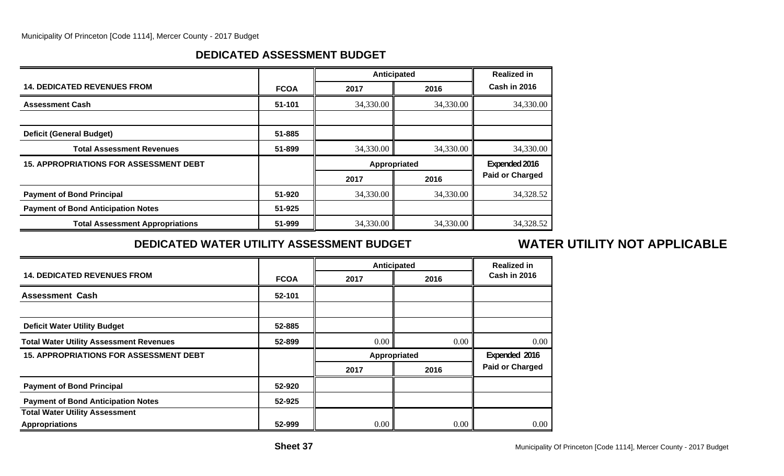# **DEDICATED ASSESSMENT BUDGET**

|                                               |             | <b>Anticipated</b> |           | <b>Realized in</b>     |
|-----------------------------------------------|-------------|--------------------|-----------|------------------------|
| <b>14. DEDICATED REVENUES FROM</b>            | <b>FCOA</b> | 2017               | 2016      | Cash in 2016           |
| <b>Assessment Cash</b>                        | 51-101      | 34,330.00          | 34,330.00 | 34,330.00              |
|                                               |             |                    |           |                        |
| <b>Deficit (General Budget)</b>               | 51-885      |                    |           |                        |
| <b>Total Assessment Revenues</b>              | 51-899      | 34,330.00          | 34,330.00 | 34,330.00              |
| <b>15. APPROPRIATIONS FOR ASSESSMENT DEBT</b> |             | Appropriated       |           | Expended 2016          |
|                                               |             | 2017               | 2016      | <b>Paid or Charged</b> |
| <b>Payment of Bond Principal</b>              | 51-920      | 34,330.00          | 34,330.00 | 34,328.52              |
| <b>Payment of Bond Anticipation Notes</b>     | 51-925      |                    |           |                        |
| <b>Total Assessment Appropriations</b>        | 51-999      | 34,330.00          | 34,330.00 | 34,328.52              |

# **DEDICATED WATER UTILITY ASSESSMENT BUDGET**

# **WATER UTILITY NOT APPLICABLE**

|                                                |             |      | <b>Anticipated</b> | <b>Realized in</b>     |
|------------------------------------------------|-------------|------|--------------------|------------------------|
| <b>14. DEDICATED REVENUES FROM</b>             | <b>FCOA</b> | 2017 | 2016               | Cash in 2016           |
| <b>Assessment Cash</b>                         | 52-101      |      |                    |                        |
|                                                |             |      |                    |                        |
| <b>Deficit Water Utility Budget</b>            | 52-885      |      |                    |                        |
| <b>Total Water Utility Assessment Revenues</b> | 52-899      | 0.00 | 0.00               | 0.00                   |
| <b>15. APPROPRIATIONS FOR ASSESSMENT DEBT</b>  |             |      | Appropriated       | Expended 2016          |
|                                                |             | 2017 | 2016               | <b>Paid or Charged</b> |
| <b>Payment of Bond Principal</b>               | 52-920      |      |                    |                        |
| <b>Payment of Bond Anticipation Notes</b>      | 52-925      |      |                    |                        |
| <b>Total Water Utility Assessment</b>          |             |      |                    |                        |
| <b>Appropriations</b>                          | 52-999      | 0.00 | 0.00               | 0.00                   |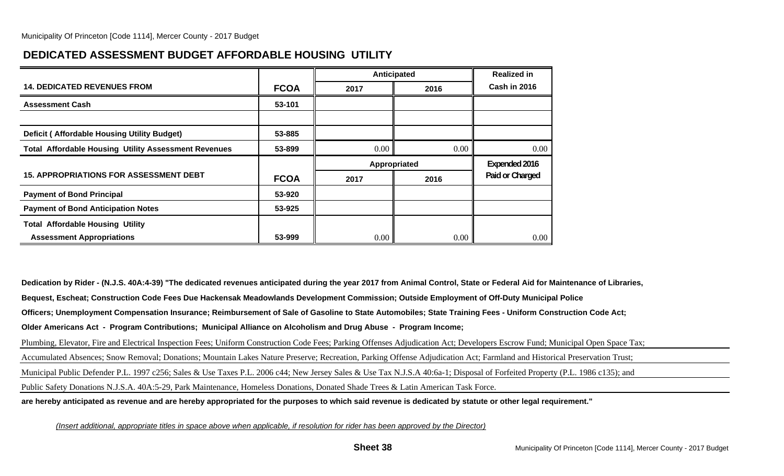# **DEDICATED ASSESSMENT BUDGET AFFORDABLE HOUSING UTILITY**

|                                                             |             | Anticipated  |      | <b>Realized in</b> |
|-------------------------------------------------------------|-------------|--------------|------|--------------------|
| <b>14. DEDICATED REVENUES FROM</b>                          | <b>FCOA</b> | 2017         | 2016 | Cash in 2016       |
| <b>Assessment Cash</b>                                      | 53-101      |              |      |                    |
|                                                             |             |              |      |                    |
| <b>Deficit (Affordable Housing Utility Budget)</b>          | 53-885      |              |      |                    |
| <b>Total Affordable Housing Utility Assessment Revenues</b> | 53-899      | 0.00         | 0.00 | $0.00\,$           |
|                                                             |             |              |      |                    |
|                                                             |             | Appropriated |      | Expended 2016      |
| <b>15. APPROPRIATIONS FOR ASSESSMENT DEBT</b>               | <b>FCOA</b> | 2017         | 2016 | Paid or Charged    |
| <b>Payment of Bond Principal</b>                            | 53-920      |              |      |                    |
| <b>Payment of Bond Anticipation Notes</b>                   | 53-925      |              |      |                    |
| <b>Total Affordable Housing Utility</b>                     |             |              |      |                    |

**Dedication by Rider - (N.J.S. 40A:4-39) "The dedicated revenues anticipated during the year 2017 from Animal Control, State or Federal Aid for Maintenance of Libraries, Bequest, Escheat; Construction Code Fees Due Hackensak Meadowlands Development Commission; Outside Employment of Off-Duty Municipal Police Officers; Unemployment Compensation Insurance; Reimbursement of Sale of Gasoline to State Automobiles; State Training Fees - Uniform Construction Code Act; Older Americans Act - Program Contributions; Municipal Alliance on Alcoholism and Drug Abuse - Program Income;** Plumbing, Elevator, Fire and Electrical Inspection Fees; Uniform Construction Code Fees; Parking Offenses Adjudication Act; Developers Escrow Fund; Municipal Open Space Tax; Accumulated Absences; Snow Removal; Donations; Mountain Lakes Nature Preserve; Recreation, Parking Offense Adjudication Act; Farmland and Historical Preservation Trust; Municipal Public Defender P.L. 1997 c256; Sales & Use Taxes P.L. 2006 c44; New Jersey Sales & Use Tax N.J.S.A 40:6a-1; Disposal of Forfeited Property (P.L. 1986 c135); and Public Safety Donations N.J.S.A. 40A:5-29, Park Maintenance, Homeless Donations, Donated Shade Trees & Latin American Task Force. **are hereby anticipated as revenue and are hereby appropriated for the purposes to which said revenue is dedicated by statute or other legal requirement."**

*(Insert additional, appropriate titles in space above when applicable, if resolution for rider has been approved by the Director)*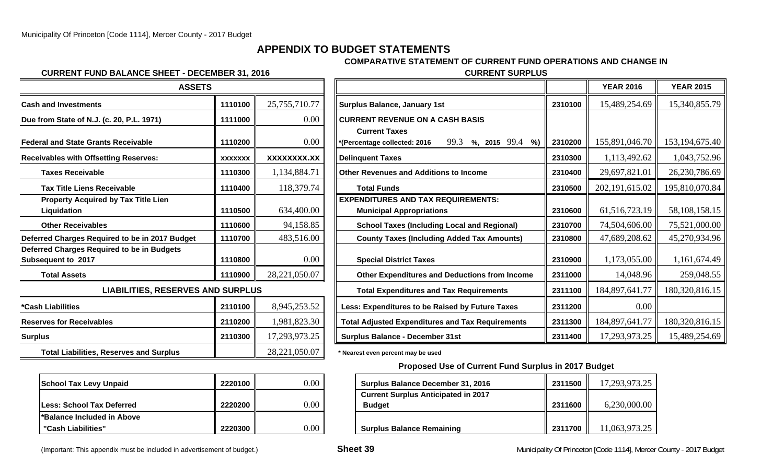# **APPENDIX TO BUDGET STATEMENTS**

## **COMPARATIVE STATEMENT OF CURRENT FUND OPERATIONS AND CHANGE IN**

### **CURRENT FUND BALANCE SHEET - DECEMBER 31, 2016 CURRENT SURPLUS**

| <b>ASSETS</b>                                                    |                |                 |                                                                              |
|------------------------------------------------------------------|----------------|-----------------|------------------------------------------------------------------------------|
| <b>Cash and Investments</b>                                      | 1110100        | 25,755,710.77   | <b>Surplus Balance, January 1st</b>                                          |
| Due from State of N.J. (c. 20, P.L. 1971)                        | 1111000        | 0.00            | <b>CURRENT REVENUE ON A CASH BASIS</b>                                       |
| <b>Federal and State Grants Receivable</b>                       | 1110200        | 0.00            | <b>Current Taxes</b><br>99.3<br>$%$ , 201<br>*(Percentage collected: 2016    |
| <b>Receivables with Offsetting Reserves:</b>                     | <b>XXXXXXX</b> | XXXXXXXX.XX     | <b>Delinquent Taxes</b>                                                      |
| <b>Taxes Receivable</b>                                          | 1110300        | 1,134,884.71    | <b>Other Revenues and Additions to Income</b>                                |
| <b>Tax Title Liens Receivable</b>                                | 1110400        | 118,379.74      | <b>Total Funds</b>                                                           |
| <b>Property Acquired by Tax Title Lien</b><br>Liquidation        | 1110500        | 634,400.00      | <b>EXPENDITURES AND TAX REQUIREMENTS:</b><br><b>Municipal Appropriations</b> |
| <b>Other Receivables</b>                                         | 1110600        | 94,158.85       | <b>School Taxes (Including Local and Reg</b>                                 |
| Deferred Charges Required to be in 2017 Budget                   | 1110700        | 483,516.00      | <b>County Taxes (Including Added Tax Am</b>                                  |
| Deferred Charges Required to be in Budgets<br>Subsequent to 2017 | 1110800        | 0.00            | <b>Special District Taxes</b>                                                |
| <b>Total Assets</b>                                              | 1110900        | 28,221,050.07   | <b>Other Expenditures and Deductions fro</b>                                 |
| <b>LIABILITIES, RESERVES AND SURPLUS</b>                         |                |                 | <b>Total Expenditures and Tax Requiremer</b>                                 |
| *Cash Liabilities                                                | 2110100        | 8,945,253.52    | Less: Expenditures to be Raised by Future                                    |
| <b>Reserves for Receivables</b>                                  | 2110200        | 1,981,823.30    | <b>Total Adjusted Expenditures and Tax Requi</b>                             |
| <b>Surplus</b>                                                   | 2110300        | 17,293,973.25   | <b>Surplus Balance - December 31st</b>                                       |
| <b>Total Liabilities, Reserves and Surplus</b>                   |                | 28, 221, 050.07 | * Nearest even percent may be used                                           |

| <b>School Tax Levy Unpaid</b>     | 2220100 |  |
|-----------------------------------|---------|--|
| <b>ILess: School Tax Deferred</b> | 2220200 |  |
| l*Balance Included in Above       |         |  |
| "Cash Liabilities"                | 2220300 |  |

| <b>ASSETS</b>                                                    |                |               |                                                           |         | <b>YEAR 2016</b> | <b>YEAR 2015</b>  |
|------------------------------------------------------------------|----------------|---------------|-----------------------------------------------------------|---------|------------------|-------------------|
| <b>Cash and Investments</b>                                      | 1110100        | 25,755,710.77 | <b>Surplus Balance, January 1st</b>                       | 2310100 | 15,489,254.69    | 15,340,855.79     |
| Due from State of N.J. (c. 20, P.L. 1971)                        | 1111000        | 0.00          | <b>CURRENT REVENUE ON A CASH BASIS</b>                    |         |                  |                   |
|                                                                  |                |               | <b>Current Taxes</b>                                      |         |                  |                   |
| <b>Federal and State Grants Receivable</b>                       | 1110200        | 0.00          | 99.3<br>%, 2015 $99.4$ %)<br>*(Percentage collected: 2016 | 2310200 | 155,891,046.70   | 153, 194, 675. 40 |
| <b>Receivables with Offsetting Reserves:</b>                     | <b>XXXXXXX</b> | XXXXXXXX.XX   | <b>Delinquent Taxes</b>                                   | 2310300 | 1,113,492.62     | 1,043,752.96      |
| <b>Taxes Receivable</b>                                          | 1110300        | 1,134,884.71  | <b>Other Revenues and Additions to Income</b>             | 2310400 | 29,697,821.01    | 26, 230, 786.69   |
| <b>Tax Title Liens Receivable</b>                                | 1110400        | 118,379.74    | <b>Total Funds</b>                                        | 2310500 | 202, 191, 615.02 | 195,810,070.84    |
| <b>Property Acquired by Tax Title Lien</b>                       |                |               | <b>EXPENDITURES AND TAX REQUIREMENTS:</b>                 |         |                  |                   |
| Liquidation                                                      | 1110500        | 634,400.00    | <b>Municipal Appropriations</b>                           | 2310600 | 61, 516, 723. 19 | 58,108,158.15     |
| <b>Other Receivables</b>                                         | 1110600        | 94,158.85     | <b>School Taxes (Including Local and Regional)</b>        | 2310700 | 74,504,606.00    | 75,521,000.00     |
| Deferred Charges Required to be in 2017 Budget                   | 1110700        | 483,516.00    | <b>County Taxes (Including Added Tax Amounts)</b>         | 2310800 | 47,689,208.62    | 45,270,934.96     |
| Deferred Charges Required to be in Budgets<br>Subsequent to 2017 | 1110800        | 0.00          | <b>Special District Taxes</b>                             | 2310900 | 1,173,055.00     | 1,161,674.49      |
| <b>Total Assets</b>                                              | 1110900        | 28,221,050.07 | <b>Other Expenditures and Deductions from Income</b>      | 2311000 | 14,048.96        | 259,048.55        |
| <b>LIABILITIES, RESERVES AND SURPLUS</b>                         |                |               | <b>Total Expenditures and Tax Requirements</b>            | 2311100 | 184,897,641.77   | 180,320,816.15    |
| *Cash Liabilities                                                | 2110100        | 8,945,253.52  | Less: Expenditures to be Raised by Future Taxes           | 2311200 | $0.00\,$         |                   |
| <b>Reserves for Receivables</b>                                  | 2110200        | 1,981,823.30  | <b>Total Adjusted Expenditures and Tax Requirements</b>   | 2311300 | 184,897,641.77   | 180,320,816.15    |
| Surplus                                                          | 2110300        | 17,293,973.25 | <b>Surplus Balance - December 31st</b>                    | 2311400 | 17,293,973.25    | 15,489,254.69     |

### **Proposed Use of Current Fund Surplus in 2017 Budget**

| <b>School Tax Levy Unpaid</b> | 2220100 | $0.00\,$ | <b>Surplus Balance December 31, 2016</b>   | 2311500 | 17,293,973.25 |
|-------------------------------|---------|----------|--------------------------------------------|---------|---------------|
|                               |         |          | <b>Current Surplus Anticipated in 2017</b> |         |               |
| Less: School Tax Deferred     | 2220200 | $0.00\,$ | <b>Budget</b>                              | 2311600 | 6,230,000.00  |
| *Balance Included in Above    |         |          |                                            |         |               |
| "Cash Liabilities"            | 2220300 | $0.00\,$ | <b>Surplus Balance Remaining</b>           | 2311700 | 1,063,973.25  |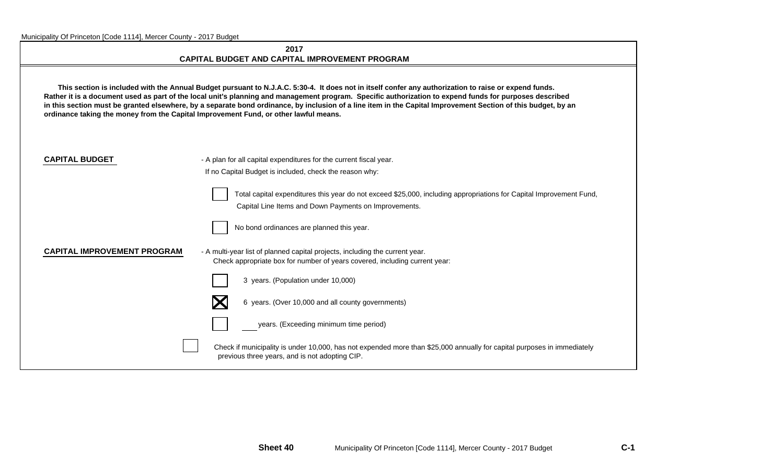### **2017CAPITAL BUDGET AND CAPITAL IMPROVEMENT PROGRAM**

 **This section is included with the Annual Budget pursuant to N.J.A.C. 5:30-4. It does not in itself confer any authorization to raise or expend funds. Rather it is a document used as part of the local unit's planning and management program. Specific authorization to expend funds for purposes described in this section must be granted elsewhere, by a separate bond ordinance, by inclusion of a line item in the Capital Improvement Section of this budget, by an ordinance taking the money from the Capital Improvement Fund, or other lawful means.**

**CAPITAL BUDGET** - A plan for all capital expenditures for the current fiscal year. If no Capital Budget is included, check the reason why:

> Total capital expenditures this year do not exceed \$25,000, including appropriations for Capital Improvement Fund, Capital Line Items and Down Payments on Improvements.



## **CAPITAL IMPROVEMENT PROGRAM** - A multi-year list of planned capital projects, including the current year.

Check appropriate box for number of years covered, including current year:





6 years. (Over 10,000 and all county governments)



years. (Exceeding minimum time period)

Check if municipality is under 10,000, has not expended more than \$25,000 annually for capital purposes in immediately previous three years, and is not adopting CIP.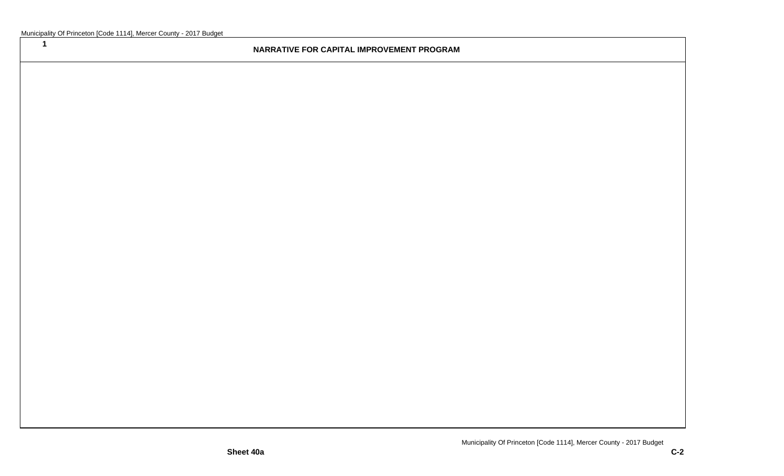**1**

## **NARRATIVE FOR CAPITAL IMPROVEMENT PROGRAM**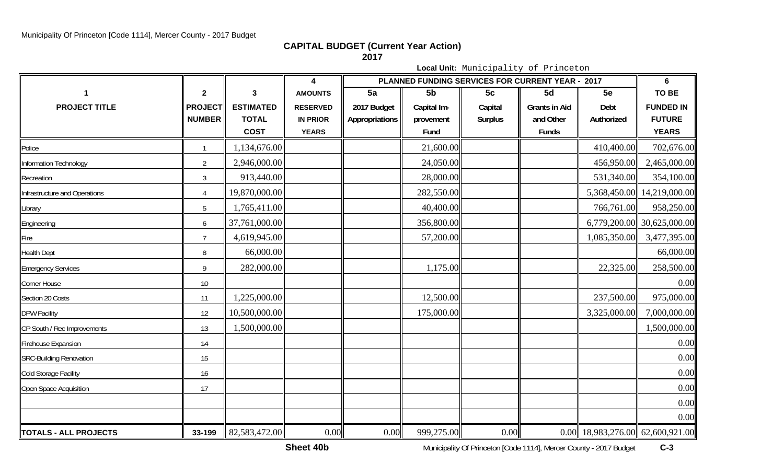**CAPITAL BUDGET (Current Year Action)**

**2017**

**Local Unit:** Municipality of Princeton **4 PLANNED FUNDING SERVICES FOR CURRENT YEAR - 2017 61 23**3 **CONTENT** AMOUNTS **5a 5b 5c 5d 5e TO BE PROJECT TITLE PROJECT ESTIMATED RESERVED 2017 Budget Capital Im- Capital Grants in Aid Debt FUNDED IN NUMBER TOTAL IN PRIOR Appropriations provement Surplus and Other Authorized FUTURE COST YEARS Fund Funds YEARS** Police **II** 1 1 || 1,134,676.00|| || || 21,600.00|| || || 410,400.00|| 702,676.00 Information Technology <sup>2</sup> 2,946,000.00 24,050.00 456,950.00 2,465,000.00 Recreation and a set of the set of the set of the set of the set of the set of the set of the set of the set of the set of the set of the set of the set of the set of the set of the set of the set of the set of the set of 3 || 913,440.00|| || || 28,000.00|| || || 531,340.00|| 354,100.00 Infrastructure and Operations <sup>4</sup> 19,870,000.00 282,550.00 5,368,450.00 14,219,000.00 Library <sup>5</sup> 1,765,411.00 40,400.00 766,761.00 958,250.00

| <b>TOTALS - ALL PROJECTS</b>   | 33-199         | 82,583,472.00 | 0.00 | 0.00 | 999,275.00 | 0.00 | $0.00$ 18,983,276.00 62,600,921.00 |                            |
|--------------------------------|----------------|---------------|------|------|------------|------|------------------------------------|----------------------------|
|                                |                |               |      |      |            |      |                                    | 0.00                       |
|                                |                |               |      |      |            |      |                                    | 0.00                       |
| Open Space Acquisition         | 17             |               |      |      |            |      |                                    | 0.00                       |
| <b>Cold Storage Facility</b>   | 16             |               |      |      |            |      |                                    | 0.00                       |
| <b>SRC-Building Renovation</b> | 15             |               |      |      |            |      |                                    | 0.00                       |
| <b>Firehouse Expansion</b>     | 14             |               |      |      |            |      |                                    | 0.00                       |
| CP South / Rec Improvements    | 13             | ,500,000.00   |      |      |            |      |                                    | 1,500,000.00               |
| <b>DPW Facility</b>            | 12             | 10,500,000.00 |      |      | 175,000.00 |      | 3,325,000.00                       | 7,000,000.00               |
| Section 20 Costs               | 11             | 1,225,000.00  |      |      | 12,500.00  |      | 237,500.00                         | 975,000.00                 |
| Corner House                   | 10             |               |      |      |            |      |                                    | 0.00                       |
| <b>Emergency Services</b>      | 9              | 282,000.00    |      |      | 1,175.00   |      | 22,325.00                          | 258,500.00                 |
| <b>Health Dept</b>             | 8              | 66,000.00     |      |      |            |      |                                    | 66,000.00                  |
| Fire                           | $\overline{7}$ | 4,619,945.00  |      |      | 57,200.00  |      | 1,085,350.00                       | 3,477,395.00               |
| Engineering                    | 6              | 37,761,000.00 |      |      | 356,800.00 |      |                                    | 6,779,200.00 30,625,000.00 |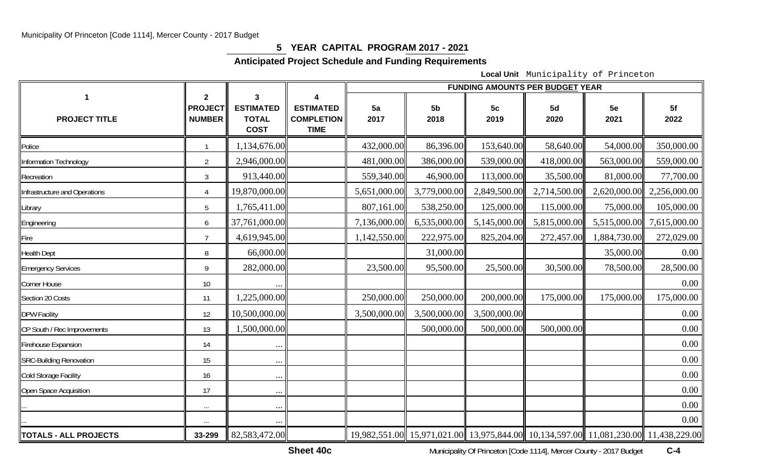# **5 YEAR CAPITAL PROGRAM 2017 - 2021**

# **Anticipated Project Schedule and Funding Requirements**

**Local Unit** Municipality of Princeton

|                                |                                                 |                                                      |                                                      |              |                        | <b>FUNDING AMOUNTS PER BUDGET YEAR</b> |              |              |                                                                                     |
|--------------------------------|-------------------------------------------------|------------------------------------------------------|------------------------------------------------------|--------------|------------------------|----------------------------------------|--------------|--------------|-------------------------------------------------------------------------------------|
| <b>PROJECT TITLE</b>           | $\mathbf{2}$<br><b>PROJECT</b><br><b>NUMBER</b> | 3<br><b>ESTIMATED</b><br><b>TOTAL</b><br><b>COST</b> | <b>ESTIMATED</b><br><b>COMPLETION</b><br><b>TIME</b> | 5a<br>2017   | 5 <sub>b</sub><br>2018 | 5 <sub>c</sub><br>2019                 | 5d<br>2020   | 5e<br>2021   | 5f<br>2022                                                                          |
| Police                         |                                                 | 1,134,676.00                                         |                                                      | 432,000.00   | 86,396.00              | 153,640.00                             | 58,640.00    | 54,000.00    | 350,000.00                                                                          |
| Information Technology         | $\overline{2}$                                  | 2,946,000.00                                         |                                                      | 481,000.00   | 386,000.00             | 539,000.00                             | 418,000.00   | 563,000.00   | 559,000.00                                                                          |
| Recreation                     | $\mathfrak{Z}$                                  | 913,440.00                                           |                                                      | 559,340.00   | 46,900.00              | 113,000.00                             | 35,500.00    | 81,000.00    | 77,700.00                                                                           |
| Infrastructure and Operations  | $\overline{4}$                                  | 19,870,000.00                                        |                                                      | 5,651,000.00 | 3,779,000.00           | 2,849,500.00                           | 2,714,500.00 | 2,620,000.00 | 2,256,000.00                                                                        |
| Library                        | 5                                               | 1,765,411.00                                         |                                                      | 807,161.00   | 538,250.00             | 125,000.00                             | 115,000.00   | 75,000.00    | 105,000.00                                                                          |
| Engineering                    | 6                                               | 37,761,000.00                                        |                                                      | 7,136,000.00 | 6,535,000.00           | 5,145,000.00                           | 5,815,000.00 | 5,515,000.00 | 7,615,000.00                                                                        |
| Fire                           | $\overline{7}$                                  | 4,619,945.00                                         |                                                      | 1,142,550.00 | 222,975.00             | 825,204.00                             | 272,457.00   | 1,884,730.00 | 272,029.00                                                                          |
| <b>Health Dept</b>             | 8                                               | 66,000.00                                            |                                                      |              | 31,000.00              |                                        |              | 35,000.00    | 0.00                                                                                |
| <b>Emergency Services</b>      | 9                                               | 282,000.00                                           |                                                      | 23,500.00    | 95,500.00              | 25,500.00                              | 30,500.00    | 78,500.00    | 28,500.00                                                                           |
| Corner House                   | 10                                              |                                                      |                                                      |              |                        |                                        |              |              | $0.00\,$                                                                            |
| Section 20 Costs               | 11                                              | 1,225,000.00                                         |                                                      | 250,000.00   | 250,000.00             | 200,000.00                             | 175,000.00   | 175,000.00   | 175,000.00                                                                          |
| <b>DPW Facility</b>            | 12                                              | 10,500,000.00                                        |                                                      | 3,500,000.00 | 3,500,000.00           | 3,500,000.00                           |              |              | 0.00                                                                                |
| CP South / Rec Improvements    | 13                                              | 1,500,000.00                                         |                                                      |              | 500,000.00             | 500,000.00                             | 500,000.00   |              | 0.00                                                                                |
| Firehouse Expansion            | 14                                              | $\cdots$                                             |                                                      |              |                        |                                        |              |              | 0.00                                                                                |
| <b>SRC-Building Renovation</b> | 15                                              | $\cdots$                                             |                                                      |              |                        |                                        |              |              | 0.00                                                                                |
| Cold Storage Facility          | 16                                              | $\ldots$                                             |                                                      |              |                        |                                        |              |              | 0.00                                                                                |
| Open Space Acquisition         | 17                                              | $\cdots$                                             |                                                      |              |                        |                                        |              |              | 0.00                                                                                |
|                                | $\ldots$                                        | $\ddots$                                             |                                                      |              |                        |                                        |              |              | 0.00                                                                                |
|                                |                                                 |                                                      |                                                      |              |                        |                                        |              |              | 0.00                                                                                |
| <b>TOTALS - ALL PROJECTS</b>   | 33-299                                          | 82,583,472.00                                        |                                                      |              |                        |                                        |              |              | 19,982,551.00 15,971,021.00 13,975,844.00 10,134,597.00 11,081,230.00 11,438,229.00 |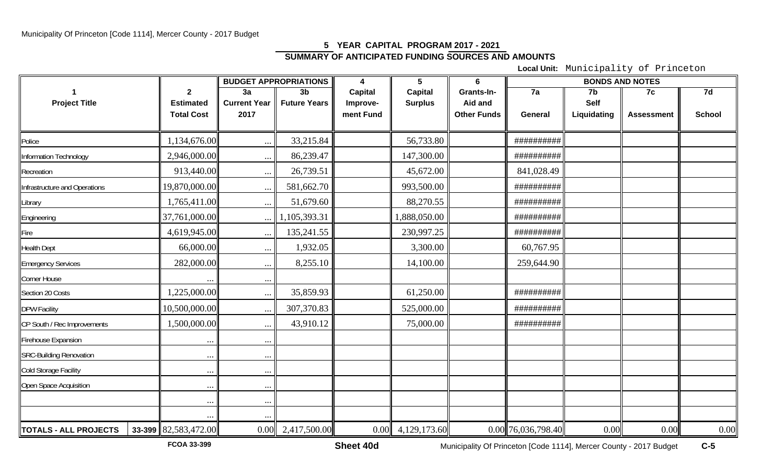# **5 YEAR CAPITAL PROGRAM 2017 - 2021 SUMMARY OF ANTICIPATED FUNDING SOURCES AND AMOUNTS**

**Local Unit:** Municipality of Princeton

|                                |                          |                     | <b>BUDGET APPROPRIATIONS</b> | 4              | $\overline{\mathbf{5}}$ | $6\phantom{1}6$    | <b>BONDS AND NOTES</b> |             |                   |               |
|--------------------------------|--------------------------|---------------------|------------------------------|----------------|-------------------------|--------------------|------------------------|-------------|-------------------|---------------|
|                                | $\mathbf{2}$             | 3a                  | 3 <sub>b</sub>               | <b>Capital</b> | Capital                 | Grants-In-         | 7a                     | 7b          | 7c                | 7d            |
| <b>Project Title</b>           | <b>Estimated</b>         | <b>Current Year</b> | <b>Future Years</b>          | Improve-       | <b>Surplus</b>          | Aid and            |                        | <b>Self</b> |                   |               |
|                                | <b>Total Cost</b>        | 2017                |                              | ment Fund      |                         | <b>Other Funds</b> | General                | Liquidating | <b>Assessment</b> | <b>School</b> |
|                                |                          |                     |                              |                |                         |                    |                        |             |                   |               |
| Police                         | 1,134,676.00             | $\ddotsc$           | 33,215.84                    |                | 56,733.80               |                    | ##########             |             |                   |               |
| Information Technology         | 2,946,000.00             | $\ddotsc$           | 86,239.47                    |                | 147,300.00              |                    | ##########             |             |                   |               |
| Recreation                     | 913,440.00               | $\cdots$            | 26,739.51                    |                | 45,672.00               |                    | 841,028.49             |             |                   |               |
| Infrastructure and Operations  | 19,870,000.00            |                     | 581,662.70                   |                | 993,500.00              |                    | ##########             |             |                   |               |
| Library                        | 1,765,411.00             | $\cdots$            | 51,679.60                    |                | 88,270.55               |                    | ##########             |             |                   |               |
| Engineering                    | 37,761,000.00            |                     | 1,105,393.31                 |                | 1,888,050.00            |                    | ##########             |             |                   |               |
| Fire                           | 4,619,945.00             | $\ddotsc$           | 135,241.55                   |                | 230,997.25              |                    | ##########             |             |                   |               |
| <b>Health Dept</b>             | 66,000.00                |                     | 1,932.05                     |                | 3,300.00                |                    | 60,767.95              |             |                   |               |
| <b>Emergency Services</b>      | 282,000.00               | $\cdots$            | 8,255.10                     |                | 14,100.00               |                    | 259,644.90             |             |                   |               |
| Corner House                   |                          | $\cdots$            |                              |                |                         |                    |                        |             |                   |               |
| Section 20 Costs               | 1,225,000.00             | $\ddotsc$           | 35,859.93                    |                | 61,250.00               |                    | ##########             |             |                   |               |
| <b>DPW Facility</b>            | 10,500,000.00            | $\ddotsc$           | 307,370.83                   |                | 525,000.00              |                    | ##########             |             |                   |               |
| CP South / Rec Improvements    | 1,500,000.00             |                     | 43,910.12                    |                | 75,000.00               |                    | ###########            |             |                   |               |
| <b>Firehouse Expansion</b>     |                          |                     |                              |                |                         |                    |                        |             |                   |               |
| <b>SRC-Building Renovation</b> | $\ddots$                 | $\ddots$            |                              |                |                         |                    |                        |             |                   |               |
| Cold Storage Facility          | $\ddotsc$                | $\ddotsc$           |                              |                |                         |                    |                        |             |                   |               |
| Open Space Acquisition         | $\ddotsc$                | $\ddots$            |                              |                |                         |                    |                        |             |                   |               |
|                                | $\ddots$                 | $\cdot\cdot$        |                              |                |                         |                    |                        |             |                   |               |
|                                |                          |                     |                              |                |                         |                    |                        |             |                   |               |
| TOTALS - ALL PROJECTS          | 33-399 $ 82,583,472.00 $ |                     | $0.00$ 2,417,500.00          |                | $0.00$ 4,129,173.60     |                    | 0.00 76,036,798.40     | 0.00        | 0.00              | $0.00\,$      |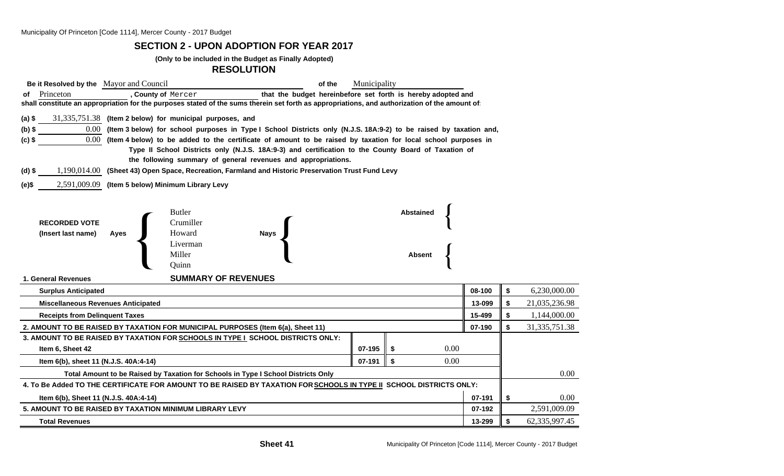## **SECTION 2 - UPON ADOPTION FOR YEAR 2017**

### **(Only to be included in the Budget as Finally Adopted)**

### **RESOLUTION**

| Be it Resolved by the Mayor and Council                                                                             |                                                                                                                                               | of the                                                                                             | Municipality     |                  |        |    |               |  |  |  |
|---------------------------------------------------------------------------------------------------------------------|-----------------------------------------------------------------------------------------------------------------------------------------------|----------------------------------------------------------------------------------------------------|------------------|------------------|--------|----|---------------|--|--|--|
| Princeton<br>οf                                                                                                     | , County of Mercer                                                                                                                            | that the budget hereinbefore set forth is hereby adopted and                                       |                  |                  |        |    |               |  |  |  |
|                                                                                                                     | shall constitute an appropriation for the purposes stated of the sums therein set forth as appropriations, and authorization of the amount of |                                                                                                    |                  |                  |        |    |               |  |  |  |
| $(a)$ \$                                                                                                            | 31,335,751.38 (Item 2 below) for municipal purposes, and                                                                                      |                                                                                                    |                  |                  |        |    |               |  |  |  |
| $(b)$ \$                                                                                                            | 0.00 (Item 3 below) for school purposes in Type I School Districts only (N.J.S. 18A:9-2) to be raised by taxation and,                        |                                                                                                    |                  |                  |        |    |               |  |  |  |
| $(c)$ \$                                                                                                            | 0.00 (Item 4 below) to be added to the certificate of amount to be raised by taxation for local school purposes in                            |                                                                                                    |                  |                  |        |    |               |  |  |  |
|                                                                                                                     | Type II School Districts only (N.J.S. 18A:9-3) and certification to the County Board of Taxation of                                           |                                                                                                    |                  |                  |        |    |               |  |  |  |
| the following summary of general revenues and appropriations.                                                       |                                                                                                                                               |                                                                                                    |                  |                  |        |    |               |  |  |  |
| $(d)$ \$                                                                                                            |                                                                                                                                               | 1,190,014.00 (Sheet 43) Open Space, Recreation, Farmland and Historic Preservation Trust Fund Levy |                  |                  |        |    |               |  |  |  |
| (e)\$                                                                                                               | 2,591,009.09 (Item 5 below) Minimum Library Levy                                                                                              |                                                                                                    |                  |                  |        |    |               |  |  |  |
|                                                                                                                     |                                                                                                                                               |                                                                                                    |                  |                  |        |    |               |  |  |  |
|                                                                                                                     | <b>Butler</b>                                                                                                                                 |                                                                                                    |                  | <b>Abstained</b> |        |    |               |  |  |  |
| <b>RECORDED VOTE</b>                                                                                                | Crumiller                                                                                                                                     |                                                                                                    |                  |                  |        |    |               |  |  |  |
| (Insert last name)                                                                                                  | Howard<br><b>Ayes</b>                                                                                                                         | <b>Nays</b>                                                                                        |                  |                  |        |    |               |  |  |  |
|                                                                                                                     | Liverman                                                                                                                                      |                                                                                                    |                  |                  |        |    |               |  |  |  |
|                                                                                                                     | Miller                                                                                                                                        |                                                                                                    |                  | <b>Absent</b>    |        |    |               |  |  |  |
|                                                                                                                     | Quinn                                                                                                                                         |                                                                                                    |                  |                  |        |    |               |  |  |  |
| 1. General Revenues                                                                                                 | <b>SUMMARY OF REVENUES</b>                                                                                                                    |                                                                                                    |                  |                  |        |    |               |  |  |  |
| <b>Surplus Anticipated</b>                                                                                          |                                                                                                                                               |                                                                                                    |                  |                  | 08-100 | \$ | 6,230,000.00  |  |  |  |
| 13-099<br><b>Miscellaneous Revenues Anticipated</b>                                                                 |                                                                                                                                               |                                                                                                    |                  |                  |        |    | 21,035,236.98 |  |  |  |
| 15-499<br><b>Receipts from Delinquent Taxes</b>                                                                     |                                                                                                                                               |                                                                                                    |                  |                  |        |    | 1,144,000.00  |  |  |  |
| 2. AMOUNT TO BE RAISED BY TAXATION FOR MUNICIPAL PURPOSES (Item 6(a), Sheet 11)                                     | 07-190                                                                                                                                        | \$                                                                                                 | 31, 335, 751. 38 |                  |        |    |               |  |  |  |
|                                                                                                                     | 3. AMOUNT TO BE RAISED BY TAXATION FOR SCHOOLS IN TYPE I SCHOOL DISTRICTS ONLY:                                                               |                                                                                                    |                  |                  |        |    |               |  |  |  |
| 0.00<br>07-195<br>Item 6, Sheet 42<br>\$                                                                            |                                                                                                                                               |                                                                                                    |                  |                  |        |    |               |  |  |  |
| \$<br>0.00<br>07-191<br>Item 6(b), sheet 11 (N.J.S. 40A:4-14)                                                       |                                                                                                                                               |                                                                                                    |                  |                  |        |    |               |  |  |  |
| Total Amount to be Raised by Taxation for Schools in Type I School Districts Only                                   |                                                                                                                                               |                                                                                                    |                  |                  |        |    |               |  |  |  |
| 4. To Be Added TO THE CERTIFICATE FOR AMOUNT TO BE RAISED BY TAXATION FOR SCHOOLS IN TYPE II SCHOOL DISTRICTS ONLY: |                                                                                                                                               |                                                                                                    |                  |                  |        |    |               |  |  |  |
| 07-191<br>Item 6(b), Sheet 11 (N.J.S. 40A:4-14)                                                                     |                                                                                                                                               |                                                                                                    |                  |                  |        |    | 0.00          |  |  |  |
| 5. AMOUNT TO BE RAISED BY TAXATION MINIMUM LIBRARY LEVY<br>07-192                                                   |                                                                                                                                               |                                                                                                    |                  |                  |        |    | 2,591,009.09  |  |  |  |
| 13-299<br><b>Total Revenues</b>                                                                                     |                                                                                                                                               |                                                                                                    |                  |                  |        |    | 62,335,997.45 |  |  |  |
|                                                                                                                     |                                                                                                                                               |                                                                                                    |                  |                  |        |    |               |  |  |  |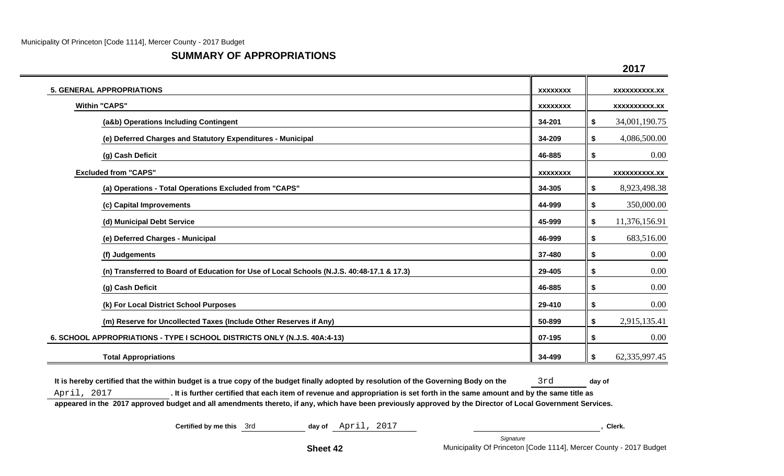# **SUMMARY OF APPROPRIATIONS**

|                                                                                           |                 | 2017                 |
|-------------------------------------------------------------------------------------------|-----------------|----------------------|
| <b>5. GENERAL APPROPRIATIONS</b>                                                          | <b>XXXXXXXX</b> | <b>XXXXXXXXXX.XX</b> |
| <b>Within "CAPS"</b>                                                                      | <b>XXXXXXXX</b> | <b>XXXXXXXXXX.XX</b> |
| (a&b) Operations Including Contingent                                                     | 34-201          | 34,001,190.75<br>\$  |
| (e) Deferred Charges and Statutory Expenditures - Municipal                               | 34-209          | 4,086,500.00<br>\$   |
| (g) Cash Deficit                                                                          | 46-885          | 0.00<br>\$           |
| <b>Excluded from "CAPS"</b>                                                               | <b>XXXXXXXX</b> | <b>XXXXXXXXXX.XX</b> |
| (a) Operations - Total Operations Excluded from "CAPS"                                    | 34-305          | 8,923,498.38<br>\$   |
| (c) Capital Improvements                                                                  | 44-999          | 350,000.00<br>\$     |
| (d) Municipal Debt Service                                                                | 45-999          | 11,376,156.91<br>\$  |
| (e) Deferred Charges - Municipal                                                          | 46-999          | 683,516.00<br>\$     |
| (f) Judgements                                                                            | 37-480          | $0.00\,$<br>\$       |
| (n) Transferred to Board of Education for Use of Local Schools (N.J.S. 40:48-17.1 & 17.3) | 29-405          | 0.00<br>\$           |
| (g) Cash Deficit                                                                          | 46-885          | $0.00\,$<br>\$       |
| (k) For Local District School Purposes                                                    | 29-410          | 0.00<br>\$           |
| (m) Reserve for Uncollected Taxes (Include Other Reserves if Any)                         | 50-899          | 2,915,135.41<br>\$   |
| 6. SCHOOL APPROPRIATIONS - TYPE I SCHOOL DISTRICTS ONLY (N.J.S. 40A:4-13)                 | 07-195          | 0.00<br>\$           |
| <b>Total Appropriations</b>                                                               | 34-499          | 62,335,997.45<br>\$  |

It is hereby certified that the within budget is a true copy of the budget finally adopted by resolution of the Governing Body on the 3rd day of April, 2017 **. It is further certified that each item of revenue and appropriation is set forth in the same amount and by the same title as appeared in the 2017 approved budget and all amendments thereto, if any, which have been previously approved by the Director of Local Government Services.**

**Certified by me this**  $3rd$  **day of**  $April$ ,  $2017$  ,  $Qil$ ,  $Qil$ ,  $Qil$ ,  $Qil$ ,  $Qil$ ,  $Qil$ ,  $Qil$ ,  $Qil$ ,  $Qil$ ,  $Qil$ ,  $Qil$ ,  $Qil$ ,  $Qil$ ,  $Qil$ ,  $Qil$ ,  $Qil$ ,  $Qil$ ,  $Qil$ ,  $Qil$ ,  $Qil$ ,  $Qil$ ,  $Qil$ ,  $Qil$ ,  $Qil$ ,  $Qil$ ,  $Qil$ ,  $Qil$ ,  $Qil$ ,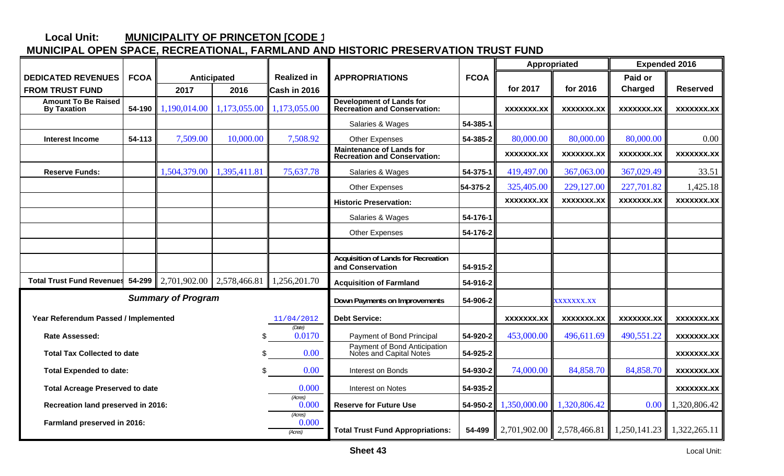#### **Local Unit: MUNICIPALITY OF PRINCETON [CODE 1**

# **MUNICIPAL OPEN SPACE, RECREATIONAL, FARMLAND AND HISTORIC PRESERVATION TRUST FUND**

|                                                        |             |                             |                                         |                                                         |                                                                        |              | Appropriated |                   | <b>Expended 2016</b> |                   |
|--------------------------------------------------------|-------------|-----------------------------|-----------------------------------------|---------------------------------------------------------|------------------------------------------------------------------------|--------------|--------------|-------------------|----------------------|-------------------|
| <b>DEDICATED REVENUES</b>                              | <b>FCOA</b> |                             | <b>Anticipated</b>                      | <b>Realized in</b>                                      | <b>APPROPRIATIONS</b>                                                  | <b>FCOA</b>  |              |                   | Paid or              |                   |
| <b>FROM TRUST FUND</b>                                 |             | 2017                        | 2016                                    | Cash in 2016                                            |                                                                        |              | for 2017     | for 2016          | Charged              | <b>Reserved</b>   |
| <b>Amount To Be Raised</b><br><b>By Taxation</b>       | 54-190      | 1,190,014.00                | 1,173,055.00                            | 1,173,055.00                                            | <b>Development of Lands for</b><br><b>Recreation and Conservation:</b> |              | XXXXXXX.XX   | XXXXXXX.XX        | XXXXXXX.XX           | XXXXXXX.XX        |
|                                                        |             |                             |                                         |                                                         | Salaries & Wages                                                       | 54-385-1     |              |                   |                      |                   |
| <b>Interest Income</b>                                 | 54-113      | 7,509.00                    | 10,000.00                               | 7,508.92                                                | Other Expenses                                                         | 54-385-2     | 80,000.00    | 80,000.00         | 80,000.00            | 0.00              |
|                                                        |             |                             |                                         |                                                         | <b>Maintenance of Lands for</b><br><b>Recreation and Conservation:</b> |              | XXXXXXX.XX   | <b>XXXXXXX.XX</b> | <b>XXXXXXX.XX</b>    | <b>XXXXXXX.XX</b> |
| <b>Reserve Funds:</b>                                  |             | 1,504,379.00                | 1,395,411.81                            | 75,637.78                                               | Salaries & Wages                                                       | 54-375-1     | 419,497.00   | 367,063.00        | 367,029.49           | 33.51             |
|                                                        |             |                             |                                         |                                                         | <b>Other Expenses</b>                                                  | 54-375-2     | 325,405.00   | 229,127.00        | 227,701.82           | 1,425.18          |
|                                                        |             |                             |                                         |                                                         | <b>Historic Preservation:</b>                                          |              | XXXXXXX.XX   | XXXXXXX.XX        | XXXXXXX.XX           | XXXXXXX.XX        |
|                                                        |             |                             |                                         |                                                         | Salaries & Wages                                                       | 54-176-1     |              |                   |                      |                   |
|                                                        |             |                             |                                         |                                                         | <b>Other Expenses</b>                                                  | 54-176-2     |              |                   |                      |                   |
|                                                        |             |                             |                                         |                                                         |                                                                        |              |              |                   |                      |                   |
|                                                        |             |                             |                                         |                                                         | <b>Acquisition of Lands for Recreation</b><br>and Conservation         | 54-915-2     |              |                   |                      |                   |
| <b>Total Trust Fund Revenues</b>                       | 54-299      | 2,701,902.00                | 2,578,466.81                            | 1,256,201.70                                            | <b>Acquisition of Farmland</b>                                         | 54-916-2     |              |                   |                      |                   |
| <b>Summary of Program</b>                              |             |                             |                                         |                                                         | Down Payments on Improvements                                          | 54-906-2     |              | <b>XXXXXXX.XX</b> |                      |                   |
| Year Referendum Passed / Implemented                   |             |                             |                                         | 11/04/2012                                              | <b>Debt Service:</b>                                                   |              | XXXXXXX.XX   | <b>XXXXXXX.XX</b> | XXXXXXX.XX           | XXXXXXX.XX        |
| (Date)<br>Rate Assessed:<br>\$                         |             |                             | 0.0170                                  | Payment of Bond Principal                               | 54-920-2                                                               | 453,000.00   | 496,611.69   | 490,551.22        | XXXXXXX.XX           |                   |
| 0.00<br><b>Total Tax Collected to date</b><br>\$.      |             |                             |                                         | Payment of Bond Anticipation<br>Notes and Capital Notes | 54-925-2                                                               |              |              |                   | <b>XXXXXXX.XX</b>    |                   |
| 0.00<br><b>Total Expended to date:</b>                 |             |                             | Interest on Bonds                       | 54-930-2                                                | 74,000.00                                                              | 84,858.70    | 84,858.70    | XXXXXXX.XX        |                      |                   |
| 0.000<br><b>Total Acreage Preserved to date</b>        |             |                             | <b>Interest on Notes</b>                | 54-935-2                                                |                                                                        |              |              | XXXXXXX.XX        |                      |                   |
| (Acres)<br>0.000<br>Recreation land preserved in 2016: |             |                             | <b>Reserve for Future Use</b>           | 54-950-2                                                | 1,350,000.00                                                           | 1,320,806.42 | 0.00         | 1,320,806.42      |                      |                   |
| Farmland preserved in 2016:                            |             | (Acres)<br>0.000<br>(Acres) | <b>Total Trust Fund Appropriations:</b> | 54-499                                                  | 2,701,902.00                                                           | 2,578,466.81 | 1,250,141.23 | 1,322,265.11      |                      |                   |